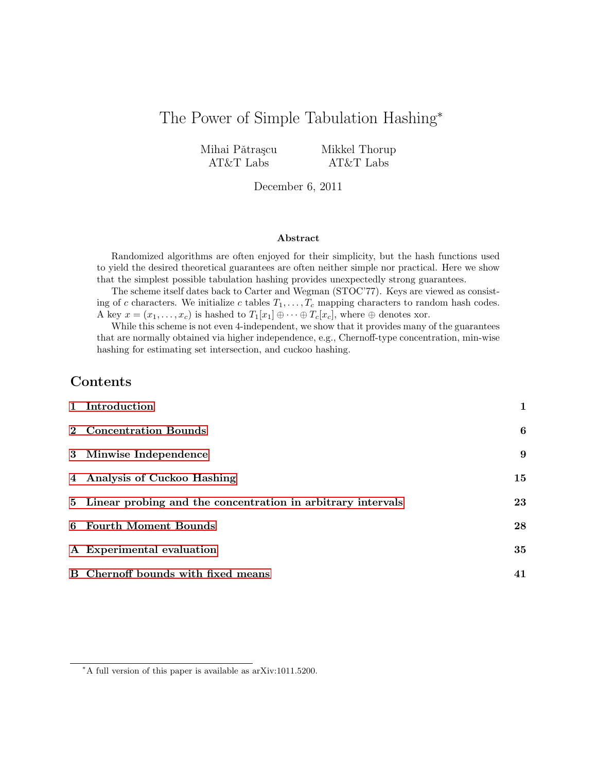# The Power of Simple Tabulation Hashing<sup>∗</sup>

Mihai Pǎtrașcu AT&T Labs

Mikkel Thorup AT&T Labs

December 6, 2011

### Abstract

Randomized algorithms are often enjoyed for their simplicity, but the hash functions used to yield the desired theoretical guarantees are often neither simple nor practical. Here we show that the simplest possible tabulation hashing provides unexpectedly strong guarantees.

The scheme itself dates back to Carter and Wegman (STOC'77). Keys are viewed as consisting of c characters. We initialize c tables  $T_1, \ldots, T_c$  mapping characters to random hash codes. A key  $x = (x_1, \ldots, x_c)$  is hashed to  $T_1[x_1] \oplus \cdots \oplus T_c[x_c]$ , where  $\oplus$  denotes xor.

While this scheme is not even 4-independent, we show that it provides many of the guarantees that are normally obtained via higher independence, e.g., Chernoff-type concentration, min-wise hashing for estimating set intersection, and cuckoo hashing.

# Contents

| 1 Introduction                                                | 1  |
|---------------------------------------------------------------|----|
| 2 Concentration Bounds                                        | 6  |
| 3 Minwise Independence                                        | 9  |
| 4 Analysis of Cuckoo Hashing                                  | 15 |
| 5 Linear probing and the concentration in arbitrary intervals | 23 |
| 6 Fourth Moment Bounds                                        | 28 |
| A Experimental evaluation                                     | 35 |
| B Chernoff bounds with fixed means                            | 41 |

<sup>∗</sup>A full version of this paper is available as arXiv:1011.5200.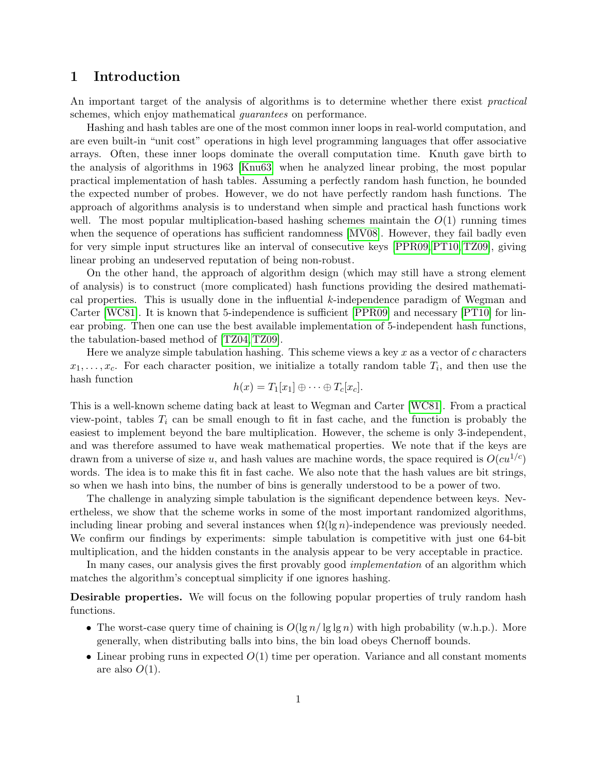## <span id="page-1-0"></span>1 Introduction

An important target of the analysis of algorithms is to determine whether there exist *practical* schemes, which enjoy mathematical *quarantees* on performance.

Hashing and hash tables are one of the most common inner loops in real-world computation, and are even built-in "unit cost" operations in high level programming languages that offer associative arrays. Often, these inner loops dominate the overall computation time. Knuth gave birth to the analysis of algorithms in 1963 [\[Knu63\]](#page-43-0) when he analyzed linear probing, the most popular practical implementation of hash tables. Assuming a perfectly random hash function, he bounded the expected number of probes. However, we do not have perfectly random hash functions. The approach of algorithms analysis is to understand when simple and practical hash functions work well. The most popular multiplication-based hashing schemes maintain the  $O(1)$  running times when the sequence of operations has sufficient randomness [\[MV08\]](#page-43-1). However, they fail badly even for very simple input structures like an interval of consecutive keys [\[PPR09,](#page-44-0) [PT10,](#page-44-1) [TZ09\]](#page-44-2), giving linear probing an undeserved reputation of being non-robust.

On the other hand, the approach of algorithm design (which may still have a strong element of analysis) is to construct (more complicated) hash functions providing the desired mathematical properties. This is usually done in the influential  $k$ -independence paradigm of Wegman and Carter [\[WC81\]](#page-44-3). It is known that 5-independence is sufficient [\[PPR09\]](#page-44-0) and necessary [\[PT10\]](#page-44-1) for linear probing. Then one can use the best available implementation of 5-independent hash functions, the tabulation-based method of [\[TZ04,](#page-44-4) [TZ09\]](#page-44-2).

Here we analyze simple tabulation hashing. This scheme views a key x as a vector of c characters  $x_1, \ldots, x_c$ . For each character position, we initialize a totally random table  $T_i$ , and then use the hash function

$$
h(x) = T_1[x_1] \oplus \cdots \oplus T_c[x_c].
$$

This is a well-known scheme dating back at least to Wegman and Carter [\[WC81\]](#page-44-3). From a practical view-point, tables  $T_i$  can be small enough to fit in fast cache, and the function is probably the easiest to implement beyond the bare multiplication. However, the scheme is only 3-independent, and was therefore assumed to have weak mathematical properties. We note that if the keys are drawn from a universe of size u, and hash values are machine words, the space required is  $O(cu^{1/c})$ words. The idea is to make this fit in fast cache. We also note that the hash values are bit strings, so when we hash into bins, the number of bins is generally understood to be a power of two.

The challenge in analyzing simple tabulation is the significant dependence between keys. Nevertheless, we show that the scheme works in some of the most important randomized algorithms, including linear probing and several instances when  $\Omega(\lg n)$ -independence was previously needed. We confirm our findings by experiments: simple tabulation is competitive with just one 64-bit multiplication, and the hidden constants in the analysis appear to be very acceptable in practice.

In many cases, our analysis gives the first provably good *implementation* of an algorithm which matches the algorithm's conceptual simplicity if one ignores hashing.

**Desirable properties.** We will focus on the following popular properties of truly random hash functions.

- The worst-case query time of chaining is  $O(\lg n / \lg \lg n)$  with high probability (w.h.p.). More generally, when distributing balls into bins, the bin load obeys Chernoff bounds.
- Linear probing runs in expected  $O(1)$  time per operation. Variance and all constant moments are also  $O(1)$ .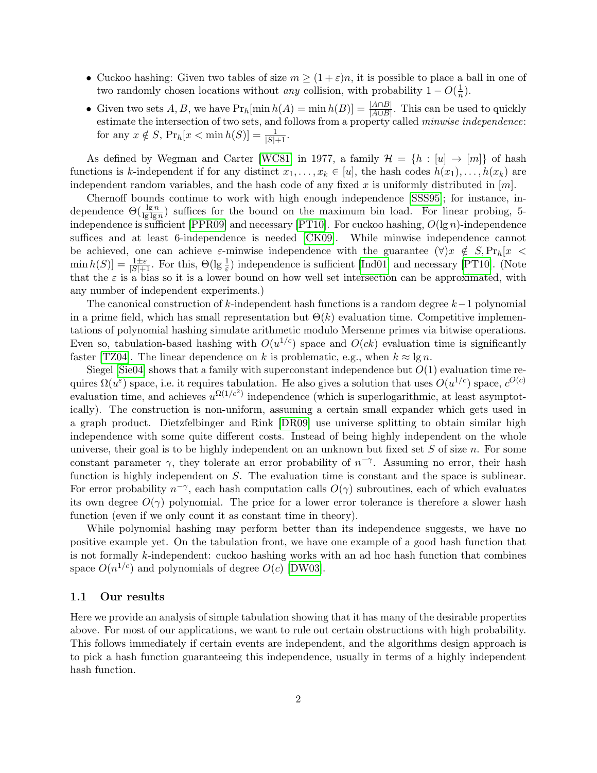- Cuckoo hashing: Given two tables of size  $m \geq (1+\varepsilon)n$ , it is possible to place a ball in one of two randomly chosen locations without *any* collision, with probability  $1 - O(\frac{1}{n})$  $\frac{1}{n}$ ).
- Given two sets  $A, B$ , we have  $Pr_h[\min h(A) = \min h(B)] = \frac{|A \cap B|}{|A \cup B|}$ . This can be used to quickly estimate the intersection of two sets, and follows from a property called *minwise independence*: for any  $x \notin S$ ,  $Pr_h[x < \min h(S)] = \frac{1}{|S|+1}$ .

As defined by Wegman and Carter [\[WC81\]](#page-44-3) in 1977, a family  $\mathcal{H} = \{h : [u] \to [m]\}\$  of hash functions is k-independent if for any distinct  $x_1, \ldots, x_k \in [u]$ , the hash codes  $h(x_1), \ldots, h(x_k)$  are independent random variables, and the hash code of any fixed x is uniformly distributed in  $[m]$ .

Chernoff bounds continue to work with high enough independence [\[SSS95\]](#page-44-5); for instance, independence  $\Theta(\frac{\lg n}{\lg \lg n})$  suffices for the bound on the maximum bin load. For linear probing, 5-independence is sufficient [\[PPR09\]](#page-44-0) and necessary [\[PT10\]](#page-44-1). For cuckoo hashing,  $O(\lg n)$ -independence suffices and at least 6-independence is needed [\[CK09\]](#page-43-2). While minwise independence cannot be achieved, one can achieve  $\varepsilon$ -minwise independence with the guarantee  $(\forall)x \notin S, \Pr_h[x \prec$  $\min h(S) = \frac{1 \pm \varepsilon}{|S| + 1}$ . For this,  $\Theta(\lg \frac{1}{\varepsilon})$  independence is sufficient [\[Ind01\]](#page-43-3) and necessary [\[PT10\]](#page-44-1). (Note that the  $\varepsilon$  is a bias so it is a lower bound on how well set intersection can be approximated, with any number of independent experiments.)

The canonical construction of k-independent hash functions is a random degree  $k-1$  polynomial in a prime field, which has small representation but  $\Theta(k)$  evaluation time. Competitive implementations of polynomial hashing simulate arithmetic modulo Mersenne primes via bitwise operations. Even so, tabulation-based hashing with  $O(u^{1/c})$  space and  $O(ck)$  evaluation time is significantly faster [\[TZ04\]](#page-44-4). The linear dependence on k is problematic, e.g., when  $k \approx \lg n$ .

Siegel [\[Sie04\]](#page-44-6) shows that a family with superconstant independence but  $O(1)$  evaluation time requires  $\Omega(u^{\varepsilon})$  space, i.e. it requires tabulation. He also gives a solution that uses  $O(u^{1/c})$  space,  $c^{O(c)}$ evaluation time, and achieves  $u^{\Omega(1/c^2)}$  independence (which is superlogarithmic, at least asymptotically). The construction is non-uniform, assuming a certain small expander which gets used in a graph product. Dietzfelbinger and Rink [\[DR09\]](#page-43-4) use universe splitting to obtain similar high independence with some quite different costs. Instead of being highly independent on the whole universe, their goal is to be highly independent on an unknown but fixed set  $S$  of size  $n$ . For some constant parameter  $\gamma$ , they tolerate an error probability of  $n^{-\gamma}$ . Assuming no error, their hash function is highly independent on S. The evaluation time is constant and the space is sublinear. For error probability  $n^{-\gamma}$ , each hash computation calls  $O(\gamma)$  subroutines, each of which evaluates its own degree  $O(\gamma)$  polynomial. The price for a lower error tolerance is therefore a slower hash function (even if we only count it as constant time in theory).

While polynomial hashing may perform better than its independence suggests, we have no positive example yet. On the tabulation front, we have one example of a good hash function that is not formally k-independent: cuckoo hashing works with an ad hoc hash function that combines space  $O(n^{1/c})$  and polynomials of degree  $O(c)$  [\[DW03\]](#page-43-5).

### 1.1 Our results

Here we provide an analysis of simple tabulation showing that it has many of the desirable properties above. For most of our applications, we want to rule out certain obstructions with high probability. This follows immediately if certain events are independent, and the algorithms design approach is to pick a hash function guaranteeing this independence, usually in terms of a highly independent hash function.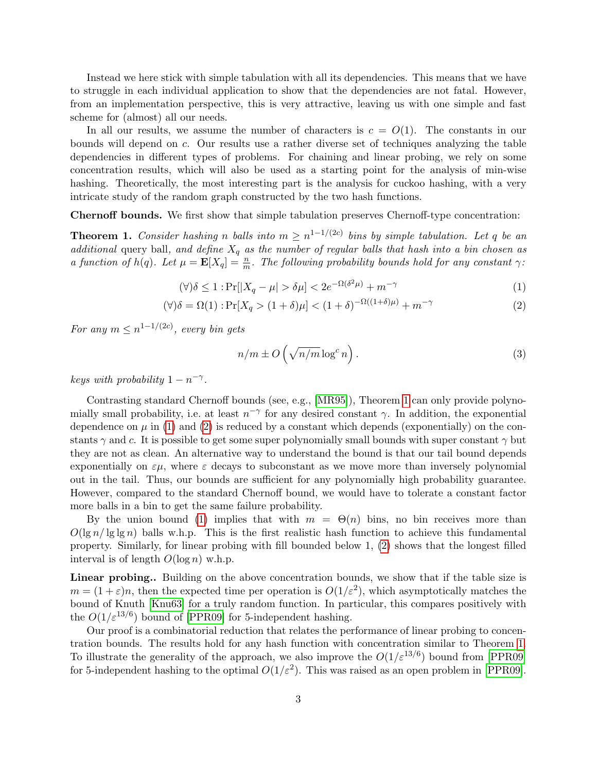Instead we here stick with simple tabulation with all its dependencies. This means that we have to struggle in each individual application to show that the dependencies are not fatal. However, from an implementation perspective, this is very attractive, leaving us with one simple and fast scheme for (almost) all our needs.

In all our results, we assume the number of characters is  $c = O(1)$ . The constants in our bounds will depend on c. Our results use a rather diverse set of techniques analyzing the table dependencies in different types of problems. For chaining and linear probing, we rely on some concentration results, which will also be used as a starting point for the analysis of min-wise hashing. Theoretically, the most interesting part is the analysis for cuckoo hashing, with a very intricate study of the random graph constructed by the two hash functions.

Chernoff bounds. We first show that simple tabulation preserves Chernoff-type concentration:

<span id="page-3-0"></span>**Theorem 1.** Consider hashing n balls into  $m \ge n^{1-1/(2c)}$  bins by simple tabulation. Let q be an additional query ball, and define  $X_q$  as the number of regular balls that hash into a bin chosen as a function of  $h(q)$ . Let  $\mu = \mathbf{E}[X_q] = \frac{n}{m}$ . The following probability bounds hold for any constant  $\gamma$ :

$$
(\forall)\delta \le 1: \Pr[|X_q - \mu| > \delta\mu] < 2e^{-\Omega(\delta^2\mu)} + m^{-\gamma} \tag{1}
$$

$$
(\forall)\delta = \Omega(1): \Pr[X_q > (1+\delta)\mu] < (1+\delta)^{-\Omega((1+\delta)\mu)} + m^{-\gamma} \tag{2}
$$

For any  $m \leq n^{1-1/(2c)}$ , every bin gets

<span id="page-3-3"></span><span id="page-3-2"></span><span id="page-3-1"></span>
$$
n/m \pm O\left(\sqrt{n/m} \log^c n\right). \tag{3}
$$

keys with probability  $1 - n^{-\gamma}$ .

Contrasting standard Chernoff bounds (see, e.g., [\[MR95\]](#page-43-6)), Theorem [1](#page-3-0) can only provide polynomially small probability, i.e. at least  $n^{-\gamma}$  for any desired constant  $\gamma$ . In addition, the exponential dependence on  $\mu$  in [\(1\)](#page-3-1) and [\(2\)](#page-3-2) is reduced by a constant which depends (exponentially) on the constants  $\gamma$  and c. It is possible to get some super polynomially small bounds with super constant  $\gamma$  but they are not as clean. An alternative way to understand the bound is that our tail bound depends exponentially on  $\varepsilon\mu$ , where  $\varepsilon$  decays to subconstant as we move more than inversely polynomial out in the tail. Thus, our bounds are sufficient for any polynomially high probability guarantee. However, compared to the standard Chernoff bound, we would have to tolerate a constant factor more balls in a bin to get the same failure probability.

By the union bound [\(1\)](#page-3-1) implies that with  $m = \Theta(n)$  bins, no bin receives more than  $O(\lg n / \lg \lg n)$  balls w.h.p. This is the first realistic hash function to achieve this fundamental property. Similarly, for linear probing with fill bounded below 1, [\(2\)](#page-3-2) shows that the longest filled interval is of length  $O(\log n)$  w.h.p.

Linear probing.. Building on the above concentration bounds, we show that if the table size is  $m = (1 + \varepsilon)n$ , then the expected time per operation is  $O(1/\varepsilon^2)$ , which asymptotically matches the bound of Knuth [\[Knu63\]](#page-43-0) for a truly random function. In particular, this compares positively with the  $O(1/\varepsilon^{13/6})$  bound of [\[PPR09\]](#page-44-0) for 5-independent hashing.

Our proof is a combinatorial reduction that relates the performance of linear probing to concentration bounds. The results hold for any hash function with concentration similar to Theorem [1.](#page-3-0) To illustrate the generality of the approach, we also improve the  $O(1/\varepsilon^{13/6})$  bound from [\[PPR09\]](#page-44-0) for 5-independent hashing to the optimal  $O(1/\varepsilon^2)$ . This was raised as an open problem in [\[PPR09\]](#page-44-0).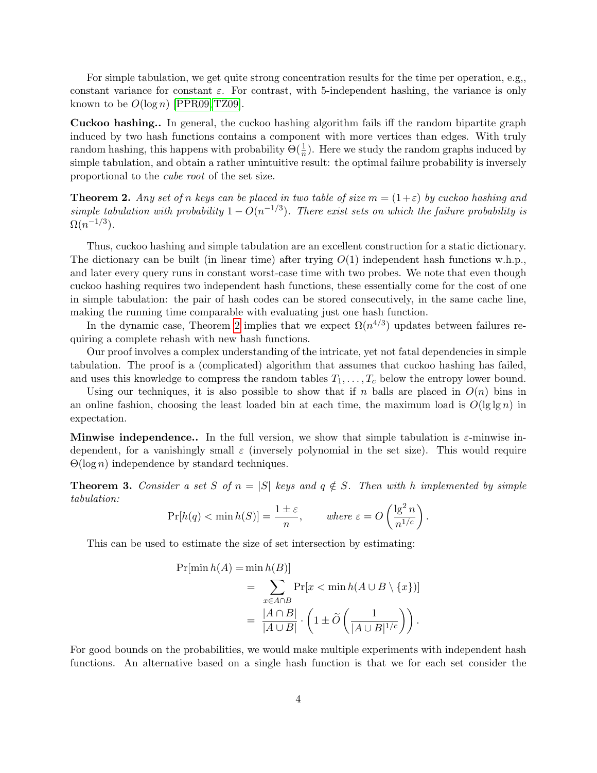For simple tabulation, we get quite strong concentration results for the time per operation, e.g,, constant variance for constant  $\varepsilon$ . For contrast, with 5-independent hashing, the variance is only known to be  $O(\log n)$  [\[PPR09,](#page-44-0) [TZ09\]](#page-44-2).

Cuckoo hashing.. In general, the cuckoo hashing algorithm fails iff the random bipartite graph induced by two hash functions contains a component with more vertices than edges. With truly random hashing, this happens with probability  $\Theta(\frac{1}{n})$ . Here we study the random graphs induced by simple tabulation, and obtain a rather unintuitive result: the optimal failure probability is inversely proportional to the cube root of the set size.

<span id="page-4-0"></span>**Theorem 2.** Any set of n keys can be placed in two table of size  $m = (1+\varepsilon)$  by cuckoo hashing and simple tabulation with probability  $1 - O(n^{-1/3})$ . There exist sets on which the failure probability is  $\Omega(n^{-1/3})$ .

Thus, cuckoo hashing and simple tabulation are an excellent construction for a static dictionary. The dictionary can be built (in linear time) after trying  $O(1)$  independent hash functions w.h.p., and later every query runs in constant worst-case time with two probes. We note that even though cuckoo hashing requires two independent hash functions, these essentially come for the cost of one in simple tabulation: the pair of hash codes can be stored consecutively, in the same cache line, making the running time comparable with evaluating just one hash function.

In the dynamic case, Theorem [2](#page-4-0) implies that we expect  $\Omega(n^{4/3})$  updates between failures requiring a complete rehash with new hash functions.

Our proof involves a complex understanding of the intricate, yet not fatal dependencies in simple tabulation. The proof is a (complicated) algorithm that assumes that cuckoo hashing has failed, and uses this knowledge to compress the random tables  $T_1, \ldots, T_c$  below the entropy lower bound.

Using our techniques, it is also possible to show that if n balls are placed in  $O(n)$  bins in an online fashion, choosing the least loaded bin at each time, the maximum load is  $O(\lg \lg n)$  in expectation.

**Minwise independence..** In the full version, we show that simple tabulation is  $\varepsilon$ -minwise independent, for a vanishingly small  $\varepsilon$  (inversely polynomial in the set size). This would require  $\Theta(\log n)$  independence by standard techniques.

**Theorem 3.** Consider a set S of  $n = |S|$  keys and  $q \notin S$ . Then with h implemented by simple tabulation:

$$
\Pr[h(q) < \min h(S)] = \frac{1 \pm \varepsilon}{n}, \quad where \ \varepsilon = O\left(\frac{\lg^2 n}{n^{1/c}}\right).
$$

This can be used to estimate the size of set intersection by estimating:

$$
\Pr[\min h(A) = \min h(B)]
$$
  
= 
$$
\sum_{x \in A \cap B} \Pr[x < \min h(A \cup B \setminus \{x\})]
$$
  
= 
$$
\frac{|A \cap B|}{|A \cup B|} \cdot \left(1 \pm \widetilde{O}\left(\frac{1}{|A \cup B|^{1/c}}\right)\right).
$$

For good bounds on the probabilities, we would make multiple experiments with independent hash functions. An alternative based on a single hash function is that we for each set consider the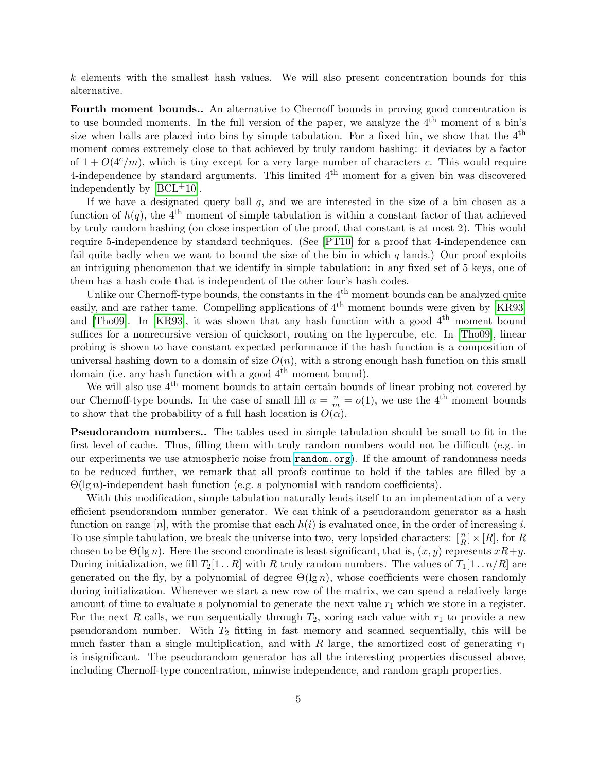k elements with the smallest hash values. We will also present concentration bounds for this alternative.

Fourth moment bounds.. An alternative to Chernoff bounds in proving good concentration is to use bounded moments. In the full version of the paper, we analyze the  $4<sup>th</sup>$  moment of a bin's size when balls are placed into bins by simple tabulation. For a fixed bin, we show that the  $4<sup>th</sup>$ moment comes extremely close to that achieved by truly random hashing: it deviates by a factor of  $1 + O(4<sup>c</sup>/m)$ , which is tiny except for a very large number of characters c. This would require 4-independence by standard arguments. This limited  $4<sup>th</sup>$  moment for a given bin was discovered independently by  $[BCL+10]$  $[BCL+10]$ .

If we have a designated query ball  $q$ , and we are interested in the size of a bin chosen as a function of  $h(q)$ , the 4<sup>th</sup> moment of simple tabulation is within a constant factor of that achieved by truly random hashing (on close inspection of the proof, that constant is at most 2). This would require 5-independence by standard techniques. (See [\[PT10\]](#page-44-1) for a proof that 4-independence can fail quite badly when we want to bound the size of the bin in which  $q$  lands.) Our proof exploits an intriguing phenomenon that we identify in simple tabulation: in any fixed set of 5 keys, one of them has a hash code that is independent of the other four's hash codes.

Unlike our Chernoff-type bounds, the constants in the 4<sup>th</sup> moment bounds can be analyzed quite easily, and are rather tame. Compelling applications of  $4<sup>th</sup>$  moment bounds were given by [\[KR93\]](#page-43-8) and [\[Tho09\]](#page-44-7). In [\[KR93\]](#page-43-8), it was shown that any hash function with a good  $4<sup>th</sup>$  moment bound suffices for a nonrecursive version of quicksort, routing on the hypercube, etc. In [\[Tho09\]](#page-44-7), linear probing is shown to have constant expected performance if the hash function is a composition of universal hashing down to a domain of size  $O(n)$ , with a strong enough hash function on this small domain (i.e. any hash function with a good  $4<sup>th</sup>$  moment bound).

We will also use  $4<sup>th</sup>$  moment bounds to attain certain bounds of linear probing not covered by our Chernoff-type bounds. In the case of small fill  $\alpha = \frac{n}{m} = o(1)$ , we use the 4<sup>th</sup> moment bounds to show that the probability of a full hash location is  $O(\alpha)$ .

Pseudorandom numbers.. The tables used in simple tabulation should be small to fit in the first level of cache. Thus, filling them with truly random numbers would not be difficult (e.g. in our experiments we use atmospheric noise from <random.org>). If the amount of randomness needs to be reduced further, we remark that all proofs continue to hold if the tables are filled by a  $\Theta(\lg n)$ -independent hash function (e.g. a polynomial with random coefficients).

With this modification, simple tabulation naturally lends itself to an implementation of a very efficient pseudorandom number generator. We can think of a pseudorandom generator as a hash function on range  $[n]$ , with the promise that each  $h(i)$  is evaluated once, in the order of increasing i. To use simple tabulation, we break the universe into two, very lopsided characters:  $\left[\frac{n}{R}\right] \times [R]$ , for R chosen to be  $\Theta(\lg n)$ . Here the second coordinate is least significant, that is,  $(x, y)$  represents  $xR+y$ . During initialization, we fill  $T_2[1 \t R]$  with R truly random numbers. The values of  $T_1[1 \t n/R]$  are generated on the fly, by a polynomial of degree  $\Theta(\lg n)$ , whose coefficients were chosen randomly during initialization. Whenever we start a new row of the matrix, we can spend a relatively large amount of time to evaluate a polynomial to generate the next value  $r_1$  which we store in a register. For the next R calls, we run sequentially through  $T_2$ , xoring each value with  $r_1$  to provide a new pseudorandom number. With  $T_2$  fitting in fast memory and scanned sequentially, this will be much faster than a single multiplication, and with R large, the amortized cost of generating  $r_1$ is insignificant. The pseudorandom generator has all the interesting properties discussed above, including Chernoff-type concentration, minwise independence, and random graph properties.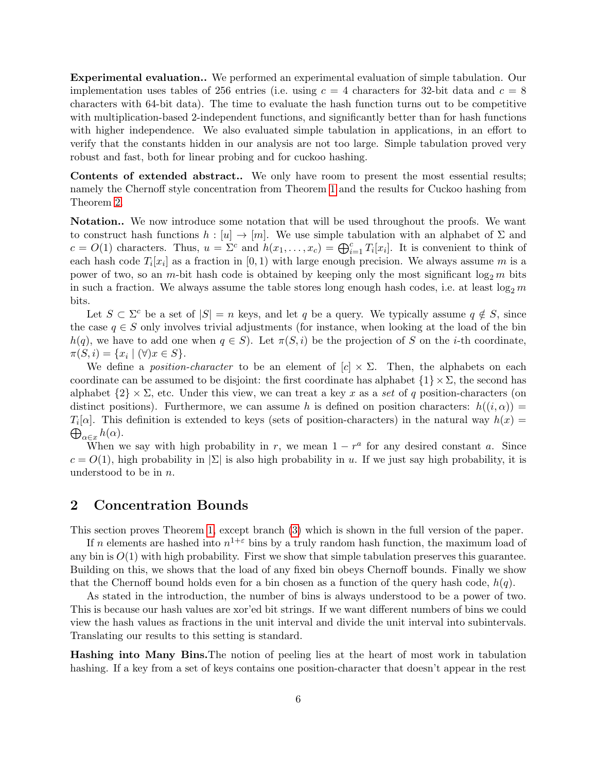Experimental evaluation.. We performed an experimental evaluation of simple tabulation. Our implementation uses tables of 256 entries (i.e. using  $c = 4$  characters for 32-bit data and  $c = 8$ characters with 64-bit data). The time to evaluate the hash function turns out to be competitive with multiplication-based 2-independent functions, and significantly better than for hash functions with higher independence. We also evaluated simple tabulation in applications, in an effort to verify that the constants hidden in our analysis are not too large. Simple tabulation proved very robust and fast, both for linear probing and for cuckoo hashing.

Contents of extended abstract.. We only have room to present the most essential results; namely the Chernoff style concentration from Theorem [1](#page-3-0) and the results for Cuckoo hashing from Theorem [2.](#page-4-0)

Notation.. We now introduce some notation that will be used throughout the proofs. We want to construct hash functions  $h : [u] \to [m]$ . We use simple tabulation with an alphabet of  $\Sigma$  and  $c = O(1)$  characters. Thus,  $u = \Sigma^c$  and  $h(x_1, \ldots, x_c) = \bigoplus_{i=1}^c T_i[x_i]$ . It is convenient to think of each hash code  $T_i[x_i]$  as a fraction in [0, 1) with large enough precision. We always assume m is a power of two, so an m-bit hash code is obtained by keeping only the most significant  $\log_2 m$  bits in such a fraction. We always assume the table stores long enough hash codes, i.e. at least  $\log_2 m$ bits.

Let  $S \subset \Sigma^c$  be a set of  $|S| = n$  keys, and let q be a query. We typically assume  $q \notin S$ , since the case  $q \in S$  only involves trivial adjustments (for instance, when looking at the load of the bin  $h(q)$ , we have to add one when  $q \in S$ ). Let  $\pi(S, i)$  be the projection of S on the *i*-th coordinate,  $\pi(S, i) = \{x_i \mid (\forall)x \in S\}.$ 

We define a *position-character* to be an element of  $[c] \times \Sigma$ . Then, the alphabets on each coordinate can be assumed to be disjoint: the first coordinate has alphabet  $\{1\} \times \Sigma$ , the second has alphabet  $\{2\} \times \Sigma$ , etc. Under this view, we can treat a key x as a set of q position-characters (on distinct positions). Furthermore, we can assume h is defined on position characters:  $h((i, \alpha)) =$  $T_i[\alpha]$ . This definition is extended to keys (sets of position-characters) in the natural way  $h(x)$  $\bigoplus_{\alpha \in x} h(\alpha)$ .

When we say with high probability in r, we mean  $1 - r^a$  for any desired constant a. Since  $c = O(1)$ , high probability in  $|\Sigma|$  is also high probability in u. If we just say high probability, it is understood to be in n.

# <span id="page-6-0"></span>2 Concentration Bounds

This section proves Theorem [1,](#page-3-0) except branch [\(3\)](#page-3-3) which is shown in the full version of the paper.

If n elements are hashed into  $n^{1+\varepsilon}$  bins by a truly random hash function, the maximum load of any bin is  $O(1)$  with high probability. First we show that simple tabulation preserves this guarantee. Building on this, we shows that the load of any fixed bin obeys Chernoff bounds. Finally we show that the Chernoff bound holds even for a bin chosen as a function of the query hash code,  $h(q)$ .

As stated in the introduction, the number of bins is always understood to be a power of two. This is because our hash values are xor'ed bit strings. If we want different numbers of bins we could view the hash values as fractions in the unit interval and divide the unit interval into subintervals. Translating our results to this setting is standard.

Hashing into Many Bins.The notion of peeling lies at the heart of most work in tabulation hashing. If a key from a set of keys contains one position-character that doesn't appear in the rest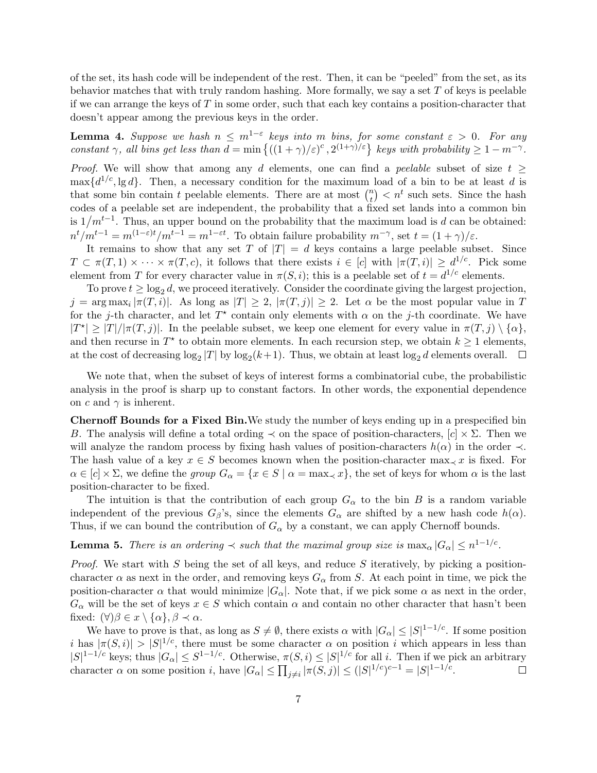of the set, its hash code will be independent of the rest. Then, it can be "peeled" from the set, as its behavior matches that with truly random hashing. More formally, we say a set  $T$  of keys is peelable if we can arrange the keys of T in some order, such that each key contains a position-character that doesn't appear among the previous keys in the order.

<span id="page-7-0"></span>**Lemma 4.** Suppose we hash  $n \leq m^{1-\varepsilon}$  keys into m bins, for some constant  $\varepsilon > 0$ . For any constant  $\gamma$ , all bins get less than  $d = \min \left\{ ((1 + \gamma)/\varepsilon)^c, 2^{(1+\gamma)/\varepsilon} \right\}$  keys with probability  $\geq 1 - m^{-\gamma}$ .

Proof. We will show that among any d elements, one can find a peelable subset of size  $t \geq$  $\max\{d^{1/c}, \lg d\}$ . Then, a necessary condition for the maximum load of a bin to be at least d is that some bin contain t peelable elements. There are at most  $\binom{n}{t}$  $\binom{n}{t} < n^t$  such sets. Since the hash codes of a peelable set are independent, the probability that a fixed set lands into a common bin is  $1/m^{t-1}$ . Thus, an upper bound on the probability that the maximum load is d can be obtained:  $n^{t}/m^{t-1} = m^{(1-\varepsilon)t}/m^{t-1} = m^{1-\varepsilon t}$ . To obtain failure probability  $m^{-\gamma}$ , set  $t = (1+\gamma)/\varepsilon$ .

It remains to show that any set T of  $|T| = d$  keys contains a large peelable subset. Since  $T \subset \pi(T,1) \times \cdots \times \pi(T,c)$ , it follows that there exists  $i \in [c]$  with  $|\pi(T,i)| \geq d^{1/c}$ . Pick some element from T for every character value in  $\pi(S, i)$ ; this is a peelable set of  $t = d^{1/c}$  elements.

To prove  $t \geq \log_2 d$ , we proceed iteratively. Consider the coordinate giving the largest projection,  $j = \arg \max_i |\pi(T, i)|$ . As long as  $|T| \geq 2$ ,  $|\pi(T, j)| \geq 2$ . Let  $\alpha$  be the most popular value in T for the j-th character, and let  $T^*$  contain only elements with  $\alpha$  on the j-th coordinate. We have  $|T^*| \geq |T|/|\pi(T, j)|$ . In the peelable subset, we keep one element for every value in  $\pi(T, j) \setminus {\{\alpha\}}$ , and then recurse in  $T^*$  to obtain more elements. In each recursion step, we obtain  $k \geq 1$  elements, at the cost of decreasing  $\log_2 |T|$  by  $\log_2 (k+1)$ . Thus, we obtain at least  $\log_2 d$  elements overall.

We note that, when the subset of keys of interest forms a combinatorial cube, the probabilistic analysis in the proof is sharp up to constant factors. In other words, the exponential dependence on c and  $\gamma$  is inherent.

Chernoff Bounds for a Fixed Bin.We study the number of keys ending up in a prespecified bin B. The analysis will define a total ording  $\prec$  on the space of position-characters,  $[c] \times \Sigma$ . Then we will analyze the random process by fixing hash values of position-characters  $h(\alpha)$  in the order  $\prec$ . The hash value of a key  $x \in S$  becomes known when the position-character max $\prec x$  is fixed. For  $\alpha \in [c] \times \Sigma$ , we define the group  $G_{\alpha} = \{x \in S \mid \alpha = \max_{\alpha} x\}$ , the set of keys for whom  $\alpha$  is the last position-character to be fixed.

The intuition is that the contribution of each group  $G_{\alpha}$  to the bin B is a random variable independent of the previous  $G_\beta$ 's, since the elements  $G_\alpha$  are shifted by a new hash code  $h(\alpha)$ . Thus, if we can bound the contribution of  $G_{\alpha}$  by a constant, we can apply Chernoff bounds.

<span id="page-7-1"></span>**Lemma 5.** There is an ordering  $\prec$  such that the maximal group size is  $\max_{\alpha} |G_{\alpha}| \leq n^{1-1/c}$ .

*Proof.* We start with  $S$  being the set of all keys, and reduce  $S$  iteratively, by picking a positioncharacter  $\alpha$  as next in the order, and removing keys  $G_{\alpha}$  from S. At each point in time, we pick the position-character  $\alpha$  that would minimize  $|G_{\alpha}|$ . Note that, if we pick some  $\alpha$  as next in the order,  $G_{\alpha}$  will be the set of keys  $x \in S$  which contain  $\alpha$  and contain no other character that hasn't been fixed:  $(\forall)\beta \in x \setminus {\alpha}, \beta \prec \alpha$ .

We have to prove is that, as long as  $S \neq \emptyset$ , there exists  $\alpha$  with  $|G_{\alpha}| \leq |S|^{1-1/c}$ . If some position i has  $|\pi(S, i)| > |S|^{1/c}$ , there must be some character  $\alpha$  on position i which appears in less than  $|S|^{1-1/c}$  keys; thus  $|G_{\alpha}| \leq S^{1-1/c}$ . Otherwise,  $\pi(S, i) \leq |S|^{1/c}$  for all i. Then if we pick an arbitrary character  $\alpha$  on some position i, have  $|G_{\alpha}| \leq \prod_{j \neq i} |\pi(S, j)| \leq (|S|^{1/c})^{c-1} = |S|^{1-1/c}$ .  $\Box$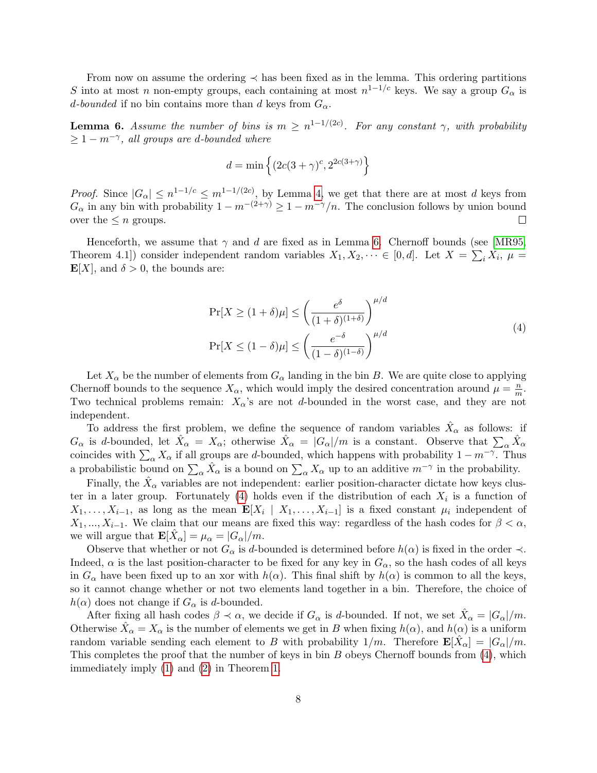From now on assume the ordering  $\prec$  has been fixed as in the lemma. This ordering partitions S into at most n non-empty groups, each containing at most  $n^{1-1/c}$  keys. We say a group  $G_{\alpha}$  is d-bounded if no bin contains more than d keys from  $G_{\alpha}$ .

<span id="page-8-0"></span>**Lemma 6.** Assume the number of bins is  $m \geq n^{1-1/(2c)}$ . For any constant  $\gamma$ , with probability  $\geq 1 - m^{-\gamma}$ , all groups are d-bounded where

$$
d = \min\left\{ (2c(3+\gamma)^c, 2^{2c(3+\gamma)} \right\}
$$

*Proof.* Since  $|G_{\alpha}| \leq n^{1-1/c} \leq m^{1-1/(2c)}$ , by Lemma [4,](#page-7-0) we get that there are at most d keys from  $G_{\alpha}$  in any bin with probability  $1 - m^{-(2+\gamma)} \geq 1 - m^{-\gamma}/n$ . The conclusion follows by union bound over the  $\leq n$  groups.  $\Box$ 

Henceforth, we assume that  $\gamma$  and d are fixed as in Lemma [6.](#page-8-0) Chernoff bounds (see [\[MR95,](#page-43-6) Theorem 4.1]) consider independent random variables  $X_1, X_2, \dots \in [0, d]$ . Let  $X = \sum_i X_i$ ,  $\mu =$  $\mathbf{E}[X]$ , and  $\delta > 0$ , the bounds are:

$$
\Pr[X \ge (1+\delta)\mu] \le \left(\frac{e^{\delta}}{(1+\delta)^{(1+\delta)}}\right)^{\mu/d}
$$
\n
$$
\Pr[X \le (1-\delta)\mu] \le \left(\frac{e^{-\delta}}{(1-\delta)^{(1-\delta)}}\right)^{\mu/d}
$$
\n(4)

<span id="page-8-1"></span>Let  $X_\alpha$  be the number of elements from  $G_\alpha$  landing in the bin B. We are quite close to applying Chernoff bounds to the sequence  $X_{\alpha}$ , which would imply the desired concentration around  $\mu = \frac{n}{m}$  $\frac{n}{m}$ . Two technical problems remain:  $X_{\alpha}$ 's are not d-bounded in the worst case, and they are not independent.

To address the first problem, we define the sequence of random variables  $\hat{X}_{\alpha}$  as follows: if  $G_{\alpha}$  is d-bounded, let  $\hat{X}_{\alpha} = X_{\alpha}$ ; otherwise  $\hat{X}_{\alpha} = |G_{\alpha}|/m$  is a constant. Observe that  $\sum_{\alpha} \hat{X}_{\alpha}$ coincides with  $\sum_{\alpha} X_{\alpha}$  if all groups are d-bounded, which happens with probability  $1 - m^{-\gamma}$ . Thus a probabilistic bound on  $\sum_{\alpha} \hat{X}_{\alpha}$  is a bound on  $\sum_{\alpha} X_{\alpha}$  up to an additive  $m^{-\gamma}$  in the probability.

Finally, the  $\hat{X}_{\alpha}$  variables are not independent: earlier position-character dictate how keys clus-ter in a later group. Fortunately [\(4\)](#page-8-1) holds even if the distribution of each  $X_i$  is a function of  $X_1, \ldots, X_{i-1}$ , as long as the mean  $\mathbf{E}[X_i \mid X_1, \ldots, X_{i-1}]$  is a fixed constant  $\mu_i$  independent of  $X_1, ..., X_{i-1}$ . We claim that our means are fixed this way: regardless of the hash codes for  $\beta < \alpha$ , we will argue that  $\mathbf{E}[\hat{X}_{\alpha}] = \mu_{\alpha} = |G_{\alpha}|/m$ .

Observe that whether or not  $G_{\alpha}$  is d-bounded is determined before  $h(\alpha)$  is fixed in the order  $\prec$ . Indeed,  $\alpha$  is the last position-character to be fixed for any key in  $G_{\alpha}$ , so the hash codes of all keys in  $G_{\alpha}$  have been fixed up to an xor with  $h(\alpha)$ . This final shift by  $h(\alpha)$  is common to all the keys, so it cannot change whether or not two elements land together in a bin. Therefore, the choice of  $h(\alpha)$  does not change if  $G_{\alpha}$  is d-bounded.

After fixing all hash codes  $\beta \prec \alpha$ , we decide if  $G_{\alpha}$  is d-bounded. If not, we set  $\hat{X}_{\alpha} = |G_{\alpha}|/m$ . Otherwise  $\hat{X}_{\alpha} = X_{\alpha}$  is the number of elements we get in B when fixing  $h(\alpha)$ , and  $h(\alpha)$  is a uniform random variable sending each element to B with probability  $1/m$ . Therefore  $\mathbf{E}[\hat{X}_{\alpha}] = |G_{\alpha}|/m$ . This completes the proof that the number of keys in bin  $B$  obeys Chernoff bounds from  $(4)$ , which immediately imply [\(1\)](#page-3-1) and [\(2\)](#page-3-2) in Theorem [1.](#page-3-0)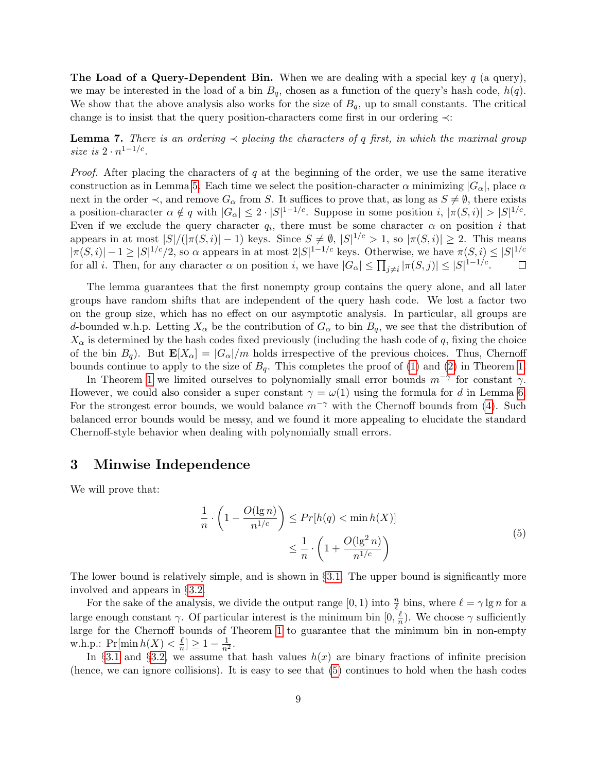**The Load of a Query-Dependent Bin.** When we are dealing with a special key  $q$  (a query), we may be interested in the load of a bin  $B_q$ , chosen as a function of the query's hash code,  $h(q)$ . We show that the above analysis also works for the size of  $B_q$ , up to small constants. The critical change is to insist that the query position-characters come first in our ordering ≺:

<span id="page-9-2"></span>**Lemma 7.** There is an ordering  $\prec$  placing the characters of q first, in which the maximal group size is  $2 \cdot n^{1-1/c}$ .

*Proof.* After placing the characters of q at the beginning of the order, we use the same iterative construction as in Lemma [5.](#page-7-1) Each time we select the position-character  $\alpha$  minimizing  $|G_{\alpha}|$ , place  $\alpha$ next in the order  $\prec$ , and remove  $G_{\alpha}$  from S. It suffices to prove that, as long as  $S \neq \emptyset$ , there exists a position-character  $\alpha \notin q$  with  $|G_{\alpha}| \leq 2 \cdot |S|^{1-1/c}$ . Suppose in some position  $i, |\pi(S, i)| > |S|^{1/c}$ . Even if we exclude the query character  $q_i$ , there must be some character  $\alpha$  on position i that appears in at most  $|S|/(|\pi(S, i)| - 1)$  keys. Since  $S \neq \emptyset$ ,  $|S|^{1/c} > 1$ , so  $|\pi(S, i)| \geq 2$ . This means  $|\pi(S, i)| - 1 \geq |S|^{1/c}/2$ , so  $\alpha$  appears in at most  $2|S|^{1-1/c}$  keys. Otherwise, we have  $\pi(S, i) \leq |S|^{1/c}$ for all *i*. Then, for any character  $\alpha$  on position *i*, we have  $|G_{\alpha}| \leq \prod_{j \neq i} |\pi(S, j)| \leq |S|^{1-1/c}$ .  $\Box$ 

The lemma guarantees that the first nonempty group contains the query alone, and all later groups have random shifts that are independent of the query hash code. We lost a factor two on the group size, which has no effect on our asymptotic analysis. In particular, all groups are d-bounded w.h.p. Letting  $X_{\alpha}$  be the contribution of  $G_{\alpha}$  to bin  $B_q$ , we see that the distribution of  $X_{\alpha}$  is determined by the hash codes fixed previously (including the hash code of q, fixing the choice of the bin  $B_q$ ). But  $\mathbf{E}[X_\alpha] = |G_\alpha|/m$  holds irrespective of the previous choices. Thus, Chernoff bounds continue to apply to the size of  $B_q$ . This completes the proof of [\(1\)](#page-3-1) and [\(2\)](#page-3-2) in Theorem [1.](#page-3-0)

In Theorem [1](#page-3-0) we limited ourselves to polynomially small error bounds  $m^{-\gamma}$  for constant  $\gamma$ . However, we could also consider a super constant  $\gamma = \omega(1)$  using the formula for d in Lemma [6.](#page-8-0) For the strongest error bounds, we would balance  $m^{-\gamma}$  with the Chernoff bounds from [\(4\)](#page-8-1). Such balanced error bounds would be messy, and we found it more appealing to elucidate the standard Chernoff-style behavior when dealing with polynomially small errors.

### <span id="page-9-0"></span>3 Minwise Independence

<span id="page-9-1"></span>We will prove that:

$$
\frac{1}{n} \cdot \left(1 - \frac{O(\lg n)}{n^{1/c}}\right) \le Pr[h(q) < \min h(X)]
$$
\n
$$
\le \frac{1}{n} \cdot \left(1 + \frac{O(\lg^2 n)}{n^{1/c}}\right)
$$
\n(5)

The lower bound is relatively simple, and is shown in  $\S 3.1$ . The upper bound is significantly more involved and appears in §[3.2.](#page-11-0)

For the sake of the analysis, we divide the output range  $[0, 1)$  into  $\frac{n}{\ell}$  bins, where  $\ell = \gamma \lg n$  for a large enough constant  $\gamma$ . Of particular interest is the minimum bin  $[0, \frac{\ell}{n}]$  $\frac{\ell}{n}$ ). We choose  $\gamma$  sufficiently large for the Chernoff bounds of Theorem [1](#page-3-0) to guarantee that the minimum bin in non-empty w.h.p.:  $Pr[\min h(X) < \frac{\ell}{n}]$  $\frac{\ell}{n}] \geq 1 - \frac{1}{n^2}.$ 

In §[3.1](#page-10-0) and §[3.2,](#page-11-0) we assume that hash values  $h(x)$  are binary fractions of infinite precision (hence, we can ignore collisions). It is easy to see that [\(5\)](#page-9-1) continues to hold when the hash codes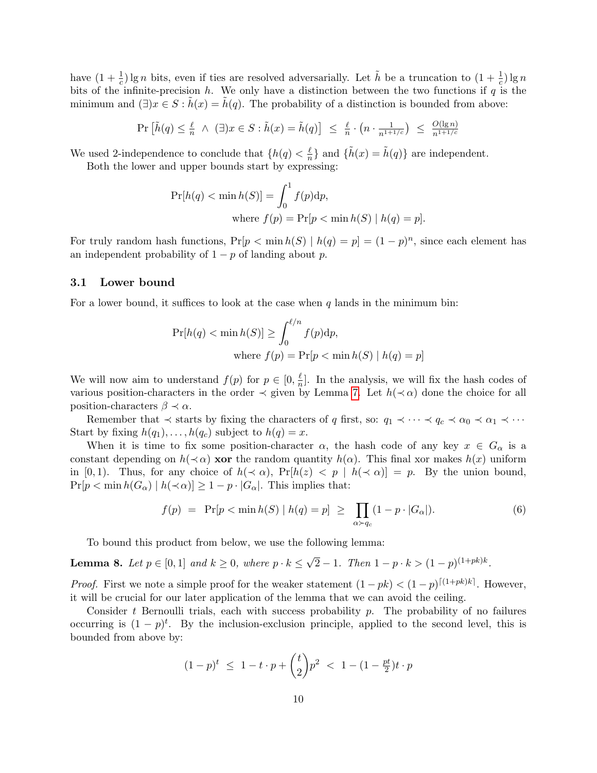have  $(1+\frac{1}{c})\lg n$  bits, even if ties are resolved adversarially. Let  $\tilde{h}$  be a truncation to  $(1+\frac{1}{c})\lg n$ bits of the infinite-precision  $h$ . We only have a distinction between the two functions if  $q$  is the minimum and  $(\exists)x \in S : h(x) = h(q)$ . The probability of a distinction is bounded from above:

$$
\Pr\left[\tilde{h}(q) \leq \frac{\ell}{n} \ \wedge \ (\exists)x \in S : \tilde{h}(x) = \tilde{h}(q)\right] \ \leq \ \frac{\ell}{n} \cdot \left(n \cdot \frac{1}{n^{1+1/c}}\right) \ \leq \ \frac{O(\lg n)}{n^{1+1/c}}
$$

We used 2-independence to conclude that  $\{h(q) < \frac{\ell}{n}\}$  $\frac{\ell}{n}$  and  $\{\tilde{h}(x) = \tilde{h}(q)\}\$ are independent.

Both the lower and upper bounds start by expressing:

$$
Pr[h(q) < min h(S)] = \int_0^1 f(p) dp,
$$
  
where  $f(p) = Pr[p < min h(S) | h(q) = p].$ 

For truly random hash functions,  $Pr[p \leq \min h(S) | h(q) = p] = (1 - p)^n$ , since each element has an independent probability of  $1 - p$  of landing about p.

#### <span id="page-10-0"></span>3.1 Lower bound

For a lower bound, it suffices to look at the case when  $q$  lands in the minimum bin:

$$
\Pr[h(q) < \min h(S)] \ge \int_0^{\ell/n} f(p) \, dp,
$$
\n
$$
\text{where } f(p) = \Pr[p < \min h(S) \mid h(q) = p]
$$

We will now aim to understand  $f(p)$  for  $p \in [0, \frac{\ell}{n}]$  $\frac{\ell}{n}$ . In the analysis, we will fix the hash codes of various position-characters in the order  $\prec$  given by Lemma [7.](#page-9-2) Let  $h(\prec \alpha)$  done the choice for all position-characters  $\beta \prec \alpha$ .

Remember that  $\prec$  starts by fixing the characters of q first, so:  $q_1 \prec \cdots \prec q_c \prec \alpha_0 \prec \alpha_1 \prec \cdots$ Start by fixing  $h(q_1), \ldots, h(q_c)$  subject to  $h(q) = x$ .

When it is time to fix some position-character  $\alpha$ , the hash code of any key  $x \in G_\alpha$  is a constant depending on  $h(\prec \alpha)$  xor the random quantity  $h(\alpha)$ . This final xor makes  $h(x)$  uniform in [0, 1). Thus, for any choice of  $h(\prec \alpha)$ ,  $Pr[h(z) < p \mid h(\prec \alpha)] = p$ . By the union bound,  $Pr[p < \min h(G_\alpha) | h(\prec \alpha)] \geq 1 - p \cdot |G_\alpha|$ . This implies that:

<span id="page-10-1"></span>
$$
f(p) = \Pr[p < \min h(S) \mid h(q) = p] \ge \prod_{\alpha \succ q_c} (1 - p \cdot |G_{\alpha}|). \tag{6}
$$

To bound this product from below, we use the following lemma:

**Lemma 8.** Let  $p \in [0,1]$  and  $k \geq 0$ , where  $p \cdot k \leq$ √  $\overline{2} - 1$ . Then  $1 - p \cdot k > (1 - p)^{(1 + pk)k}$ .

*Proof.* First we note a simple proof for the weaker statement  $(1 - pk) < (1 - p)^{[(1+pk)k]}$ . However, it will be crucial for our later application of the lemma that we can avoid the ceiling.

Consider t Bernoulli trials, each with success probability  $p$ . The probability of no failures occurring is  $(1-p)^t$ . By the inclusion-exclusion principle, applied to the second level, this is bounded from above by:

$$
(1-p)^{t} \leq 1 - t \cdot p + {t \choose 2} p^{2} < 1 - (1 - \frac{pt}{2})t \cdot p
$$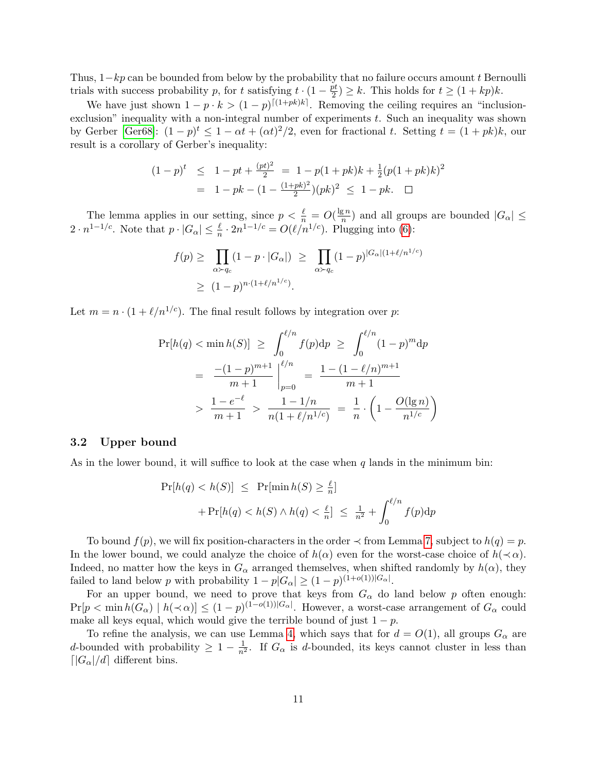Thus,  $1-kp$  can be bounded from below by the probability that no failure occurs amount t Bernoulli trials with success probability p, for t satisfying  $t \cdot (1 - \frac{pt}{2})$  $\frac{\partial u}{\partial t}$ )  $\geq k$ . This holds for  $t \geq (1 + kp)k$ .

We have just shown  $1 - p \cdot k > (1 - p)^{[(1 + pk)k]}$ . Removing the ceiling requires an "inclusionexclusion" inequality with a non-integral number of experiments  $t$ . Such an inequality was shown by Gerber [\[Ger68\]](#page-43-9):  $(1-p)^t \leq 1-\alpha t + (\alpha t)^2/2$ , even for fractional t. Setting  $t = (1 + pk)k$ , our result is a corollary of Gerber's inequality:

$$
(1-p)^t \le 1 - pt + \frac{(pt)^2}{2} = 1 - p(1+pk)k + \frac{1}{2}(p(1+pk)k)^2
$$
  
= 1 - pk - (1 -  $\frac{(1+pk)^2}{2}$ )(pk)<sup>2</sup>  $\le 1 - pk$ .  $\square$ 

The lemma applies in our setting, since  $p < \frac{\ell}{n} = O(\frac{\lg n}{n})$  $\frac{\mathbb{E}^n}{n}$  and all groups are bounded  $|G_\alpha| \leq$  $2 \cdot n^{1-1/c}$ . Note that  $p \cdot |G_{\alpha}| \leq \frac{\ell}{n} \cdot 2n^{1-1/c} = O(\ell/n^{1/c})$ . Plugging into [\(6\)](#page-10-1):

$$
f(p) \geq \prod_{\alpha \succ q_c} (1 - p \cdot |G_{\alpha}|) \geq \prod_{\alpha \succ q_c} (1 - p)^{|G_{\alpha}| (1 + \ell/n^{1/c})}
$$
  
 
$$
\geq (1 - p)^{n \cdot (1 + \ell/n^{1/c})}.
$$

Let  $m = n \cdot (1 + \ell/n^{1/c})$ . The final result follows by integration over p:

$$
\Pr[h(q) < \min h(S)] \ge \int_0^{\ell/n} f(p) \, dp \ge \int_0^{\ell/n} (1-p)^m \, dp
$$
\n
$$
= \left. \frac{-(1-p)^{m+1}}{m+1} \right|_{p=0}^{\ell/n} = \frac{1 - (1 - \ell/n)^{m+1}}{m+1}
$$
\n
$$
> \frac{1 - e^{-\ell}}{m+1} > \frac{1 - 1/n}{n(1 + \ell/n^{1/c})} = \frac{1}{n} \cdot \left( 1 - \frac{O(\lg n)}{n^{1/c}} \right)
$$

### <span id="page-11-0"></span>3.2 Upper bound

As in the lower bound, it will suffice to look at the case when q lands in the minimum bin:

$$
Pr[h(q) < h(S)] \leq Pr[\min h(S) \geq \frac{\ell}{n}]
$$
\n
$$
+ Pr[h(q) < h(S) \land h(q) < \frac{\ell}{n}] \leq \frac{1}{n^2} + \int_0^{\ell/n} f(p) \, dp
$$

To bound  $f(p)$ , we will fix position-characters in the order  $\prec$  from Lemma [7,](#page-9-2) subject to  $h(q) = p$ . In the lower bound, we could analyze the choice of  $h(\alpha)$  even for the worst-case choice of  $h(\prec \alpha)$ . Indeed, no matter how the keys in  $G_{\alpha}$  arranged themselves, when shifted randomly by  $h(\alpha)$ , they failed to land below p with probability  $1 - p|G_\alpha| \ge (1 - p)^{(1 + o(1))|G_\alpha|}$ .

For an upper bound, we need to prove that keys from  $G_{\alpha}$  do land below p often enough:  $Pr[p < \min h(G_\alpha) \mid h(\prec \alpha)] \le (1-p)^{(1-o(1))|G_\alpha|}$ . However, a worst-case arrangement of  $G_\alpha$  could make all keys equal, which would give the terrible bound of just  $1 - p$ .

To refine the analysis, we can use Lemma [4,](#page-7-0) which says that for  $d = O(1)$ , all groups  $G_{\alpha}$  are d-bounded with probability  $\geq 1 - \frac{1}{n^2}$ . If  $G_{\alpha}$  is d-bounded, its keys cannot cluster in less than  $\left[|G_{\alpha}|/d\right]$  different bins.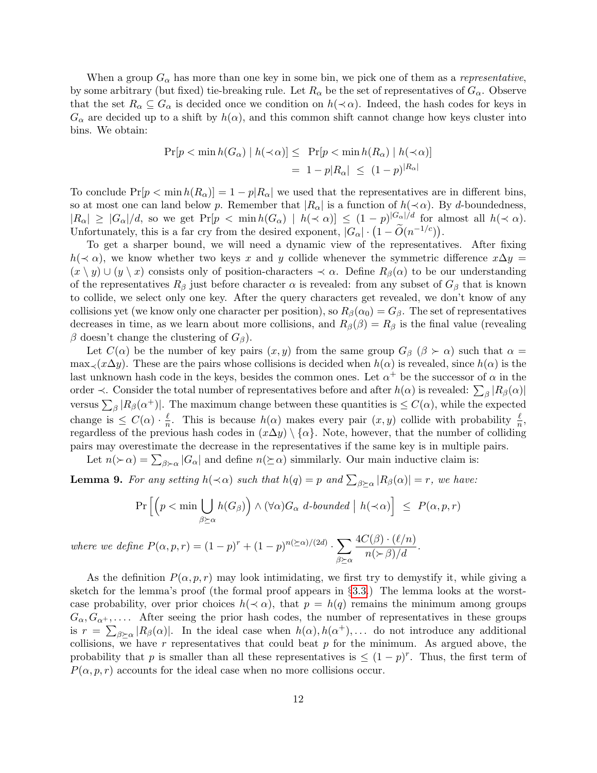When a group  $G_{\alpha}$  has more than one key in some bin, we pick one of them as a *representative*, by some arbitrary (but fixed) tie-breaking rule. Let  $R_{\alpha}$  be the set of representatives of  $G_{\alpha}$ . Observe that the set  $R_{\alpha} \subseteq G_{\alpha}$  is decided once we condition on  $h(\prec \alpha)$ . Indeed, the hash codes for keys in  $G_{\alpha}$  are decided up to a shift by  $h(\alpha)$ , and this common shift cannot change how keys cluster into bins. We obtain:

$$
\Pr[p < \min h(G_{\alpha}) \mid h(\prec \alpha)] \leq \Pr[p < \min h(R_{\alpha}) \mid h(\prec \alpha)]
$$
\n
$$
= 1 - p|R_{\alpha}| \leq (1 - p)|R_{\alpha}|
$$

To conclude  $Pr[p \leq \min h(R_{\alpha})] = 1 - p|R_{\alpha}|$  we used that the representatives are in different bins, so at most one can land below p. Remember that  $|R_{\alpha}|$  is a function of  $h(\prec \alpha)$ . By d-boundedness,  $|R_{\alpha}| \geq |G_{\alpha}|/d$ , so we get  $Pr[p \lt \min h(G_{\alpha}) | h(\lt \alpha)] \leq (1-p)^{|G_{\alpha}|/d}$  for almost all  $h(\lt \alpha)$ . Unfortunately, this is a far cry from the desired exponent,  $|G_{\alpha}| \cdot (1 - \widetilde{O}(n^{-1/c}))$ .

To get a sharper bound, we will need a dynamic view of the representatives. After fixing  $h(\prec \alpha)$ , we know whether two keys x and y collide whenever the symmetric difference  $x\Delta y =$  $(x \setminus y) \cup (y \setminus x)$  consists only of position-characters  $\prec \alpha$ . Define  $R_\beta(\alpha)$  to be our understanding of the representatives  $R_\beta$  just before character  $\alpha$  is revealed: from any subset of  $G_\beta$  that is known to collide, we select only one key. After the query characters get revealed, we don't know of any collisions yet (we know only one character per position), so  $R_\beta(\alpha_0) = G_\beta$ . The set of representatives decreases in time, as we learn about more collisions, and  $R_\beta(\beta) = R_\beta$  is the final value (revealing β doesn't change the clustering of  $G_\beta$ ).

Let  $C(\alpha)$  be the number of key pairs  $(x, y)$  from the same group  $G_\beta$  ( $\beta > \alpha$ ) such that  $\alpha =$  $\max_{\prec}(x\Delta y)$ . These are the pairs whose collisions is decided when  $h(\alpha)$  is revealed, since  $h(\alpha)$  is the last unknown hash code in the keys, besides the common ones. Let  $\alpha^+$  be the successor of  $\alpha$  in the order  $\prec$ . Consider the total number of representatives before and after  $h(\alpha)$  is revealed:  $\sum_{\beta} |R_{\beta}(\alpha)|$ versus  $\sum_{\beta} |R_{\beta}(\alpha^+)|$ . The maximum change between these quantities is  $\leq C(\alpha)$ , while the expected change is  $\leq C(\alpha) \cdot \frac{\ell}{n}$  $\frac{\ell}{n}$ . This is because  $h(\alpha)$  makes every pair  $(x, y)$  collide with probability  $\frac{\ell}{n}$ , regardless of the previous hash codes in  $(x\Delta y) \setminus \{\alpha\}$ . Note, however, that the number of colliding pairs may overestimate the decrease in the representatives if the same key is in multiple pairs.

Let  $n(\succ \alpha) = \sum_{\beta \succ \alpha} |G_{\alpha}|$  and define  $n(\succeq \alpha)$  simmilarly. Our main inductive claim is:

<span id="page-12-0"></span>**Lemma 9.** For any setting  $h(\prec \alpha)$  such that  $h(q) = p$  and  $\sum_{\beta \succeq \alpha} |R_{\beta}(\alpha)| = r$ , we have:

$$
\Pr\left[\left(p < \min \bigcup_{\beta \succeq \alpha} h(G_{\beta})\right) \wedge (\forall \alpha) G_{\alpha} \ d\text{-bounded} \mid h(\prec \alpha)\right] \leq P(\alpha, p, r)
$$

where we define  $P(\alpha, p, r) = (1-p)^r + (1-p)^{n(\succeq \alpha)/(2d)} \cdot \sum$  $β\succeqα$  $\frac{4C(\beta) \cdot (\ell/n)}{n(\succ \beta)/d}.$ 

As the definition  $P(\alpha, p, r)$  may look intimidating, we first try to demystify it, while giving a sketch for the lemma's proof (the formal proof appears in §[3.3.](#page-14-0)) The lemma looks at the worstcase probability, over prior choices  $h(\prec \alpha)$ , that  $p = h(q)$  remains the minimum among groups  $G_{\alpha}, G_{\alpha^+}, \ldots$ . After seeing the prior hash codes, the number of representatives in these groups is  $r = \sum_{\beta \succeq \alpha} |R_{\beta}(\alpha)|$ . In the ideal case when  $h(\alpha), h(\alpha^+), \dots$  do not introduce any additional collisions, we have  $r$  representatives that could beat  $p$  for the minimum. As argued above, the probability that p is smaller than all these representatives is  $\leq (1-p)^r$ . Thus, the first term of  $P(\alpha, p, r)$  accounts for the ideal case when no more collisions occur.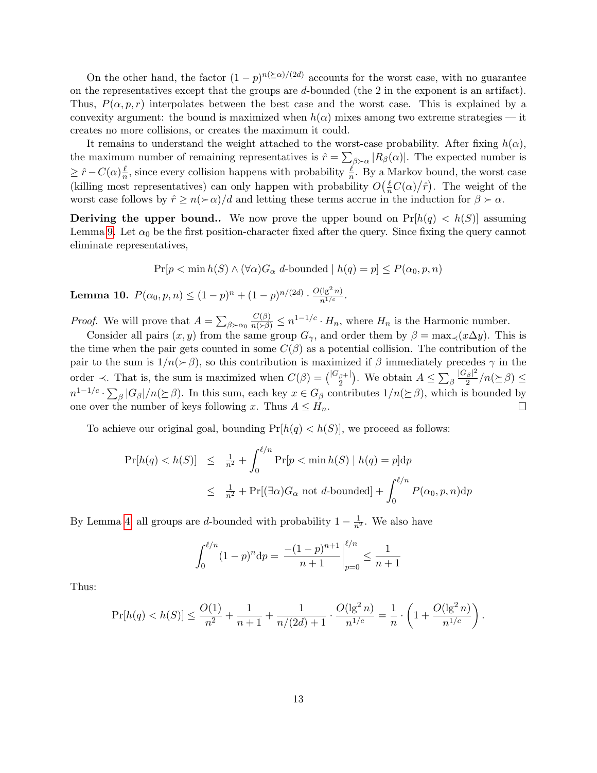On the other hand, the factor  $(1-p)^{n(\succeq \alpha)/(2d)}$  accounts for the worst case, with no guarantee on the representatives except that the groups are d-bounded (the 2 in the exponent is an artifact). Thus,  $P(\alpha, p, r)$  interpolates between the best case and the worst case. This is explained by a convexity argument: the bound is maximized when  $h(\alpha)$  mixes among two extreme strategies — it creates no more collisions, or creates the maximum it could.

It remains to understand the weight attached to the worst-case probability. After fixing  $h(\alpha)$ , the maximum number of remaining representatives is  $\hat{r} = \sum_{\beta \succ \alpha} |R_{\beta}(\alpha)|$ . The expected number is  $\geq \hat{r} - C(\alpha) \frac{\ell}{n}$  $\frac{\ell}{n}$ , since every collision happens with probability  $\frac{\ell}{n}$ . By a Markov bound, the worst case (killing most representatives) can only happen with probability  $O(\frac{\ell}{n}C(\alpha)/\hat{r})$ . The weight of the worst case follows by  $\hat{r} \ge n(\succ \alpha)/d$  and letting these terms accrue in the induction for  $\beta \succ \alpha$ .

**Deriving the upper bound..** We now prove the upper bound on  $Pr[h(q) < h(S)]$  assuming Lemma [9.](#page-12-0) Let  $\alpha_0$  be the first position-character fixed after the query. Since fixing the query cannot eliminate representatives,

 $Pr[p < \min h(S) \land (\forall \alpha) G_{\alpha} d$ -bounded  $| h(q) = p | \leq P(\alpha_0, p, n)$ 

**Lemma 10.**  $P(\alpha_0, p, n) \le (1-p)^n + (1-p)^{n/(2d)} \cdot \frac{O(\lg^2 n)}{n^{1/c}}$ .

*Proof.* We will prove that  $A = \sum_{\beta \succ \alpha_0}$  $\frac{C(\beta)}{n(\geq \beta)} \leq n^{1-1/c} \cdot H_n$ , where  $H_n$  is the Harmonic number.

Consider all pairs  $(x, y)$  from the same group  $G_{\gamma}$ , and order them by  $\beta = \max_{\gamma}(x \Delta y)$ . This is the time when the pair gets counted in some  $C(\beta)$  as a potential collision. The contribution of the pair to the sum is  $1/n(\geq \beta)$ , so this contribution is maximized if  $\beta$  immediately precedes  $\gamma$  in the  $|G_\beta|^2$ order  $\prec$ . That is, the sum is maximized when  $C(\beta) = {\binom{|G_{\beta}|}{2}}$ . We obtain  $A \leq \sum_{\beta}$  $\frac{\beta}{2}/n(\succeq\beta)\leq$  $n^{1-1/c} \cdot \sum_{\beta} |G_{\beta}|/n(\succeq \beta)$ . In this sum, each key  $x \in G_{\beta}$  contributes  $1/n(\succeq \beta)$ , which is bounded by one over the number of keys following x. Thus  $A \leq H_n$ .  $\Box$ 

To achieve our original goal, bounding  $Pr[h(q) < h(S)]$ , we proceed as follows:

$$
\Pr[h(q) < h(S)] \leq \frac{1}{n^2} + \int_0^{\ell/n} \Pr[p < \min h(S) \mid h(q) = p] \, dp
$$
\n
$$
\leq \frac{1}{n^2} + \Pr[(\exists \alpha) G_\alpha \text{ not } d\text{-bounded}] + \int_0^{\ell/n} P(\alpha_0, p, n) \, dp
$$

By Lemma [4,](#page-7-0) all groups are d-bounded with probability  $1 - \frac{1}{n^2}$ . We also have

$$
\int_0^{\ell/n} (1-p)^n dp = \left. \frac{-(1-p)^{n+1}}{n+1} \right|_{p=0}^{\ell/n} \le \frac{1}{n+1}
$$

Thus:

$$
\Pr[h(q) < h(S)] \le \frac{O(1)}{n^2} + \frac{1}{n+1} + \frac{1}{n/(2d)+1} \cdot \frac{O(\lg^2 n)}{n^{1/c}} = \frac{1}{n} \cdot \left(1 + \frac{O(\lg^2 n)}{n^{1/c}}\right).
$$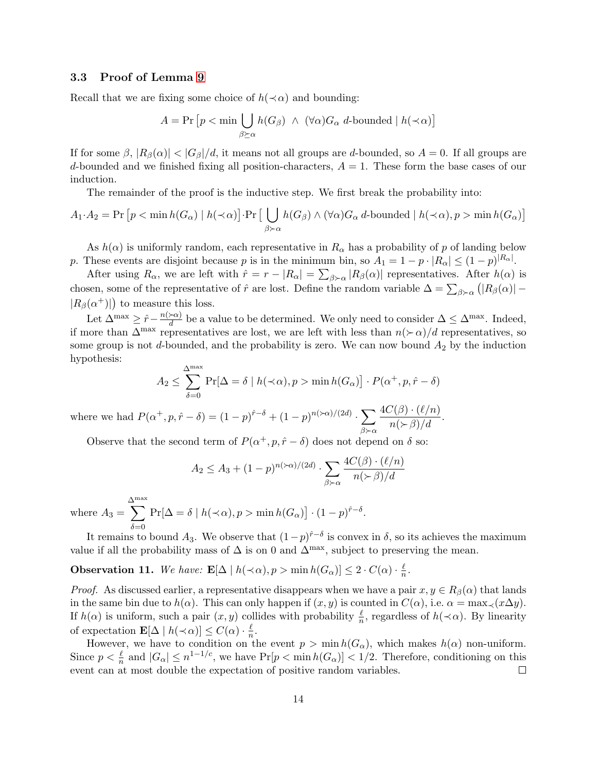### <span id="page-14-0"></span>3.3 Proof of Lemma [9](#page-12-0)

Recall that we are fixing some choice of  $h(\prec \alpha)$  and bounding:

$$
A = \Pr \left[ p < \min \bigcup_{\beta \succeq \alpha} h(G_{\beta}) \ \wedge \ (\forall \alpha) G_{\alpha} \ d\text{-bounded} \mid h(\prec \alpha) \right]
$$

If for some  $\beta$ ,  $|R_{\beta}(\alpha)| < |G_{\beta}|/d$ , it means not all groups are d-bounded, so  $A = 0$ . If all groups are d-bounded and we finished fixing all position-characters,  $A = 1$ . These form the base cases of our induction.

The remainder of the proof is the inductive step. We first break the probability into:

$$
A_1 \cdot A_2 = \Pr \left[ p < \min h(G_\alpha) \mid h(\prec \alpha) \right] \cdot \Pr \left[ \bigcup_{\beta \succ \alpha} h(G_\beta) \land (\forall \alpha) G_\alpha \ d \text{-bounded} \mid h(\prec \alpha), p > \min h(G_\alpha) \right]
$$

As  $h(\alpha)$  is uniformly random, each representative in  $R_{\alpha}$  has a probability of p of landing below p. These events are disjoint because p is in the minimum bin, so  $A_1 = 1 - p \cdot |R_\alpha| \le (1 - p)^{|R_\alpha|}$ .

After using  $R_{\alpha}$ , we are left with  $\hat{r} = r - |R_{\alpha}| = \sum_{\beta \succ \alpha} |R_{\beta}(\alpha)|$  representatives. After  $h(\alpha)$  is chosen, some of the representative of  $\hat{r}$  are lost. Define the random variable  $\Delta = \sum_{\beta \succ \alpha} (|R_{\beta}(\alpha)| |R_{\beta}(\alpha^+)|$  to measure this loss.

Let  $\Delta^{\max} \geq \hat{r} - \frac{n(\succ \alpha)}{d}$  $\frac{\partial \alpha}{\partial d}$  be a value to be determined. We only need to consider  $\Delta \leq \Delta^{\max}$ . Indeed, if more than  $\Delta^{\max}$  representatives are lost, we are left with less than  $n(\succ \alpha)/d$  representatives, so some group is not d-bounded, and the probability is zero. We can now bound  $A_2$  by the induction hypothesis:

$$
A_2 \le \sum_{\delta=0}^{\Delta^{\max}} \Pr[\Delta = \delta \mid h(\prec \alpha), p > \min h(G_\alpha)] \cdot P(\alpha^+, p, \hat{r} - \delta)
$$

where we had  $P(\alpha^+, p, \hat{r} - \delta) = (1-p)^{\hat{r}-\delta} + (1-p)^{n(\geq \alpha)/(2d)}$ .  $\beta \succ \alpha$  $\frac{4C(\beta) \cdot (\ell/n)}{n(\succ \beta)/d}.$ 

Observe that the second term of  $P(\alpha^+, p, \hat{r} - \delta)$  does not depend on  $\delta$  so:

$$
A_2 \le A_3 + (1-p)^{n(\succ\alpha)/(2d)} \cdot \sum_{\beta \succ \alpha} \frac{4C(\beta) \cdot (\ell/n)}{n(\succ \beta)/d}
$$

where  $A_3 =$  $\sum^{\text{max}}$  $\delta = 0$  $\Pr[\Delta = \delta \mid h(\prec \alpha), p > \min h(G_{\alpha})] \cdot (1-p)^{\hat{r}-\delta}.$ 

It remains to bound  $A_3$ . We observe that  $(1-p)^{\hat{r}-\delta}$  is convex in  $\delta$ , so its achieves the maximum value if all the probability mass of  $\Delta$  is on 0 and  $\Delta^{\max}$ , subject to preserving the mean.

**Observation 11.** We have:  $\mathbf{E}[\Delta \mid h(\prec \alpha), p > \min h(G_\alpha)] \leq 2 \cdot C(\alpha) \cdot \frac{\ell}{n}$  $\frac{\ell}{n}$  .

*Proof.* As discussed earlier, a representative disappears when we have a pair  $x, y \in R_\beta(\alpha)$  that lands in the same bin due to  $h(\alpha)$ . This can only happen if  $(x, y)$  is counted in  $C(\alpha)$ , i.e.  $\alpha = \max_{\prec} (x \Delta y)$ . If  $h(\alpha)$  is uniform, such a pair  $(x, y)$  collides with probability  $\frac{\ell}{n}$ , regardless of  $h(\prec \alpha)$ . By linearity of expectation  $\mathbf{E}[\Delta \mid h(\prec \alpha)] \leq C(\alpha) \cdot \frac{\ell}{n}$  $\frac{\ell}{n}$ .

However, we have to condition on the event  $p > \min h(G_\alpha)$ , which makes  $h(\alpha)$  non-uniform. Since  $p < \frac{\ell}{n}$  and  $|G_{\alpha}| \leq n^{1-1/c}$ , we have  $Pr[p < \min h(G_{\alpha})] < 1/2$ . Therefore, conditioning on this event can at most double the expectation of positive random variables.  $\Box$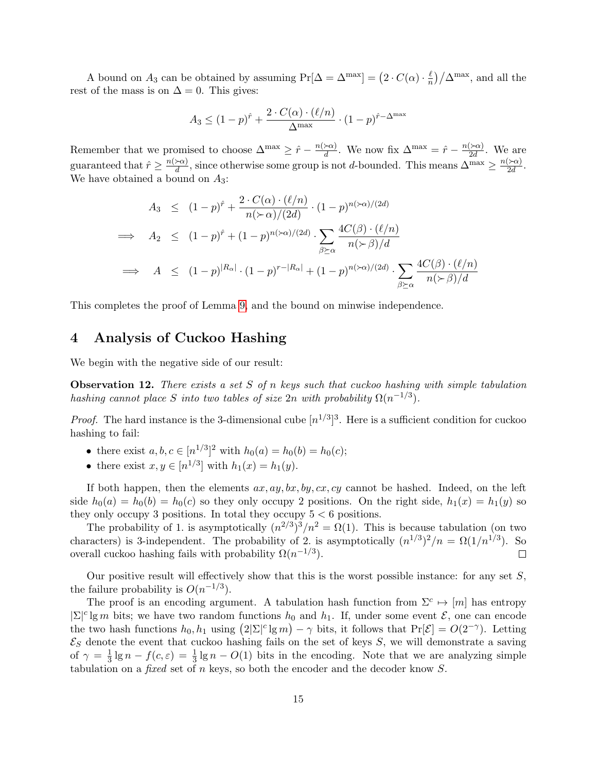A bound on  $A_3$  can be obtained by assuming  $Pr[\Delta = \Delta^{\max}] = (2 \cdot C(\alpha) \cdot \frac{\ell}{n})$  $\frac{\ell}{n}$  $\frac{1}{\Delta}$   $\Delta$ <sup>max</sup>, and all the rest of the mass is on  $\Delta = 0$ . This gives:

$$
A_3 \le (1-p)^{\hat{r}} + \frac{2 \cdot C(\alpha) \cdot (\ell/n)}{\Delta^{\max}} \cdot (1-p)^{\hat{r}-\Delta^{\max}}
$$

Remember that we promised to choose  $\Delta^{\max} \geq \hat{r} - \frac{n(\succ \alpha)}{d}$  $\frac{\partial \alpha}{\partial d}$ . We now fix  $\Delta^{\max} = \hat{r} - \frac{n(\epsilon \alpha)}{2d}$  $\frac{(\geq \alpha)}{2d}$ . We are guaranteed that  $\hat{r} \geq \frac{n(\succ a)}{d}$  $\frac{\partial \alpha}{\partial d}$ , since otherwise some group is not d-bounded. This means  $\Delta^{\max} \ge \frac{n(\nabla \alpha)}{2d}$  $\frac{\sum x_i}{2d}$ . We have obtained a bound on  $A_3$ :

$$
A_3 \le (1-p)^{\hat{r}} + \frac{2 \cdot C(\alpha) \cdot (\ell/n)}{n(\succ \alpha)/(2d)} \cdot (1-p)^{n(\succ \alpha)/(2d)}
$$
  
\n
$$
\implies A_2 \le (1-p)^{\hat{r}} + (1-p)^{n(\succ \alpha)/(2d)} \cdot \sum_{\beta \succeq \alpha} \frac{4C(\beta) \cdot (\ell/n)}{n(\succ \beta)/d}
$$
  
\n
$$
\implies A \le (1-p)^{|R_{\alpha}|} \cdot (1-p)^{r-|R_{\alpha}|} + (1-p)^{n(\succ \alpha)/(2d)} \cdot \sum_{\beta \succeq \alpha} \frac{4C(\beta) \cdot (\ell/n)}{n(\succ \beta)/d}
$$

This completes the proof of Lemma [9,](#page-12-0) and the bound on minwise independence.

# <span id="page-15-0"></span>4 Analysis of Cuckoo Hashing

We begin with the negative side of our result:

**Observation 12.** There exists a set S of n keys such that cuckoo hashing with simple tabulation hashing cannot place S into two tables of size  $2n$  with probability  $\Omega(n^{-1/3})$ .

*Proof.* The hard instance is the 3-dimensional cube  $[n^{1/3}]^3$ . Here is a sufficient condition for cuckoo hashing to fail:

- there exist  $a, b, c \in [n^{1/3}]^2$  with  $h_0(a) = h_0(b) = h_0(c)$ ;
- there exist  $x, y \in [n^{1/3}]$  with  $h_1(x) = h_1(y)$ .

If both happen, then the elements  $ax, ay, bx, by, cx, cy$  cannot be hashed. Indeed, on the left side  $h_0(a) = h_0(b) = h_0(c)$  so they only occupy 2 positions. On the right side,  $h_1(x) = h_1(y)$  so they only occupy 3 positions. In total they occupy  $5 < 6$  positions.

The probability of 1. is asymptotically  $(n^{2/3})^3/n^2 = \Omega(1)$ . This is because tabulation (on two characters) is 3-independent. The probability of 2. is asymptotically  $(n^{1/3})^2/n = \Omega(1/n^{1/3})$ . So overall cuckoo hashing fails with probability  $\Omega(n^{-1/3})$ .  $\Box$ 

Our positive result will effectively show that this is the worst possible instance: for any set  $S$ , the failure probability is  $O(n^{-1/3})$ .

The proof is an encoding argument. A tabulation hash function from  $\Sigma^c \mapsto [m]$  has entropy  $|\Sigma|^c \lg m$  bits; we have two random functions  $h_0$  and  $h_1$ . If, under some event  $\mathcal{E}$ , one can encode the two hash functions  $h_0, h_1$  using  $(2|\Sigma|^c \lg m) - \gamma$  bits, it follows that  $\Pr[\mathcal{E}] = O(2^{-\gamma})$ . Letting  $\mathcal{E}_S$  denote the event that cuckoo hashing fails on the set of keys S, we will demonstrate a saving of  $\gamma = \frac{1}{3}$  $\frac{1}{3}$  lg  $n - f(c, \varepsilon) = \frac{1}{3}$  lg  $n - O(1)$  bits in the encoding. Note that we are analyzing simple tabulation on a *fixed* set of n keys, so both the encoder and the decoder know  $S$ .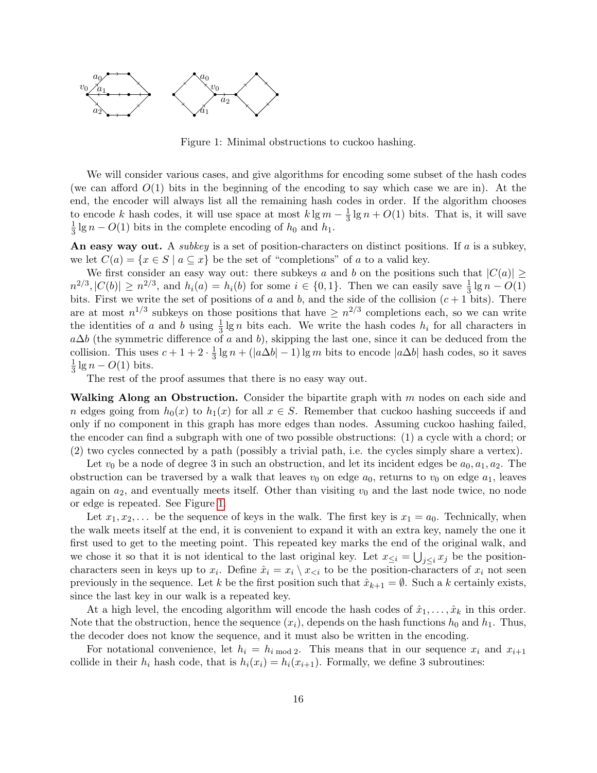

<span id="page-16-0"></span>Figure 1: Minimal obstructions to cuckoo hashing.

We will consider various cases, and give algorithms for encoding some subset of the hash codes (we can afford  $O(1)$  bits in the beginning of the encoding to say which case we are in). At the end, the encoder will always list all the remaining hash codes in order. If the algorithm chooses to encode k hash codes, it will use space at most  $k \lg m - \frac{1}{3}$  $\frac{1}{3}$  lg  $n + O(1)$  bits. That is, it will save 1  $\frac{1}{3}$  lg  $n - O(1)$  bits in the complete encoding of  $h_0$  and  $h_1$ .

An easy way out. A *subkey* is a set of position-characters on distinct positions. If a is a subkey, we let  $C(a) = \{x \in S \mid a \subseteq x\}$  be the set of "completions" of a to a valid key.

We first consider an easy way out: there subkeys a and b on the positions such that  $|C(a)| \ge$  $n^{2/3}, |C(b)| \ge n^{2/3}$ , and  $h_i(a) = h_i(b)$  for some  $i \in \{0, 1\}$ . Then we can easily save  $\frac{1}{3} \lg n - O(1)$ bits. First we write the set of positions of a and b, and the side of the collision  $(c + 1)$  bits). There are at most  $n^{1/3}$  subkeys on those positions that have  $\geq n^{2/3}$  completions each, so we can write the identities of a and b using  $\frac{1}{3} \lg n$  bits each. We write the hash codes  $h_i$  for all characters in  $a\Delta b$  (the symmetric difference of a and b), skipping the last one, since it can be deduced from the collision. This uses  $c+1+2\cdot \frac{1}{3}$  $\frac{1}{3}$  lg  $n + (|a\Delta b| - 1)$  lg m bits to encode  $|a\Delta b|$  hash codes, so it saves 1  $\frac{1}{3}$  lg  $n - O(1)$  bits.

The rest of the proof assumes that there is no easy way out.

Walking Along an Obstruction. Consider the bipartite graph with  $m$  nodes on each side and n edges going from  $h_0(x)$  to  $h_1(x)$  for all  $x \in S$ . Remember that cuckoo hashing succeeds if and only if no component in this graph has more edges than nodes. Assuming cuckoo hashing failed, the encoder can find a subgraph with one of two possible obstructions: (1) a cycle with a chord; or (2) two cycles connected by a path (possibly a trivial path, i.e. the cycles simply share a vertex).

Let  $v_0$  be a node of degree 3 in such an obstruction, and let its incident edges be  $a_0, a_1, a_2$ . The obstruction can be traversed by a walk that leaves  $v_0$  on edge  $a_0$ , returns to  $v_0$  on edge  $a_1$ , leaves again on  $a_2$ , and eventually meets itself. Other than visiting  $v_0$  and the last node twice, no node or edge is repeated. See Figure [1.](#page-16-0)

Let  $x_1, x_2, \ldots$  be the sequence of keys in the walk. The first key is  $x_1 = a_0$ . Technically, when the walk meets itself at the end, it is convenient to expand it with an extra key, namely the one it first used to get to the meeting point. This repeated key marks the end of the original walk, and we chose it so that it is not identical to the last original key. Let  $x_{\leq i} = \bigcup_{j\leq i} x_j$  be the positioncharacters seen in keys up to  $x_i$ . Define  $\hat{x}_i = x_i \setminus x_{\leq i}$  to be the position-characters of  $x_i$  not seen previously in the sequence. Let k be the first position such that  $\hat{x}_{k+1} = \emptyset$ . Such a k certainly exists, since the last key in our walk is a repeated key.

At a high level, the encoding algorithm will encode the hash codes of  $\hat{x}_1, \ldots, \hat{x}_k$  in this order. Note that the obstruction, hence the sequence  $(x_i)$ , depends on the hash functions  $h_0$  and  $h_1$ . Thus, the decoder does not know the sequence, and it must also be written in the encoding.

For notational convenience, let  $h_i = h_{i \mod 2}$ . This means that in our sequence  $x_i$  and  $x_{i+1}$ collide in their  $h_i$  hash code, that is  $h_i(x_i) = h_i(x_{i+1})$ . Formally, we define 3 subroutines: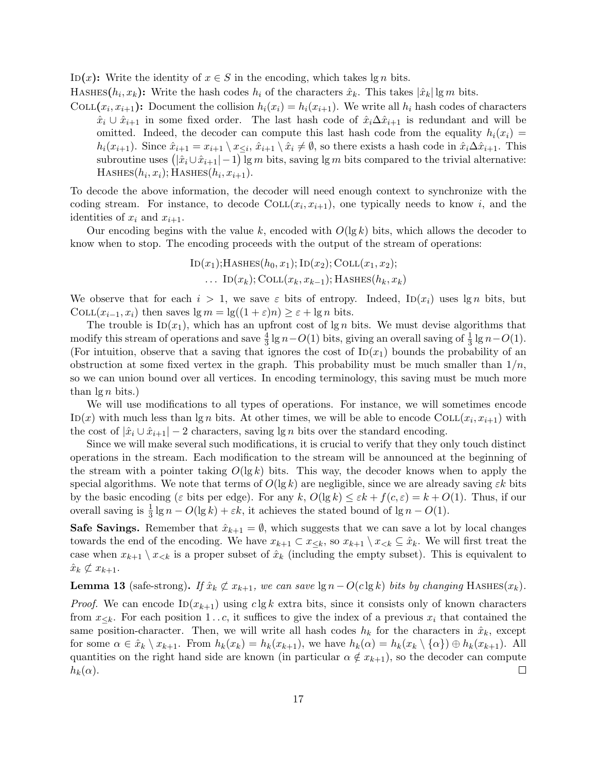ID(x): Write the identity of  $x \in S$  in the encoding, which takes lg n bits.

HASHES $(h_i, x_k)$ : Write the hash codes  $h_i$  of the characters  $\hat{x}_k$ . This takes  $|\hat{x}_k|$  lg m bits.

COLL $(x_i, x_{i+1})$ : Document the collision  $h_i(x_i) = h_i(x_{i+1})$ . We write all  $h_i$  hash codes of characters  $\hat{x}_i \cup \hat{x}_{i+1}$  in some fixed order. The last hash code of  $\hat{x}_i \Delta \hat{x}_{i+1}$  is redundant and will be omitted. Indeed, the decoder can compute this last hash code from the equality  $h_i(x_i)$  =  $h_i(x_{i+1})$ . Since  $\hat{x}_{i+1} = x_{i+1} \setminus x_{\leq i}, \hat{x}_{i+1} \setminus \hat{x}_i \neq \emptyset$ , so there exists a hash code in  $\hat{x}_i \Delta \hat{x}_{i+1}$ . This subroutine uses  $(|\hat{x}_i \cup \hat{x}_{i+1}| - 1)$  lg m bits, saving lg m bits compared to the trivial alternative:  $HASHES(h_i, x_i);$  HASHES $(h_i, x_{i+1}).$ 

To decode the above information, the decoder will need enough context to synchronize with the coding stream. For instance, to decode  $COLL(x_i, x_{i+1})$ , one typically needs to know i, and the identities of  $x_i$  and  $x_{i+1}$ .

Our encoding begins with the value k, encoded with  $O(\lg k)$  bits, which allows the decoder to know when to stop. The encoding proceeds with the output of the stream of operations:

$$
ID(x1);
$$
HASHES( $h0, x1$ ); 
$$
ID(x2);
$$
COLL( $x1, x2$ );  
... 
$$
ID(xk);
$$
COLL( $xk, xk-1$ ); HASHES( $hk, xk$ )

We observe that for each  $i > 1$ , we save  $\varepsilon$  bits of entropy. Indeed,  $\text{ID}(x_i)$  uses  $\lg n$  bits, but COLL $(x_{i-1}, x_i)$  then saves  $\lg m = \lg((1+\varepsilon)n) \geq \varepsilon + \lg n$  bits.

The trouble is  $\text{ID}(x_1)$ , which has an upfront cost of  $\lg n$  bits. We must devise algorithms that modify this stream of operations and save  $\frac{4}{3} \lg n - O(1)$  bits, giving an overall saving of  $\frac{1}{3} \lg n - O(1)$ . (For intuition, observe that a saving that ignores the cost of  $\text{ID}(x_1)$  bounds the probability of an obstruction at some fixed vertex in the graph. This probability must be much smaller than  $1/n$ , so we can union bound over all vertices. In encoding terminology, this saving must be much more than  $\lg n$  bits.)

We will use modifications to all types of operations. For instance, we will sometimes encode ID(x) with much less than  $\lg n$  bits. At other times, we will be able to encode COLL $(x_i, x_{i+1})$  with the cost of  $|\hat{x}_i \cup \hat{x}_{i+1}| - 2$  characters, saving lg n bits over the standard encoding.

Since we will make several such modifications, it is crucial to verify that they only touch distinct operations in the stream. Each modification to the stream will be announced at the beginning of the stream with a pointer taking  $O(\lg k)$  bits. This way, the decoder knows when to apply the special algorithms. We note that terms of  $O(\lg k)$  are negligible, since we are already saving  $\varepsilon k$  bits by the basic encoding ( $\varepsilon$  bits per edge). For any k,  $O(\lg k) \leq \varepsilon k + f(c, \varepsilon) = k + O(1)$ . Thus, if our overall saving is  $\frac{1}{3} \lg n - O(\lg k) + \varepsilon k$ , it achieves the stated bound of  $\lg n - O(1)$ .

**Safe Savings.** Remember that  $\hat{x}_{k+1} = \emptyset$ , which suggests that we can save a lot by local changes towards the end of the encoding. We have  $x_{k+1} \subset x_{\leq k}$ , so  $x_{k+1} \setminus x_{\leq k} \subseteq \hat{x}_k$ . We will first treat the case when  $x_{k+1} \setminus x_{\leq k}$  is a proper subset of  $\hat{x}_k$  (including the empty subset). This is equivalent to  $\hat{x}_k \not\subset x_{k+1}.$ 

<span id="page-17-0"></span>**Lemma 13** (safe-strong). If  $\hat{x}_k \not\subset x_{k+1}$ , we can save  $\lg n - O(c \lg k)$  bits by changing HASHES( $x_k$ ).

*Proof.* We can encode  $\text{ID}(x_{k+1})$  using  $c \lg k$  extra bits, since it consists only of known characters from  $x_{\leq k}$ . For each position 1...c, it suffices to give the index of a previous  $x_i$  that contained the same position-character. Then, we will write all hash codes  $h_k$  for the characters in  $\hat{x}_k$ , except for some  $\alpha \in \hat{x}_k \setminus x_{k+1}$ . From  $h_k(x_k) = h_k(x_{k+1})$ , we have  $h_k(\alpha) = h_k(x_k \setminus {\{\alpha\}}) \oplus h_k(x_{k+1})$ . All quantities on the right hand side are known (in particular  $\alpha \notin x_{k+1}$ ), so the decoder can compute  $h_k(\alpha)$ .  $\Box$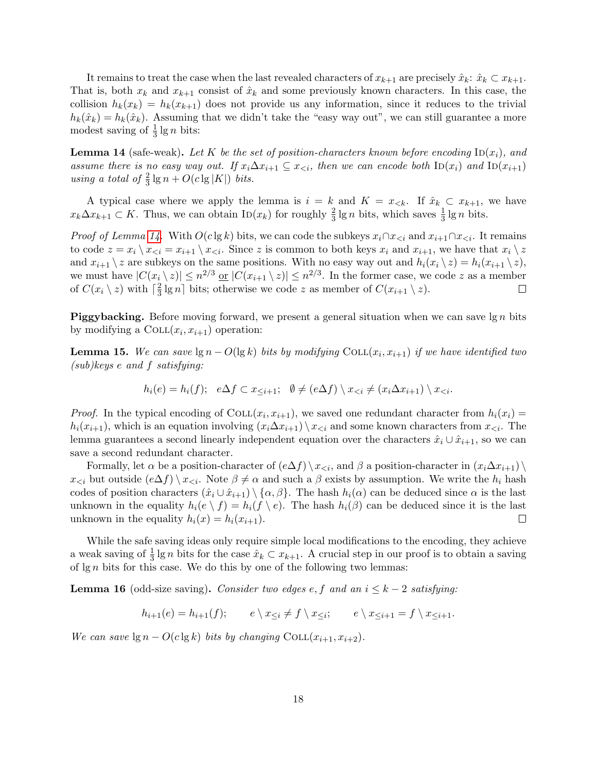It remains to treat the case when the last revealed characters of  $x_{k+1}$  are precisely  $\hat{x}_k$ :  $\hat{x}_k \subset x_{k+1}$ . That is, both  $x_k$  and  $x_{k+1}$  consist of  $\hat{x}_k$  and some previously known characters. In this case, the collision  $h_k(x_k) = h_k(x_{k+1})$  does not provide us any information, since it reduces to the trivial  $h_k(\hat{x}_k) = h_k(\hat{x}_k)$ . Assuming that we didn't take the "easy way out", we can still guarantee a more modest saving of  $\frac{1}{3}$  lg *n* bits:

<span id="page-18-0"></span>**Lemma 14** (safe-weak). Let K be the set of position-characters known before encoding  $\text{ID}(x_i)$ , and assume there is no easy way out. If  $x_i\Delta x_{i+1} \subseteq x_{\leq i}$ , then we can encode both  $\text{ID}(x_i)$  and  $\text{ID}(x_{i+1})$ using a total of  $\frac{2}{3} \lg n + O(c \lg |K|)$  bits.

A typical case where we apply the lemma is  $i = k$  and  $K = x_{\leq k}$ . If  $\hat{x}_k \subset x_{k+1}$ , we have  $x_k\Delta x_{k+1} \subset K$ . Thus, we can obtain  $\text{In}(x_k)$  for roughly  $\frac{2}{3} \lg n$  bits, which saves  $\frac{1}{3} \lg n$  bits.

*Proof of Lemma [14.](#page-18-0)* With  $O(c \lg k)$  bits, we can code the subkeys  $x_i \cap x_{\leq i}$  and  $x_{i+1} \cap x_{\leq i}$ . It remains to code  $z = x_i \setminus x_{\leq i} = x_{i+1} \setminus x_{\leq i}$ . Since z is common to both keys  $x_i$  and  $x_{i+1}$ , we have that  $x_i \setminus z$ and  $x_{i+1} \setminus z$  are subkeys on the same positions. With no easy way out and  $h_i(x_i \setminus z) = h_i(x_{i+1} \setminus z)$ , we must have  $|C(x_i \setminus z)| \leq n^{2/3}$  or  $|C(x_{i+1} \setminus z)| \leq n^{2/3}$ . In the former case, we code z as a member of  $C(x_i \setminus z)$  with  $\lceil \frac{2}{3} \rceil$  $\frac{2}{3}$  lg n bits; otherwise we code z as member of  $C(x_{i+1} \setminus z)$ .  $\Box$ 

**Piggybacking.** Before moving forward, we present a general situation when we can save  $\lg n$  bits by modifying a  $COLL(x_i, x_{i+1})$  operation:

<span id="page-18-1"></span>**Lemma 15.** We can save  $\lg n - O(\lg k)$  bits by modifying  $COLL(x_i, x_{i+1})$  if we have identified two (sub)keys e and f satisfying:

$$
h_i(e) = h_i(f); \quad e \Delta f \subset x_{\leq i+1}; \quad \emptyset \neq (e \Delta f) \setminus x_{\leq i} \neq (x_i \Delta x_{i+1}) \setminus x_{\leq i}.
$$

*Proof.* In the typical encoding of COLL $(x_i, x_{i+1})$ , we saved one redundant character from  $h_i(x_i)$  $h_i(x_{i+1})$ , which is an equation involving  $(x_i \Delta x_{i+1}) \setminus x_{\leq i}$  and some known characters from  $x_{\leq i}$ . The lemma guarantees a second linearly independent equation over the characters  $\hat{x}_i \cup \hat{x}_{i+1}$ , so we can save a second redundant character.

Formally, let  $\alpha$  be a position-character of  $(e\Delta f) \setminus x_{\leq i}$ , and  $\beta$  a position-character in  $(x_i\Delta x_{i+1}) \setminus$  $x_{\leq i}$  but outside  $(e\Delta f) \setminus x_{\leq i}$ . Note  $\beta \neq \alpha$  and such a  $\beta$  exists by assumption. We write the  $h_i$  hash codes of position characters  $(\hat{x}_i \cup \hat{x}_{i+1}) \setminus \{\alpha, \beta\}$ . The hash  $h_i(\alpha)$  can be deduced since  $\alpha$  is the last unknown in the equality  $h_i(e \setminus f) = h_i(f \setminus e)$ . The hash  $h_i(\beta)$  can be deduced since it is the last unknown in the equality  $h_i(x) = h_i(x_{i+1}).$  $\Box$ 

While the safe saving ideas only require simple local modifications to the encoding, they achieve a weak saving of  $\frac{1}{3}$  lg n bits for the case  $\hat{x}_k \subset x_{k+1}$ . A crucial step in our proof is to obtain a saving of  $\lg n$  bits for this case. We do this by one of the following two lemmas:

<span id="page-18-2"></span>**Lemma 16** (odd-size saving). Consider two edges e, f and an  $i \leq k-2$  satisfying:

 $h_{i+1}(e) = h_{i+1}(f);$   $e \setminus x_{\leq i} \neq f \setminus x_{\leq i};$   $e \setminus x_{\leq i+1} = f \setminus x_{\leq i+1}.$ 

We can save  $\lg n - O(c \lg k)$  bits by changing COLL $(x_{i+1}, x_{i+2})$ .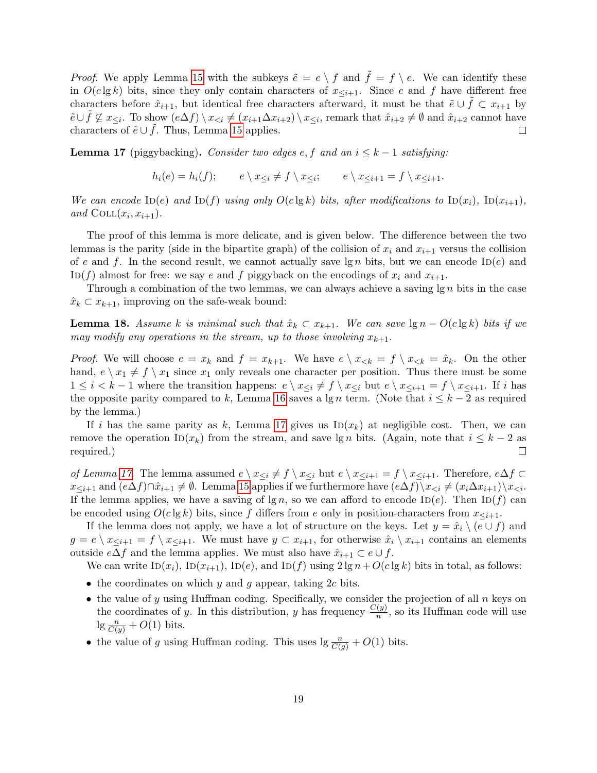*Proof.* We apply Lemma [15](#page-18-1) with the subkeys  $\tilde{e} = e \setminus f$  and  $\tilde{f} = f \setminus e$ . We can identify these in  $O(c \lg k)$  bits, since they only contain characters of  $x_{\leq i+1}$ . Since e and f have different free characters before  $\hat{x}_{i+1}$ , but identical free characters afterward, it must be that  $\tilde{e} \cup f \subset x_{i+1}$  by  $\tilde{e} \cup \tilde{f} \nsubseteq x_{\leq i}$ . To show  $(e \Delta f) \setminus x_{\leq i} \neq (x_{i+1} \Delta x_{i+2}) \setminus x_{\leq i}$ , remark that  $\hat{x}_{i+2} \neq \emptyset$  and  $\hat{x}_{i+2}$  cannot have characters of  $\tilde{e} \cup f$ . Thus, Lemma [15](#page-18-1) applies. □

<span id="page-19-0"></span>**Lemma 17** (piggybacking). Consider two edges e, f and an  $i \leq k - 1$  satisfying:

$$
h_i(e) = h_i(f); \qquad e \setminus x_{\leq i} \neq f \setminus x_{\leq i}; \qquad e \setminus x_{\leq i+1} = f \setminus x_{\leq i+1}.
$$

We can encode  $\text{ID}(e)$  and  $\text{ID}(f)$  using only  $O(c \lg k)$  bits, after modifications to  $\text{ID}(x_i)$ ,  $\text{ID}(x_{i+1})$ , and  $COLL(x_i, x_{i+1})$ .

The proof of this lemma is more delicate, and is given below. The difference between the two lemmas is the parity (side in the bipartite graph) of the collision of  $x_i$  and  $x_{i+1}$  versus the collision of e and f. In the second result, we cannot actually save  $\lg n$  bits, but we can encode ID(e) and ID(f) almost for free: we say e and f piggyback on the encodings of  $x_i$  and  $x_{i+1}$ .

Through a combination of the two lemmas, we can always achieve a saving  $\lg n$  bits in the case  $\hat{x}_k \subset x_{k+1}$ , improving on the safe-weak bound:

**Lemma 18.** Assume k is minimal such that  $\hat{x}_k \subset x_{k+1}$ . We can save  $\lg n - O(c \lg k)$  bits if we may modify any operations in the stream, up to those involving  $x_{k+1}$ .

*Proof.* We will choose  $e = x_k$  and  $f = x_{k+1}$ . We have  $e \setminus x_{< k} = f \setminus x_{< k} = \hat{x}_k$ . On the other hand,  $e \setminus x_1 \neq f \setminus x_1$  since  $x_1$  only reveals one character per position. Thus there must be some  $1 \leq i < k-1$  where the transition happens:  $e \setminus x_{\leq i} \neq f \setminus x_{\leq i}$  but  $e \setminus x_{\leq i+1} = f \setminus x_{\leq i+1}$ . If i has the opposite parity compared to k, Lemma [16](#page-18-2) saves a  $\lg n$  term. (Note that  $i \leq k-2$  as required by the lemma.)

If i has the same parity as k, Lemma [17](#page-19-0) gives us  $\text{In}(x_k)$  at negligible cost. Then, we can remove the operation ID( $x_k$ ) from the stream, and save lg n bits. (Again, note that  $i \leq k-2$  as required.)  $\Box$ 

of Lemma [17.](#page-19-0) The lemma assumed  $e \setminus x_{\leq i} \neq f \setminus x_{\leq i}$  but  $e \setminus x_{\leq i+1} = f \setminus x_{\leq i+1}$ . Therefore,  $e \Delta f \subset$  $x_{\leq i+1}$  and  $(e\Delta f)\cap \hat{x}_{i+1}\neq \emptyset$ . Lemma [15](#page-18-1) applies if we furthermore have  $(e\Delta f)\setminus x_{\leq i}\neq (x_i\Delta x_{i+1})\setminus x_{\leq i}$ . If the lemma applies, we have a saving of  $\lg n$ , so we can afford to encode ID(e). Then ID(f) can be encoded using  $O(c \lg k)$  bits, since f differs from e only in position-characters from  $x_{\leq i+1}$ .

If the lemma does not apply, we have a lot of structure on the keys. Let  $y = \hat{x}_i \setminus (e \cup f)$  and  $g = e \setminus x_{\leq i+1} = f \setminus x_{\leq i+1}$ . We must have  $y \subset x_{i+1}$ , for otherwise  $\hat{x}_i \setminus x_{i+1}$  contains an elements outside  $e\Delta f$  and the lemma applies. We must also have  $\hat{x}_{i+1} \subset e \cup f$ .

We can write  $\text{ID}(x_i)$ ,  $\text{ID}(x_{i+1})$ ,  $\text{ID}(e)$ , and  $\text{ID}(f)$  using  $2 \lg n + O(c \lg k)$  bits in total, as follows:

- the coordinates on which y and g appear, taking  $2c$  bits.
- $\bullet$  the value of y using Huffman coding. Specifically, we consider the projection of all n keys on the coordinates of y. In this distribution, y has frequency  $\frac{C(y)}{n}$ , so its Huffman code will use  $\lg \frac{n}{C(y)} + O(1)$  bits.
- the value of g using Huffman coding. This uses  $\lg \frac{n}{C(g)} + O(1)$  bits.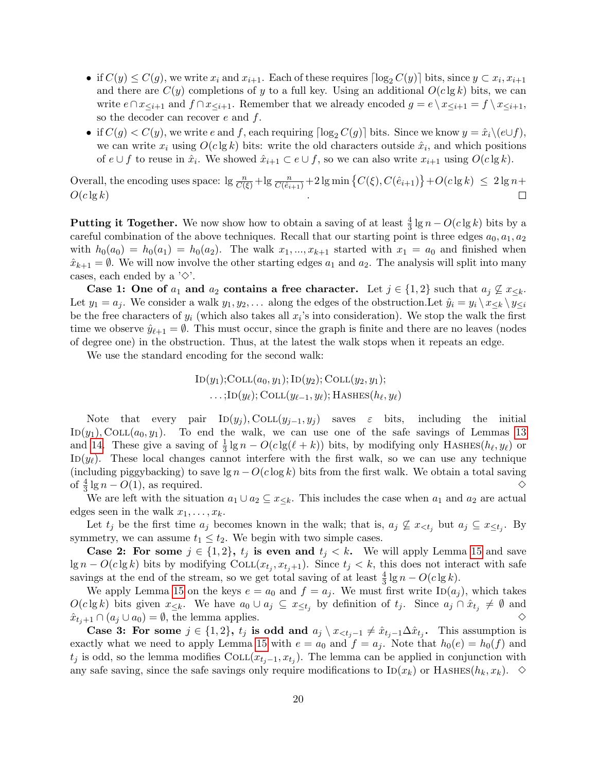- if  $C(y) \leq C(y)$ , we write  $x_i$  and  $x_{i+1}$ . Each of these requires  $\lceil \log_2 C(y) \rceil$  bits, since  $y \subset x_i, x_{i+1}$ and there are  $C(y)$  completions of y to a full key. Using an additional  $O(c \lg k)$  bits, we can write  $e \cap x_{\leq i+1}$  and  $f \cap x_{\leq i+1}$ . Remember that we already encoded  $g = e \setminus x_{\leq i+1} = f \setminus x_{\leq i+1}$ , so the decoder can recover  $e$  and  $f$ .
- if  $C(g) < C(y)$ , we write e and f, each requiring  $\lceil \log_2 C(g) \rceil$  bits. Since we know  $y = \hat{x}_i \setminus (e \cup f)$ , we can write  $x_i$  using  $O(c \lg k)$  bits: write the old characters outside  $\hat{x}_i$ , and which positions of  $e \cup f$  to reuse in  $\hat{x}_i$ . We showed  $\hat{x}_{i+1} \subset e \cup f$ , so we can also write  $x_{i+1}$  using  $O(c \lg k)$ .

Overall, the encoding uses space:  $\lg \frac{n}{C(\xi)} + \lg \frac{n}{C(\hat{e}_{i+1})} + 2 \lg \min \left\{ C(\xi), C(\hat{e}_{i+1}) \right\} + O(c \lg k) \leq 2 \lg n +$  $O(c \lg k)$  $\Box$ 

**Putting it Together.** We now show how to obtain a saving of at least  $\frac{4}{3} \lg n - O(c \lg k)$  bits by a careful combination of the above techniques. Recall that our starting point is three edges  $a_0, a_1, a_2$ with  $h_0(a_0) = h_0(a_1) = h_0(a_2)$ . The walk  $x_1, \ldots, x_{k+1}$  started with  $x_1 = a_0$  and finished when  $\hat{x}_{k+1} = \emptyset$ . We will now involve the other starting edges  $a_1$  and  $a_2$ . The analysis will split into many cases, each ended by a  $'\diamondsuit$ .

Case 1: One of  $a_1$  and  $a_2$  contains a free character. Let  $j \in \{1,2\}$  such that  $a_j \nsubseteq x_{\leq k}$ . Let  $y_1 = a_j$ . We consider a walk  $y_1, y_2, \ldots$  along the edges of the obstruction. Let  $\hat{y}_i = y_i \setminus x_{\leq k} \setminus y_{\leq i}$ be the free characters of  $y_i$  (which also takes all  $x_i$ 's into consideration). We stop the walk the first time we observe  $\hat{y}_{\ell+1} = \emptyset$ . This must occur, since the graph is finite and there are no leaves (nodes of degree one) in the obstruction. Thus, at the latest the walk stops when it repeats an edge.

We use the standard encoding for the second walk:

$$
ID(y1);COLL(a0, y1); ID(y2); COLL(y2, y1);...;ID(yℓ); COLL(yℓ-1, yℓ); HASHES(hℓ, yℓ)
$$

Note that every pair  $\text{ID}(y_j)$ , COLL $(y_{j-1}, y_j)$  saves  $\varepsilon$  bits, including the initial  $ID(y_1), COLL(a_0, y_1).$  To end the walk, we can use one of the safe savings of Lemmas [13](#page-17-0) and [14.](#page-18-0) These give a saving of  $\frac{1}{3} \lg n - O(c \lg(\ell + k))$  bits, by modifying only HASHES( $h_{\ell}, y_{\ell}$ ) or ID( $y_\ell$ ). These local changes cannot interfere with the first walk, so we can use any technique (including piggybacking) to save  $\lg n - O(c \log k)$  bits from the first walk. We obtain a total saving of  $\frac{4}{3}$  lg  $n - O(1)$ , as required. <br>  $\diamond$ 

We are left with the situation  $a_1 \cup a_2 \subseteq x_{\leq k}$ . This includes the case when  $a_1$  and  $a_2$  are actual edges seen in the walk  $x_1, \ldots, x_k$ .

Let  $t_j$  be the first time  $a_j$  becomes known in the walk; that is,  $a_j \nsubseteq x_{\leq t_j}$  but  $a_j \subseteq x_{\leq t_j}$ . By symmetry, we can assume  $t_1 \leq t_2$ . We begin with two simple cases.

**Case 2: For some**  $j \in \{1,2\}$ ,  $t_j$  is even and  $t_j < k$ . We will apply Lemma [15](#page-18-1) and save  $\lg n - O(c \lg k)$  bits by modifying  $\text{COLL}(x_{t_j}, x_{t_j+1})$ . Since  $t_j < k$ , this does not interact with safe savings at the end of the stream, so we get total saving of at least  $\frac{4}{3} \lg n - O(c \lg k)$ .

We apply Lemma [15](#page-18-1) on the keys  $e = a_0$  and  $f = a_j$ . We must first write  $\text{ID}(a_j)$ , which takes  $O(c \lg k)$  bits given  $x_{\leq k}$ . We have  $a_0 \cup a_j \subseteq x_{\leq t_j}$  by definition of  $t_j$ . Since  $a_j \cap \hat{x}_{t_j} \neq \emptyset$  and  $\hat{x}_{t+1} \cap (a_j \cup a_0) = \emptyset$ , the lemma applies. <br> ◇

Case 3: For some  $j \in \{1,2\}$ ,  $t_j$  is odd and  $a_j \setminus x_{\leq t_j-1} \neq \hat{x}_{t_j-1} \Delta \hat{x}_{t_j}$ . This assumption is exactly what we need to apply Lemma [15](#page-18-1) with  $e = a_0$  and  $f = a_j$ . Note that  $h_0(e) = h_0(f)$  and  $t_j$  is odd, so the lemma modifies COLL $(x_{t_j-1}, x_{t_j})$ . The lemma can be applied in conjunction with any safe saving, since the safe savings only require modifications to  $\text{ID}(x_k)$  or HASHES( $h_k, x_k$ ).  $\diamond$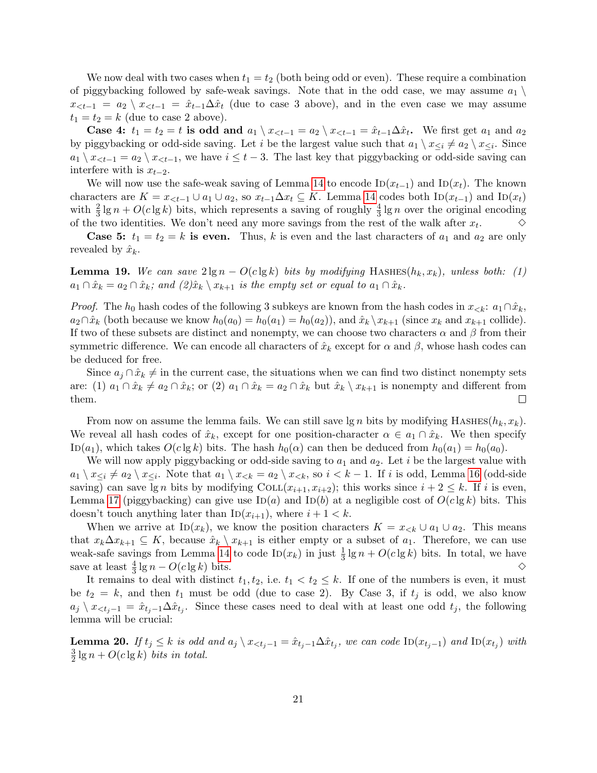We now deal with two cases when  $t_1 = t_2$  (both being odd or even). These require a combination of piggybacking followed by safe-weak savings. Note that in the odd case, we may assume  $a_1 \setminus a_2$  $x_{\leq t-1} = a_2 \setminus x_{\leq t-1} = \hat{x}_{t-1} \Delta \hat{x}_t$  (due to case 3 above), and in the even case we may assume  $t_1 = t_2 = k$  (due to case 2 above).

**Case 4:**  $t_1 = t_2 = t$  is odd and  $a_1 \setminus x_{lt-1} = a_2 \setminus x_{lt-1} = \hat{x}_{t-1} \Delta \hat{x}_t$ . We first get  $a_1$  and  $a_2$ by piggybacking or odd-side saving. Let i be the largest value such that  $a_1 \setminus x_{\leq i} \neq a_2 \setminus x_{\leq i}$ . Since  $a_1 \setminus x_{\leq t-1} = a_2 \setminus x_{\leq t-1}$ , we have  $i \leq t-3$ . The last key that piggybacking or odd-side saving can interfere with is  $x_{t-2}$ .

We will now use the safe-weak saving of Lemma [14](#page-18-0) to encode  $\text{In}(x_{t-1})$  and  $\text{In}(x_t)$ . The known characters are  $K = x_{lt-1} \cup a_1 \cup a_2$ , so  $x_{t-1} \Delta x_t \subseteq K$ . Lemma [14](#page-18-0) codes both  $\text{ID}(x_{t-1})$  and  $\text{ID}(x_t)$ with  $\frac{2}{3} \lg n + O(c \lg k)$  bits, which represents a saving of roughly  $\frac{4}{3} \lg n$  over the original encoding of the two identities. We don't need any more savings from the rest of the walk after  $x_t$ .  $\Diamond$ 

**Case 5:**  $t_1 = t_2 = k$  is even. Thus, k is even and the last characters of  $a_1$  and  $a_2$  are only revealed by  $\hat{x}_k$ .

**Lemma 19.** We can save  $2 \lg n - O(c \lg k)$  bits by modifying HASHES( $h_k, x_k$ ), unless both: (1)  $a_1 \cap \hat{x}_k = a_2 \cap \hat{x}_k$ ; and  $(2)\hat{x}_k \setminus x_{k+1}$  is the empty set or equal to  $a_1 \cap \hat{x}_k$ .

*Proof.* The  $h_0$  hash codes of the following 3 subkeys are known from the hash codes in  $x_{< k}: a_1 \cap \hat{x}_k$ ,  $a_2 \cap \hat{x}_k$  (both because we know  $h_0(a_0) = h_0(a_1) = h_0(a_2)$ ), and  $\hat{x}_k \setminus x_{k+1}$  (since  $x_k$  and  $x_{k+1}$  collide). If two of these subsets are distinct and nonempty, we can choose two characters  $\alpha$  and  $\beta$  from their symmetric difference. We can encode all characters of  $\hat{x}_k$  except for  $\alpha$  and  $\beta$ , whose hash codes can be deduced for free.

Since  $a_i \cap \hat{x}_k \neq \text{in the current case, the situations when we can find two distinct nonempty sets }$ are: (1)  $a_1 \cap \hat{x}_k \neq a_2 \cap \hat{x}_k$ ; or (2)  $a_1 \cap \hat{x}_k = a_2 \cap \hat{x}_k$  but  $\hat{x}_k \setminus x_{k+1}$  is nonempty and different from them.  $\Box$ 

From now on assume the lemma fails. We can still save  $\lg n$  bits by modifying HASHES( $h_k, x_k$ ). We reveal all hash codes of  $\hat{x}_k$ , except for one position-character  $\alpha \in a_1 \cap \hat{x}_k$ . We then specify ID(a<sub>1</sub>), which takes  $O(c \lg k)$  bits. The hash  $h_0(\alpha)$  can then be deduced from  $h_0(a_1) = h_0(a_0)$ .

We will now apply piggybacking or odd-side saving to  $a_1$  and  $a_2$ . Let i be the largest value with  $a_1 \setminus x_{\leq i} \neq a_2 \setminus x_{\leq i}$ . Note that  $a_1 \setminus x_{\leq k} = a_2 \setminus x_{\leq k}$ , so  $i \leq k-1$ . If i is odd, Lemma [16](#page-18-2) (odd-side saving) can save lg n bits by modifying COLL $(x_{i+1}, x_{i+2})$ ; this works since  $i + 2 \leq k$ . If i is even, Lemma [17](#page-19-0) (piggybacking) can give use  $\text{ID}(a)$  and  $\text{ID}(b)$  at a negligible cost of  $O(c \lg k)$  bits. This doesn't touch anything later than  $\text{ID}(x_{i+1})$ , where  $i + 1 < k$ .

When we arrive at ID( $x_k$ ), we know the position characters  $K = x_{< k} \cup a_1 \cup a_2$ . This means that  $x_k\Delta x_{k+1} \subseteq K$ , because  $\hat{x}_k \setminus x_{k+1}$  is either empty or a subset of  $a_1$ . Therefore, we can use weak-safe savings from Lemma [14](#page-18-0) to code  $\text{ID}(x_k)$  in just  $\frac{1}{3} \lg n + O(c \lg k)$  bits. In total, we have save at least  $\frac{4}{3} \lg n - O(c \lg k)$  bits.  $\diamond$ 

It remains to deal with distinct  $t_1, t_2$ , i.e.  $t_1 < t_2 \leq k$ . If one of the numbers is even, it must be  $t_2 = k$ , and then  $t_1$  must be odd (due to case 2). By Case 3, if  $t_j$  is odd, we also know  $a_j \setminus x_{\leq t_j-1} = \hat{x}_{t_j-1} \Delta \hat{x}_{t_j}$ . Since these cases need to deal with at least one odd  $t_j$ , the following lemma will be crucial:

<span id="page-21-0"></span>**Lemma 20.** If  $t_j \leq k$  is odd and  $a_j \setminus x_{\leq t_j-1} = \hat{x}_{t_j-1} \Delta \hat{x}_{t_j}$ , we can code  $\text{ID}(x_{t_j-1})$  and  $\text{ID}(x_{t_j})$  with 3  $\frac{3}{2} \lg n + O(c \lg k)$  bits in total.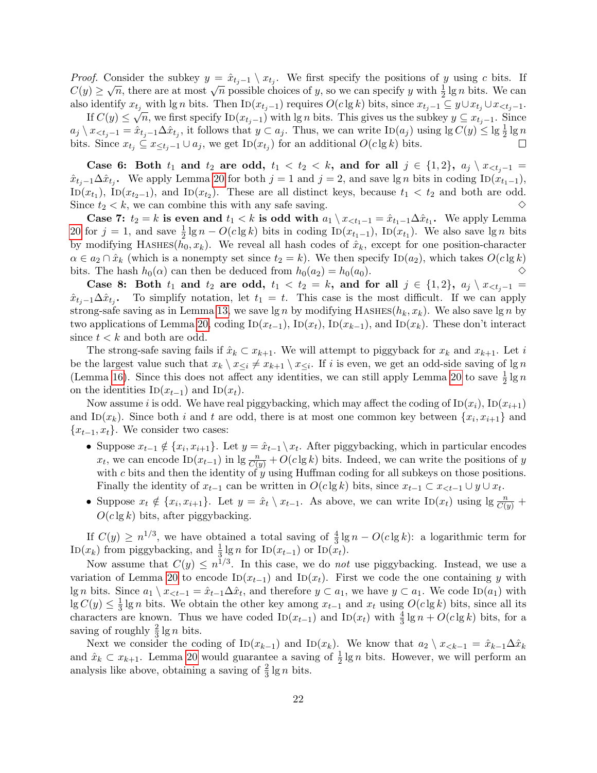*Proof.* Consider the subkey  $y = \hat{x}_{t_j-1} \setminus x_{t_j}$ . We first specify the positions of y using c bits. If  $C(y) \ge \sqrt{n}$ , there are at most  $\sqrt{n}$  possible choices of y, so we can specify y with  $\frac{1}{2} \lg n$  bits. We can also identify  $x_{t_j}$  with lg n bits. Then  $\text{ID}(x_{t_j-1})$  requires  $O(c \lg k)$  bits, since  $x_{t_j-1} \subseteq y \cup x_{t_j} \cup x_{lt_j-1}$ .

If  $C(y) \leq \sqrt{n}$ , we first specify  $\text{ID}(x_{t_j-1})$  with lg n bits. This gives us the subkey  $y \subseteq x_{t_j-1}$ . Since  $a_j \setminus x_{\leq t_j-1} = \hat{x}_{t_j-1} \Delta \hat{x}_{t_j}$ , it follows that  $y \subset a_j$ . Thus, we can write  $\text{ID}(a_j)$  using  $\lg C(y) \leq \lg \frac{1}{2} \lg n$ bits. Since  $x_{t_j} \subseteq x_{\leq t_j-1} \cup a_j$ , we get ID $(x_{t_j})$  for an additional  $O(c \lg k)$  bits.  $\Box$ 

Case 6: Both  $t_1$  and  $t_2$  are odd,  $t_1 < t_2 < k$ , and for all  $j \in \{1,2\}$ ,  $a_j \setminus x_{\leq t_j-1} =$  $\hat{x}_{t_j-1}\Delta \hat{x}_{t_j}$ . We apply Lemma [20](#page-21-0) for both  $j=1$  and  $j=2$ , and save lg n bits in coding ID $(\hat{x}_{t_1-1})$ ,  $\overline{\text{ID}}(x_{t_1}), \overline{\text{ID}}(x_{t_2-1}),$  and  $\overline{\text{ID}}(x_{t_2}).$  These are all distinct keys, because  $t_1 < t_2$  and both are odd. Since  $t_2 < k$ , we can combine this with any safe saving.  $\diamond$ 

Case 7:  $t_2 = k$  is even and  $t_1 < k$  is odd with  $a_1 \setminus x_{\le t_1-1} = \hat{x}_{t_1-1} \Delta \hat{x}_{t_1}$ . We apply Lemma [20](#page-21-0) for  $j = 1$ , and save  $\frac{1}{2} \lg n - O(c \lg k)$  bits in coding  $\text{In}(x_{t_1-1})$ ,  $\text{In}(x_{t_1})$ . We also save  $\lg n$  bits by modifying HASHES( $h_0, x_k$ ). We reveal all hash codes of  $\hat{x}_k$ , except for one position-character  $\alpha \in a_2 \cap \hat{x}_k$  (which is a nonempty set since  $t_2 = k$ ). We then specify  $\text{ID}(a_2)$ , which takes  $O(c \lg k)$ bits. The hash  $h_0(\alpha)$  can then be deduced from  $h_0(a_2) = h_0(a_0)$ .  $\diamond$ 

Case 8: Both  $t_1$  and  $t_2$  are odd,  $t_1 < t_2 = k$ , and for all  $j \in \{1,2\}$ ,  $a_j \setminus x_{\leq t_j-1} =$  $\hat{x}_{t_j-1}\Delta \hat{x}_{t_j}$ . To simplify notation, let  $t_1 = t$ . This case is the most difficult. If we can apply strong-safe saving as in Lemma [13,](#page-17-0) we save lg n by modifying HASHES( $h_k, x_k$ ). We also save lg n by two applications of Lemma [20,](#page-21-0) coding ID( $x_{t-1}$ ), ID( $x_t$ ), ID( $x_{k-1}$ ), and ID( $x_k$ ). These don't interact since  $t < k$  and both are odd.

The strong-safe saving fails if  $\hat{x}_k \subset x_{k+1}$ . We will attempt to piggyback for  $x_k$  and  $x_{k+1}$ . Let i be the largest value such that  $x_k \setminus x_{\leq i} \neq x_{k+1} \setminus x_{\leq i}$ . If i is even, we get an odd-side saving of lg n (Lemma [16\)](#page-18-2). Since this does not affect any identities, we can still apply Lemma [20](#page-21-0) to save  $\frac{1}{2} \lg n$ on the identities ID( $x_{t-1}$ ) and ID( $x_t$ ).

Now assume i is odd. We have real piggybacking, which may affect the coding of  $\text{ID}(x_i)$ ,  $\text{ID}(x_{i+1})$ and ID( $x_k$ ). Since both i and t are odd, there is at most one common key between  $\{x_i, x_{i+1}\}$  and  ${x_{t-1}, x_t}$ . We consider two cases:

- Suppose  $x_{t-1} \notin \{x_i, x_{i+1}\}$ . Let  $y = \hat{x}_{t-1} \setminus x_t$ . After piggybacking, which in particular encodes  $x_t$ , we can encode ID( $x_{t-1}$ ) in lg  $\frac{n}{C(y)} + O(c \lg k)$  bits. Indeed, we can write the positions of y with  $c$  bits and then the identity of  $y$  using Huffman coding for all subkeys on those positions. Finally the identity of  $x_{t-1}$  can be written in  $O(c \lg k)$  bits, since  $x_{t-1} \subset x_{< t-1} \cup y \cup x_t$ .
- Suppose  $x_t \notin \{x_i, x_{i+1}\}.$  Let  $y = \hat{x}_t \setminus x_{t-1}$ . As above, we can write  $\text{ID}(x_t)$  using  $\lg \frac{n}{C(y)}$  +  $O(c \lg k)$  bits, after piggybacking.

If  $C(y) \geq n^{1/3}$ , we have obtained a total saving of  $\frac{4}{3} \lg n - O(c \lg k)$ : a logarithmic term for ID( $x_k$ ) from piggybacking, and  $\frac{1}{3} \lg n$  for ID( $x_{t-1}$ ) or ID( $x_t$ ).

Now assume that  $C(y) \leq n^{1/3}$ . In this case, we do *not* use piggybacking. Instead, we use a variation of Lemma [20](#page-21-0) to encode  $\text{ID}(x_{t-1})$  and  $\text{ID}(x_t)$ . First we code the one containing y with lg n bits. Since  $a_1 \setminus x_{\leq t-1} = \hat{x}_{t-1} \Delta \hat{x}_t$ , and therefore  $y \subset a_1$ , we have  $y \subset a_1$ . We code  $\text{ID}(a_1)$  with  $\lg C(y) \leq \frac{1}{3}$  $\frac{1}{3}$  lg n bits. We obtain the other key among  $x_{t-1}$  and  $x_t$  using  $O(c \lg k)$  bits, since all its characters are known. Thus we have coded  $\text{ID}(x_{t-1})$  and  $\text{ID}(x_t)$  with  $\frac{4}{3} \lg n + O(c \lg k)$  bits, for a saving of roughly  $\frac{2}{3} \lg n$  bits.

Next we consider the coding of  $\text{ID}(x_{k-1})$  and  $\text{ID}(x_k)$ . We know that  $a_2 \setminus x_{\leq k-1} = \hat{x}_{k-1} \Delta \hat{x}_k$ and  $\hat{x}_k \subset x_{k+1}$ . Lemma [20](#page-21-0) would guarantee a saving of  $\frac{1}{2} \lg n$  bits. However, we will perform an analysis like above, obtaining a saving of  $\frac{2}{3} \lg n$  bits.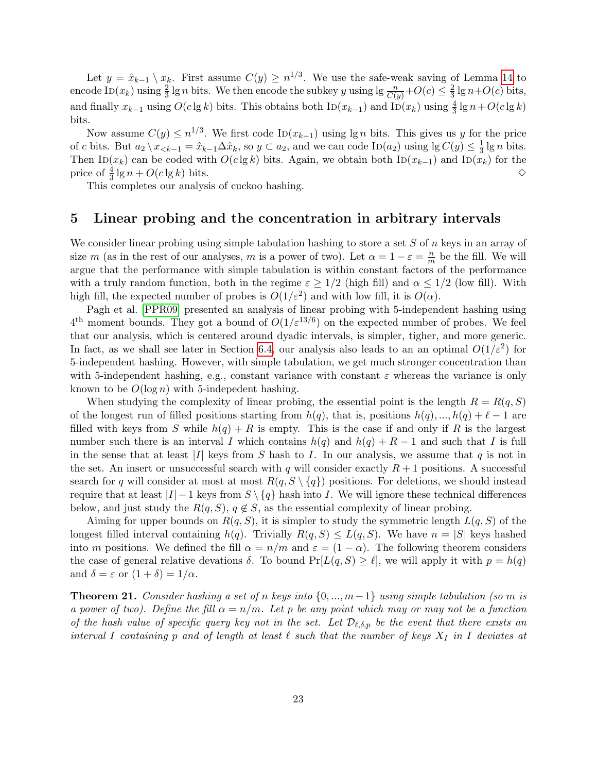Let  $y = \hat{x}_{k-1} \setminus x_k$ . First assume  $C(y) \geq n^{1/3}$ . We use the safe-weak saving of Lemma [14](#page-18-0) to encode ID $(x_k)$  using  $\frac{2}{3}$  lg n bits. We then encode the subkey y using lg  $\frac{n}{C(y)} + O(c) \leq \frac{2}{3}$  $\frac{2}{3}$  lg  $n+O(c)$  bits, and finally  $x_{k-1}$  using  $O(c \lg k)$  bits. This obtains both  $\text{ID}(x_{k-1})$  and  $\text{ID}(x_k)$  using  $\frac{4}{3} \lg n + O(c \lg k)$ bits.

Now assume  $C(y) \leq n^{1/3}$ . We first code ID( $x_{k-1}$ ) using lg *n* bits. This gives us *y* for the price of c bits. But  $a_2 \setminus x_{< k-1} = \hat{x}_{k-1} \Delta \hat{x}_k$ , so  $y \subset a_2$ , and we can code  $\text{ID}(a_2)$  using  $\lg C(y) \leq \frac{1}{3}$  $\frac{1}{3}$  lg *n* bits. Then ID( $x_k$ ) can be coded with  $O(c \lg k)$  bits. Again, we obtain both ID( $x_{k-1}$ ) and ID( $x_k$ ) for the price of  $\frac{4}{3}$  lg  $n + O(c \lg k)$  bits.  $\diamond$ 

This completes our analysis of cuckoo hashing.

### <span id="page-23-0"></span>5 Linear probing and the concentration in arbitrary intervals

We consider linear probing using simple tabulation hashing to store a set  $S$  of  $n$  keys in an array of size m (as in the rest of our analyses, m is a power of two). Let  $\alpha = 1 - \varepsilon = \frac{n}{m}$  $\frac{n}{m}$  be the fill. We will argue that the performance with simple tabulation is within constant factors of the performance with a truly random function, both in the regime  $\varepsilon \geq 1/2$  (high fill) and  $\alpha \leq 1/2$  (low fill). With high fill, the expected number of probes is  $O(1/\varepsilon^2)$  and with low fill, it is  $O(\alpha)$ .

Pagh et al. [\[PPR09\]](#page-44-0) presented an analysis of linear probing with 5-independent hashing using  $4<sup>th</sup>$ <sup>th</sup> moment bounds. They got a bound of  $O(1/\varepsilon^{13/6})$  on the expected number of probes. We feel that our analysis, which is centered around dyadic intervals, is simpler, tigher, and more generic. In fact, as we shall see later in Section [6.4,](#page-33-0) our analysis also leads to an an optimal  $O(1/\varepsilon^2)$  for 5-independent hashing. However, with simple tabulation, we get much stronger concentration than with 5-independent hashing, e.g., constant variance with constant  $\varepsilon$  whereas the variance is only known to be  $O(\log n)$  with 5-indepedent hashing.

When studying the complexity of linear probing, the essential point is the length  $R = R(q, S)$ of the longest run of filled positions starting from  $h(q)$ , that is, positions  $h(q),..., h(q) + \ell - 1$  are filled with keys from S while  $h(q) + R$  is empty. This is the case if and only if R is the largest number such there is an interval I which contains  $h(q)$  and  $h(q) + R - 1$  and such that I is full in the sense that at least |I| keys from S hash to I. In our analysis, we assume that q is not in the set. An insert or unsuccessful search with q will consider exactly  $R+1$  positions. A successful search for q will consider at most at most  $R(q, S \setminus \{q\})$  positions. For deletions, we should instead require that at least  $|I| - 1$  keys from  $S \setminus \{q\}$  hash into I. We will ignore these technical differences below, and just study the  $R(q, S)$ ,  $q \notin S$ , as the essential complexity of linear probing.

Aiming for upper bounds on  $R(q, S)$ , it is simpler to study the symmetric length  $L(q, S)$  of the longest filled interval containing  $h(q)$ . Trivially  $R(q, S) \leq L(q, S)$ . We have  $n = |S|$  keys hashed into m positions. We defined the fill  $\alpha = n/m$  and  $\varepsilon = (1 - \alpha)$ . The following theorem considers the case of general relative devations  $\delta$ . To bound  $Pr[L(q, S) \geq \ell]$ , we will apply it with  $p = h(q)$ and  $\delta = \varepsilon$  or  $(1 + \delta) = 1/\alpha$ .

<span id="page-23-1"></span>**Theorem 21.** Consider hashing a set of n keys into  $\{0, ..., m-1\}$  using simple tabulation (so m is a power of two). Define the fill  $\alpha = n/m$ . Let p be any point which may or may not be a function of the hash value of specific query key not in the set. Let  $\mathcal{D}_{\ell,\delta,p}$  be the event that there exists an interval I containing p and of length at least  $\ell$  such that the number of keys  $X_I$  in I deviates at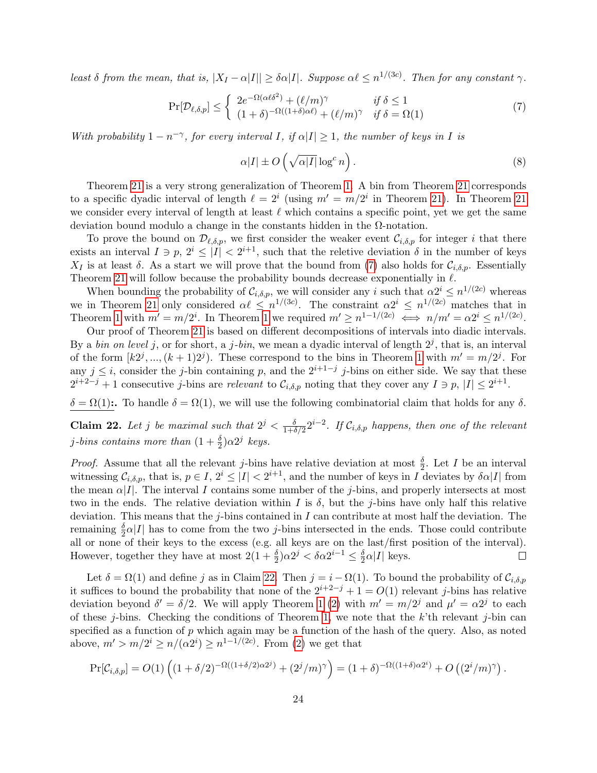least  $\delta$  from the mean, that is,  $|X_I - \alpha |I|| \geq \delta \alpha |I|$ . Suppose  $\alpha \ell \leq n^{1/(3c)}$ . Then for any constant  $\gamma$ .

<span id="page-24-0"></span>
$$
\Pr[\mathcal{D}_{\ell,\delta,p}] \leq \begin{cases} 2e^{-\Omega(\alpha\ell\delta^2)} + (\ell/m)^{\gamma} & \text{if } \delta \leq 1\\ (1+\delta)^{-\Omega((1+\delta)\alpha\ell)} + (\ell/m)^{\gamma} & \text{if } \delta = \Omega(1) \end{cases}
$$
(7)

With probability  $1 - n^{-\gamma}$ , for every interval I, if  $\alpha |I| \geq 1$ , the number of keys in I is

$$
\alpha|I| \pm O\left(\sqrt{\alpha|I|} \log^c n\right). \tag{8}
$$

Theorem [21](#page-23-1) is a very strong generalization of Theorem [1.](#page-3-0) A bin from Theorem [21](#page-23-1) corresponds to a specific dyadic interval of length  $\ell = 2^i$  (using  $m' = m/2^i$  in Theorem [21\)](#page-23-1). In Theorem [21](#page-23-1) we consider every interval of length at least  $\ell$  which contains a specific point, yet we get the same deviation bound modulo a change in the constants hidden in the  $\Omega$ -notation.

To prove the bound on  $\mathcal{D}_{\ell,\delta,p}$ , we first consider the weaker event  $\mathcal{C}_{i,\delta,p}$  for integer i that there exists an interval  $I \ni p, 2^i \leq |I| < 2^{i+1}$ , such that the reletive deviation  $\delta$  in the number of keys  $X_I$  is at least  $\delta$ . As a start we will prove that the bound from [\(7\)](#page-24-0) also holds for  $\mathcal{C}_{i,\delta,p}$ . Essentially Theorem [21](#page-23-1) will follow because the probability bounds decrease exponentially in  $\ell$ .

When bounding the probability of  $\mathcal{C}_{i,\delta,p}$ , we will consider any i such that  $\alpha 2^i \leq n^{1/(2c)}$  whereas we in Theorem [21](#page-23-1) only considered  $\alpha \ell \leq n^{1/(3c)}$ . The constraint  $\alpha 2^{i} \leq n^{1/(2c)}$  matches that in Theorem [1](#page-3-0) with  $m' = m/2^i$ . In Theorem 1 we required  $m' \geq n^{1-1/(2c)} \iff n/m' = \alpha 2^i \leq n^{1/(2c)}$ .

Our proof of Theorem [21](#page-23-1) is based on different decompositions of intervals into diadic intervals. By a *bin on level j*, or for short, a *j*-*bin*, we mean a dyadic interval of length  $2^j$ , that is, an interval of the form  $[k2^j, ..., (k+1)2^j)$ . These correspond to the bins in Theorem [1](#page-3-0) with  $m' = m/2^j$ . For any  $j \leq i$ , consider the j-bin containing p, and the  $2^{i+1-j}$  j-bins on either side. We say that these  $2^{i+2-j}+1$  consecutive j-bins are relevant to  $\mathcal{C}_{i,\delta,p}$  noting that they cover any  $I \ni p, |I| \leq 2^{i+1}$ .

 $\delta = \Omega(1)$ :. To handle  $\delta = \Omega(1)$ , we will use the following combinatorial claim that holds for any  $\delta$ .

<span id="page-24-1"></span>**Claim 22.** Let j be maximal such that  $2^j < \frac{\delta}{1+\delta}$  $\frac{\delta}{1+\delta/2}2^{i-2}$ . If  $\mathcal{C}_{i,\delta,p}$  happens, then one of the relevant j-bins contains more than  $(1 + \frac{\delta}{2})\alpha 2^j$  keys.

*Proof.* Assume that all the relevant j-bins have relative deviation at most  $\frac{\delta}{2}$ . Let I be an interval witnessing  $\mathcal{C}_{i,\delta,p}$ , that is,  $p \in I$ ,  $2^i \leq |I| < 2^{i+1}$ , and the number of keys in I deviates by  $\delta \alpha |I|$  from the mean  $\alpha|I|$ . The interval I contains some number of the j-bins, and properly intersects at most two in the ends. The relative deviation within I is  $\delta$ , but the j-bins have only half this relative deviation. This means that the  $j$ -bins contained in I can contribute at most half the deviation. The remaining  $\frac{\delta}{2} \alpha |I|$  has to come from the two *j*-bins intersected in the ends. Those could contribute all or none of their keys to the excess (e.g. all keys are on the last/first position of the interval). However, together they have at most  $2(1+\frac{\delta}{2})\alpha 2^j < \delta \alpha 2^{i-1} \leq \frac{\delta}{2}$  $\frac{\delta}{2}\alpha|I|$  keys.  $\Box$ 

Let  $\delta = \Omega(1)$  and define j as in Claim [22.](#page-24-1) Then  $j = i - \Omega(1)$ . To bound the probability of  $\mathcal{C}_{i,\delta,p}$ it suffices to bound the probability that none of the  $2^{i+2-j} + 1 = O(1)$  relevant j-bins has relative deviation beyond  $\delta' = \delta/2$ . We will apply Theorem [1](#page-3-0) [\(2\)](#page-3-2) with  $m' = m/2<sup>j</sup>$  and  $\mu' = \alpha 2<sup>j</sup>$  to each of these j-bins. Checking the conditions of Theorem [1,](#page-3-0) we note that the  $k$ 'th relevant j-bin can specified as a function of  $p$  which again may be a function of the hash of the query. Also, as noted above,  $m' > m/2^i \ge n/(\alpha 2^i) \ge n^{1-1/(2c)}$ . From [\(2\)](#page-3-2) we get that

$$
\Pr[\mathcal{C}_{i,\delta,p}] = O(1) \left( (1+\delta/2)^{-\Omega((1+\delta/2)\alpha 2^{j})} + (2^{j}/m)^{\gamma} \right) = (1+\delta)^{-\Omega((1+\delta)\alpha 2^{i})} + O\left( (2^{i}/m)^{\gamma} \right).
$$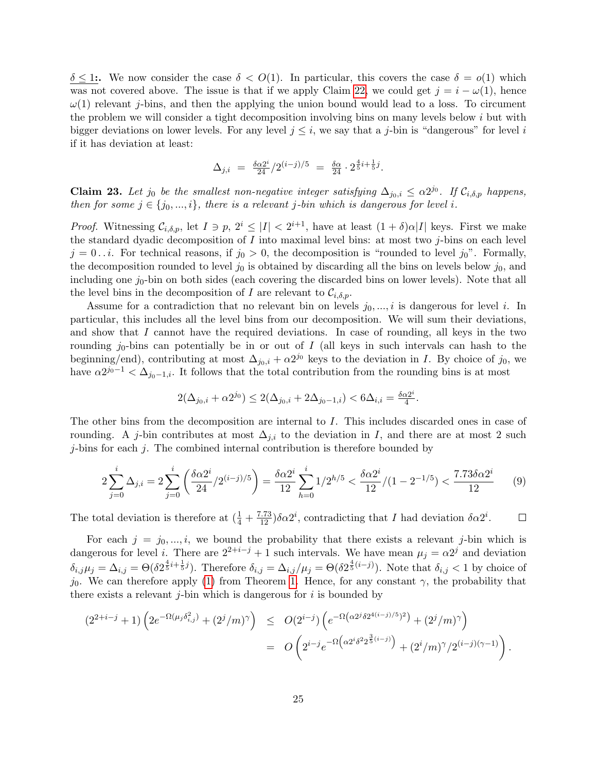$\delta \leq 1$ :. We now consider the case  $\delta < O(1)$ . In particular, this covers the case  $\delta = o(1)$  which was not covered above. The issue is that if we apply Claim [22,](#page-24-1) we could get  $j = i - \omega(1)$ , hence  $\omega(1)$  relevant *j*-bins, and then the applying the union bound would lead to a loss. To circument the problem we will consider a tight decomposition involving bins on many levels below  $i$  but with bigger deviations on lower levels. For any level  $j \leq i$ , we say that a j-bin is "dangerous" for level i if it has deviation at least:

$$
\Delta_{j,i} = \frac{\delta \alpha 2^i}{24} / 2^{(i-j)/5} = \frac{\delta \alpha}{24} \cdot 2^{\frac{4}{5}i + \frac{1}{5}j}.
$$

<span id="page-25-0"></span>**Claim 23.** Let j<sub>0</sub> be the smallest non-negative integer satisfying  $\Delta_{j_0,i} \leq \alpha 2^{j_0}$ . If  $\mathcal{C}_{i,\delta,p}$  happens, then for some  $j \in \{j_0, ..., i\}$ , there is a relevant j-bin which is dangerous for level i.

*Proof.* Witnessing  $C_{i,\delta,p}$ , let  $I \ni p, 2^i \leq |I| < 2^{i+1}$ , have at least  $(1+\delta)\alpha|I|$  keys. First we make the standard dyadic decomposition of  $I$  into maximal level bins: at most two  $j$ -bins on each level  $j = 0...i$ . For technical reasons, if  $j_0 > 0$ , the decomposition is "rounded to level  $j_0$ ". Formally, the decomposition rounded to level  $j_0$  is obtained by discarding all the bins on levels below  $j_0$ , and including one  $j_0$ -bin on both sides (each covering the discarded bins on lower levels). Note that all the level bins in the decomposition of I are relevant to  $\mathcal{C}_{i,\delta,p}$ .

Assume for a contradiction that no relevant bin on levels  $j_0, ..., i$  is dangerous for level i. In particular, this includes all the level bins from our decomposition. We will sum their deviations, and show that I cannot have the required deviations. In case of rounding, all keys in the two rounding  $j_0$ -bins can potentially be in or out of I (all keys in such intervals can hash to the beginning/end), contributing at most  $\Delta_{j_0,i} + \alpha 2^{j_0}$  keys to the deviation in I. By choice of  $j_0$ , we have  $\alpha 2^{j_0-1} < \Delta_{j_0-1,i}$ . It follows that the total contribution from the rounding bins is at most

$$
2(\Delta_{j_0,i}+\alpha 2^{j_0})\leq 2(\Delta_{j_0,i}+2\Delta_{j_0-1,i})<6\Delta_{i,i}=\tfrac{\delta\alpha 2^i}{4}.
$$

The other bins from the decomposition are internal to I. This includes discarded ones in case of rounding. A j-bin contributes at most  $\Delta_{j,i}$  to the deviation in I, and there are at most 2 such  $j$ -bins for each  $j$ . The combined internal contribution is therefore bounded by

$$
2\sum_{j=0}^{i} \Delta_{j,i} = 2\sum_{j=0}^{i} \left(\frac{\delta \alpha 2^{i}}{24} / 2^{(i-j)/5}\right) = \frac{\delta \alpha 2^{i}}{12} \sum_{h=0}^{i} 1 / 2^{h/5} < \frac{\delta \alpha 2^{i}}{12} / (1 - 2^{-1/5}) < \frac{7.73 \delta \alpha 2^{i}}{12} \tag{9}
$$

The total deviation is therefore at  $(\frac{1}{4} + \frac{7.73}{12})\delta \alpha 2^i$ , contradicting that I had deviation  $\delta \alpha 2^i$ .  $\Box$ 

For each  $j = j_0, \ldots, i$ , we bound the probability that there exists a relevant j-bin which is dangerous for level *i*. There are  $2^{2+i-j} + 1$  such intervals. We have mean  $\mu_j = \alpha 2^j$  and deviation  $\delta_{i,j}\mu_j = \Delta_{i,j} = \Theta(\delta 2^{\frac{4}{5}i + \frac{1}{5}j})$ . Therefore  $\delta_{i,j} = \Delta_{i,j}/\mu_j = \Theta(\delta 2^{\frac{4}{5}(i-j)})$ . Note that  $\delta_{i,j} < 1$  by choice of  $j_0$ . We can therefore apply [\(1\)](#page-3-1) from Theorem [1.](#page-3-0) Hence, for any constant  $\gamma$ , the probability that there exists a relevant  $i$ -bin which is dangerous for i is bounded by

$$
(2^{2+i-j}+1)\left(2e^{-\Omega(\mu_j\delta_{i,j}^2)}+(2^j/m)^{\gamma}\right) \leq O(2^{i-j})\left(e^{-\Omega(\alpha 2^j\delta 2^{4(i-j)/5})^2}\right) + (2^j/m)^{\gamma}\right)
$$
  
= 
$$
O\left(2^{i-j}e^{-\Omega(\alpha 2^i\delta^2 2^{\frac{3}{5}(i-j)})}+(2^i/m)^{\gamma}/2^{(i-j)(\gamma-1)}\right).
$$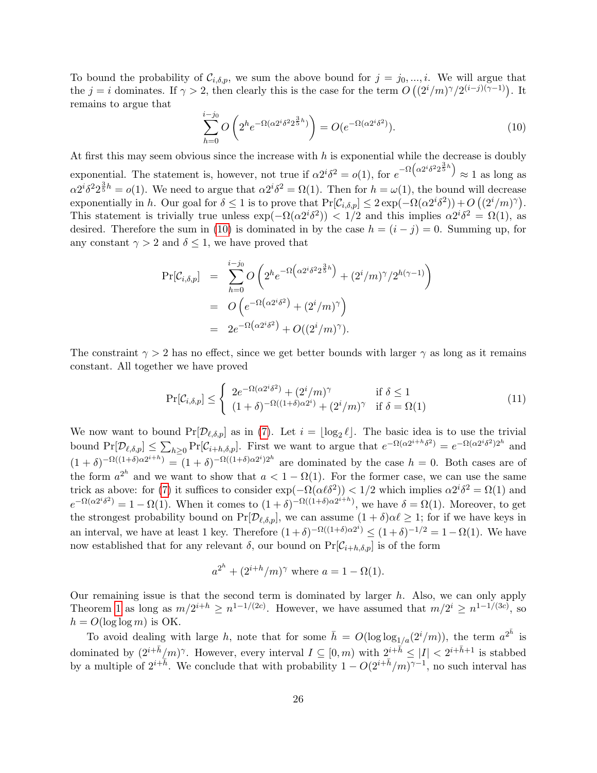To bound the probability of  $\mathcal{C}_{i,\delta,p}$ , we sum the above bound for  $j = j_0, ..., i$ . We will argue that the  $j = i$  dominates. If  $\gamma > 2$ , then clearly this is the case for the term  $O\left((2^i/m)^{\gamma}/2^{(i-j)(\gamma-1)}\right)$ . It remains to argue that

<span id="page-26-0"></span>
$$
\sum_{h=0}^{i-j_0} O\left(2^h e^{-\Omega(\alpha 2^i \delta^2 2^{\frac{3}{5}h})}\right) = O(e^{-\Omega(\alpha 2^i \delta^2)}).
$$
\n(10)

At first this may seem obvious since the increase with  $h$  is exponential while the decrease is doubly exponential. The statement is, however, not true if  $\alpha 2^i \delta^2 = o(1)$ , for  $e^{-\Omega(\alpha 2^i \delta^2 2^{\frac{3}{5}h})} \approx 1$  as long as  $\alpha 2^{i} \delta^{2} 2^{\frac{3}{5}h} = o(1)$ . We need to argue that  $\alpha 2^{i} \delta^{2} = \Omega(1)$ . Then for  $h = \omega(1)$ , the bound will decrease exponentially in h. Our goal for  $\delta \leq 1$  is to prove that  $Pr[\mathcal{C}_{i,\delta,p}] \leq 2 exp(-\Omega(\alpha 2^{i} \delta^{2})) + O((2^{i}/m)^{\gamma}).$ This statement is trivially true unless  $\exp(-\Omega(\alpha 2^i \delta^2)) < 1/2$  and this implies  $\alpha 2^i \delta^2 = \Omega(1)$ , as desired. Therefore the sum in [\(10\)](#page-26-0) is dominated in by the case  $h = (i - j) = 0$ . Summing up, for any constant  $\gamma > 2$  and  $\delta \leq 1$ , we have proved that

$$
Pr[\mathcal{C}_{i,\delta,p}] = \sum_{h=0}^{i-j_0} O\left(2^h e^{-\Omega\left(\alpha 2^i \delta^2 2^{\frac{3}{5}h}\right)} + (2^i/m)^{\gamma}/2^{h(\gamma-1)}\right)
$$
  
= 
$$
O\left(e^{-\Omega\left(\alpha 2^i \delta^2\right)} + (2^i/m)^{\gamma}\right)
$$
  
= 
$$
2e^{-\Omega\left(\alpha 2^i \delta^2\right)} + O\left((2^i/m)^{\gamma}\right).
$$

The constraint  $\gamma > 2$  has no effect, since we get better bounds with larger  $\gamma$  as long as it remains constant. All together we have proved

$$
\Pr[\mathcal{C}_{i,\delta,p}] \leq \begin{cases} 2e^{-\Omega(\alpha 2^{i}\delta^{2})} + (2^{i}/m)^{\gamma} & \text{if } \delta \leq 1\\ (1+\delta)^{-\Omega((1+\delta)\alpha 2^{i})} + (2^{i}/m)^{\gamma} & \text{if } \delta = \Omega(1) \end{cases}
$$
(11)

We now want to bound  $Pr[D_{\ell,\delta,p}]$  as in [\(7\)](#page-24-0). Let  $i = \lfloor \log_2 \ell \rfloor$ . The basic idea is to use the trivial bound  $\Pr[\mathcal{D}_{\ell,\delta,p}] \leq \sum_{h\geq 0} \Pr[\mathcal{C}_{i+h,\delta,p}]$ . First we want to argue that  $e^{-\Omega(\alpha 2^{i+h}\delta^2)} = e^{-\Omega(\alpha 2^{i}\delta^2)2^h}$  and  $(1+\delta)^{-\Omega((1+\delta)\alpha 2^{i+h})} = (1+\delta)^{-\Omega((1+\delta)\alpha 2^{i})2^{h}}$  are dominated by the case  $h = 0$ . Both cases are of the form  $a^{2^h}$  and we want to show that  $a < 1 - \Omega(1)$ . For the former case, we can use the same trick as above: for [\(7\)](#page-24-0) it suffices to consider  $\exp(-\Omega(\alpha \ell \delta^2)) < 1/2$  which implies  $\alpha 2^i \delta^2 = \Omega(1)$  and  $e^{-\Omega(\alpha 2^{i}\delta^{2})} = 1 - \Omega(1)$ . When it comes to  $(1+\delta)^{-\Omega((1+\delta)\alpha 2^{i+h})}$ , we have  $\delta = \Omega(1)$ . Moreover, to get the strongest probability bound on  $Pr[\mathcal{D}_{\ell,\delta,p}]$ , we can assume  $(1 + \delta)\alpha\ell \geq 1$ ; for if we have keys in an interval, we have at least 1 key. Therefore  $(1+\delta)^{-\Omega((1+\delta)\alpha 2^i)} \leq (1+\delta)^{-1/2} = 1-\Omega(1)$ . We have now established that for any relevant  $\delta$ , our bound on  $Pr[\mathcal{C}_{i+h,\delta,p}]$  is of the form

$$
a^{2^h} + (2^{i+h}/m)^{\gamma}
$$
 where  $a = 1 - \Omega(1)$ .

Our remaining issue is that the second term is dominated by larger  $h$ . Also, we can only apply Theorem [1](#page-3-0) as long as  $m/2^{i+h} \geq n^{1-1/(2c)}$ . However, we have assumed that  $m/2^i \geq n^{1-1/(3c)}$ , so  $h = O(\log \log m)$  is OK.

To avoid dealing with large h, note that for some  $\bar{h} = O(\log \log_{1/a}(2^i/m))$ , the term  $a^{2^{\bar{h}}}$  is dominated by  $(2^{i+\bar{h}}/m)^\gamma$ . However, every interval  $I \subseteq [0,m)$  with  $2^{i+\bar{h}} \leq |I| < 2^{i+\bar{h}+1}$  is stabbed by a multiple of  $2^{i+\overline{h}}$ . We conclude that with probability  $1 - O(2^{i+\overline{h}}/m)^{\gamma-1}$ , no such interval has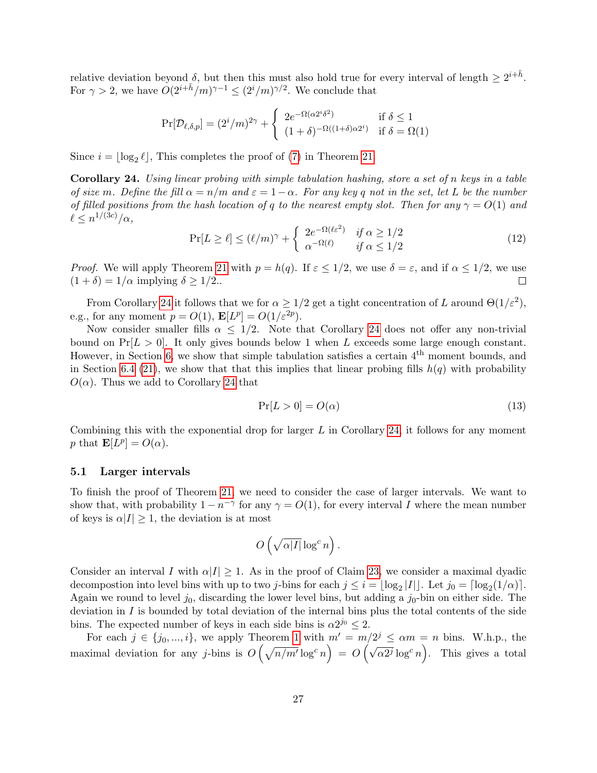relative deviation beyond  $\delta$ , but then this must also hold true for every interval of length  $\geq 2^{i+\bar{h}}$ . For  $\gamma > 2$ , we have  $O(2^{i+\bar{h}}/m)^{\gamma-1} \leq (2^i/m)^{\gamma/2}$ . We conclude that

$$
\Pr[\mathcal{D}_{\ell,\delta,p}] = (2^i/m)^{2\gamma} + \begin{cases} 2e^{-\Omega(\alpha 2^i \delta^2)} & \text{if } \delta \le 1\\ (1+\delta)^{-\Omega((1+\delta)\alpha 2^i)} & \text{if } \delta = \Omega(1) \end{cases}
$$

Since  $i = \lfloor \log_2 \ell \rfloor$ , This completes the proof of [\(7\)](#page-24-0) in Theorem [21.](#page-23-1)

<span id="page-27-0"></span>Corollary 24. Using linear probing with simple tabulation hashing, store a set of n keys in a table of size m. Define the fill  $\alpha = n/m$  and  $\varepsilon = 1-\alpha$ . For any key q not in the set, let L be the number of filled positions from the hash location of q to the nearest empty slot. Then for any  $\gamma = O(1)$  and  $\ell \leq n^{1/(3c)}/\alpha$ ,

$$
\Pr[L \ge \ell] \le (\ell/m)^{\gamma} + \begin{cases} 2e^{-\Omega(\ell\varepsilon^2)} & \text{if } \alpha \ge 1/2\\ \alpha^{-\Omega(\ell)} & \text{if } \alpha \le 1/2 \end{cases}
$$
(12)

*Proof.* We will apply Theorem [21](#page-23-1) with  $p = h(q)$ . If  $\varepsilon \leq 1/2$ , we use  $\delta = \varepsilon$ , and if  $\alpha \leq 1/2$ , we use  $(1 + \delta) = 1/\alpha$  implying  $\delta \ge 1/2$ ..  $\Box$ 

From Corollary [24](#page-27-0) it follows that we for  $\alpha \geq 1/2$  get a tight concentration of L around  $\Theta(1/\varepsilon^2)$ , e.g., for any moment  $p = O(1)$ ,  $\mathbf{E}[L^p] = O(1/\varepsilon^{2p})$ .

Now consider smaller fills  $\alpha \leq 1/2$ . Note that Corollary [24](#page-27-0) does not offer any non-trivial bound on  $Pr[L > 0]$ . It only gives bounds below 1 when L exceeds some large enough constant. However, in Section [6,](#page-28-0) we show that simple tabulation satisfies a certain  $4<sup>th</sup>$  moment bounds, and in Section [6.4](#page-33-0) [\(21\)](#page-34-0), we show that that this implies that linear probing fills  $h(q)$  with probability  $O(\alpha)$ . Thus we add to Corollary [24](#page-27-0) that

<span id="page-27-1"></span>
$$
\Pr[L > 0] = O(\alpha) \tag{13}
$$

Combining this with the exponential drop for larger  $L$  in Corollary [24,](#page-27-0) it follows for any moment p that  $\mathbf{E}[L^p] = O(\alpha)$ .

#### 5.1 Larger intervals

To finish the proof of Theorem [21,](#page-23-1) we need to consider the case of larger intervals. We want to show that, with probability  $1 - n^{-\gamma}$  for any  $\gamma = O(1)$ , for every interval I where the mean number of keys is  $\alpha|I| \geq 1$ , the deviation is at most

$$
O\left(\sqrt{\alpha |I|} \log^c n\right).
$$

Consider an interval I with  $\alpha|I| \geq 1$ . As in the proof of Claim [23,](#page-25-0) we consider a maximal dyadic decompostion into level bins with up to two *j*-bins for each  $j \leq i = \lfloor \log_2 |I| \rfloor$ . Let  $j_0 = \lceil \log_2(1/\alpha) \rceil$ . Again we round to level  $j_0$ , discarding the lower level bins, but adding a  $j_0$ -bin on either side. The deviation in  $I$  is bounded by total deviation of the internal bins plus the total contents of the side bins. The expected number of keys in each side bins is  $\alpha 2^{j_0} \leq 2$ .

For each  $j \in \{j_0, ..., i\}$ , we apply Theorem [1](#page-3-0) with  $m' = m/2^j \le \alpha m = n$  bins. W.h.p., the maximal deviation for any j-bins is  $O(\sqrt{n/m'}\log^c n) = O(\sqrt{\alpha 2^j}\log^c n)$ . This gives a total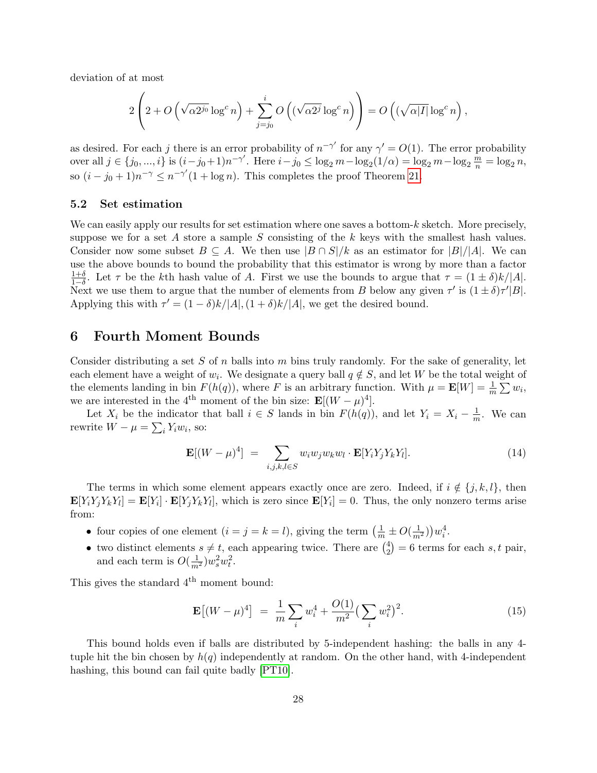deviation of at most

$$
2\left(2+O\left(\sqrt{\alpha 2^{j_0}}\log^c n\right)+\sum_{j=j_0}^i O\left((\sqrt{\alpha 2^j}\log^c n\right)\right)=O\left((\sqrt{\alpha |I|}\log^c n\right),\right)
$$

as desired. For each j there is an error probability of  $n^{-\gamma'}$  for any  $\gamma' = O(1)$ . The error probability over all  $j \in \{j_0, ..., i\}$  is  $(i - j_0 + 1)n^{-\gamma'}$ . Here  $i - j_0 \le \log_2 m - \log_2(1/\alpha) = \log_2 m - \log_2 \frac{m}{n} = \log_2 n$ , so  $(i - j_0 + 1)n^{-\gamma} \leq n^{-\gamma'}(1 + \log n)$ . This completes the proof Theorem [21.](#page-23-1)

### 5.2 Set estimation

We can easily apply our results for set estimation where one saves a bottom- $k$  sketch. More precisely, suppose we for a set A store a sample S consisting of the k keys with the smallest hash values. Consider now some subset  $B \subseteq A$ . We then use  $|B \cap S|/k$  as an estimator for  $|B|/|A|$ . We can use the above bounds to bound the probability that this estimator is wrong by more than a factor  $\frac{1+\delta}{1-\delta}$ . Let  $\tau$  be the kth hash value of A. First we use the bounds to argue that  $\tau = (1 \pm \delta)k/|A|$ . Next we use them to argue that the number of elements from B below any given  $\tau'$  is  $(1 \pm \delta)\tau'|B|$ . Applying this with  $\tau' = (1 - \delta)k/|A|$ ,  $(1 + \delta)k/|A|$ , we get the desired bound.

### <span id="page-28-0"></span>6 Fourth Moment Bounds

Consider distributing a set S of n balls into m bins truly randomly. For the sake of generality, let each element have a weight of  $w_i$ . We designate a query ball  $q \notin S$ , and let W be the total weight of the elements landing in bin  $F(h(q))$ , where F is an arbitrary function. With  $\mu = \mathbf{E}[W] = \frac{1}{m} \sum w_i$ , we are interested in the 4<sup>th</sup> moment of the bin size:  $\mathbf{E}[(W - \mu)^4]$ .

Let  $X_i$  be the indicator that ball  $i \in S$  lands in bin  $F(h(q))$ , and let  $Y_i = X_i - \frac{1}{n}$  $\frac{1}{m}$ . We can rewrite  $W - \mu = \sum_i Y_i w_i$ , so:

<span id="page-28-2"></span>
$$
\mathbf{E}[(W-\mu)^4] = \sum_{i,j,k,l \in S} w_i w_j w_k w_l \cdot \mathbf{E}[Y_i Y_j Y_k Y_l]. \tag{14}
$$

The terms in which some element appears exactly once are zero. Indeed, if  $i \notin \{j, k, l\}$ , then  $\mathbf{E}[Y_i Y_j Y_k Y_l] = \mathbf{E}[Y_i] \cdot \mathbf{E}[Y_j Y_k Y_l]$ , which is zero since  $\mathbf{E}[Y_i] = 0$ . Thus, the only nonzero terms arise from:

- four copies of one element  $(i = j = k = l)$ , giving the term  $\left(\frac{1}{m} \pm O(\frac{1}{m^2})\right)w_i^4$ .
- two distinct elements  $s \neq t$ , each appearing twice. There are  $\binom{4}{2}$  $2<sup>4</sup>$ ) = 6 terms for each s, t pair, and each term is  $O(\frac{1}{m^2})w_s^2w_t^2$ .

This gives the standard  $4^{\rm th}$  moment bound:

<span id="page-28-1"></span>
$$
\mathbf{E}\left[ (W - \mu)^4 \right] = \frac{1}{m} \sum_{i} w_i^4 + \frac{O(1)}{m^2} \left( \sum_{i} w_i^2 \right)^2.
$$
 (15)

This bound holds even if balls are distributed by 5-independent hashing: the balls in any 4 tuple hit the bin chosen by  $h(q)$  independently at random. On the other hand, with 4-independent hashing, this bound can fail quite badly [\[PT10\]](#page-44-1).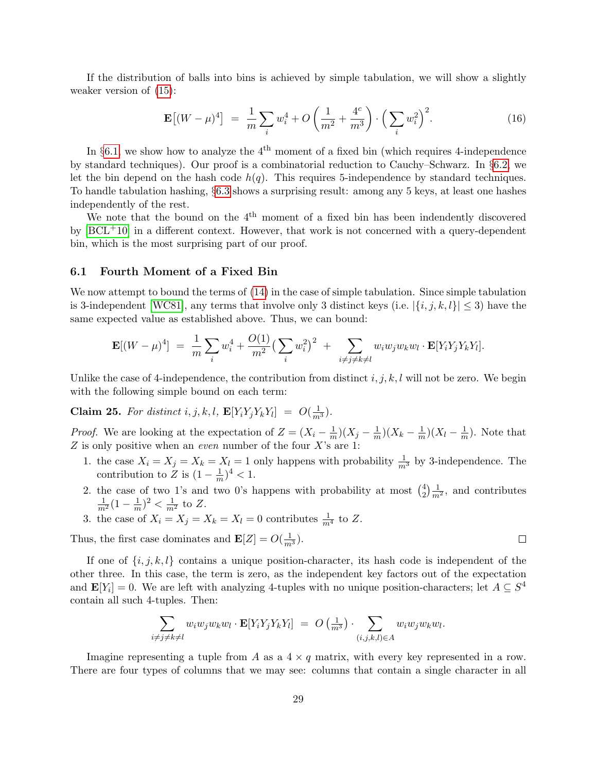If the distribution of balls into bins is achieved by simple tabulation, we will show a slightly weaker version of [\(15\)](#page-28-1):

<span id="page-29-1"></span>
$$
\mathbf{E}\left[ (W - \mu)^4 \right] = \frac{1}{m} \sum_{i} w_i^4 + O\left( \frac{1}{m^2} + \frac{4^c}{m^3} \right) \cdot \left( \sum_{i} w_i^2 \right)^2. \tag{16}
$$

In  $\S6.1$ , we show how to analyze the 4<sup>th</sup> moment of a fixed bin (which requires 4-independence by standard techniques). Our proof is a combinatorial reduction to Cauchy–Schwarz. In §[6.2,](#page-31-0) we let the bin depend on the hash code  $h(q)$ . This requires 5-independence by standard techniques. To handle tabulation hashing, §[6.3](#page-32-0) shows a surprising result: among any 5 keys, at least one hashes independently of the rest.

We note that the bound on the  $4<sup>th</sup>$  moment of a fixed bin has been indendently discovered by  $[BCL+10]$  $[BCL+10]$  in a different context. However, that work is not concerned with a query-dependent bin, which is the most surprising part of our proof.

#### <span id="page-29-0"></span>6.1 Fourth Moment of a Fixed Bin

We now attempt to bound the terms of [\(14\)](#page-28-2) in the case of simple tabulation. Since simple tabulation is 3-independent [\[WC81\]](#page-44-3), any terms that involve only 3 distinct keys (i.e.  $|\{i, j, k, l\}| \leq 3$ ) have the same expected value as established above. Thus, we can bound:

$$
\mathbf{E}[(W-\mu)^4] = \frac{1}{m}\sum_i w_i^4 + \frac{O(1)}{m^2} \left(\sum_i w_i^2\right)^2 + \sum_{i\neq j\neq k\neq l} w_i w_j w_k w_l \cdot \mathbf{E}[Y_i Y_j Y_k Y_l].
$$

Unlike the case of 4-independence, the contribution from distinct  $i, j, k, l$  will not be zero. We begin with the following simple bound on each term:

<span id="page-29-2"></span>**Claim 25.** For distinct i, j, k, l,  $\mathbf{E}[Y_i Y_j Y_k Y_l] = O(\frac{1}{m^3})$ .

*Proof.* We are looking at the expectation of  $Z = (X_i - \frac{1}{m})$  $\frac{1}{m}$ ) $(X_j - \frac{1}{m})$  $\frac{1}{m}$ )( $X_k - \frac{1}{m}$  $\frac{1}{m}$ )( $X_l - \frac{1}{m}$  $\frac{1}{m}$ ). Note that  $Z$  is only positive when an *even* number of the four  $X$ 's are 1:

- 1. the case  $X_i = X_j = X_k = X_l = 1$  only happens with probability  $\frac{1}{m^3}$  by 3-independence. The contribution to  $\overline{Z}$  is  $(1-\frac{1}{m})$  $(\frac{1}{m})^4 < 1.$
- 2. the case of two 1's and two 0's happens with probability at most  $\binom{4}{2}$  $\frac{4}{2}$  $\frac{1}{m^2}$ , and contributes  $\frac{1}{m^2}(1-\frac{1}{m})$  $(\frac{1}{m})^2 < \frac{1}{m^2}$  to Z.
- 3. the case of  $X_i = X_j = X_k = X_l = 0$  contributes  $\frac{1}{m^4}$  to Z.

Thus, the first case dominates and  $\mathbf{E}[Z] = O(\frac{1}{m^3})$ .

If one of  $\{i, j, k, l\}$  contains a unique position-character, its hash code is independent of the other three. In this case, the term is zero, as the independent key factors out of the expectation and  $\mathbf{E}[Y_i] = 0$ . We are left with analyzing 4-tuples with no unique position-characters; let  $A \subseteq S^4$ contain all such 4-tuples. Then:

$$
\sum_{i \neq j \neq k \neq l} w_i w_j w_k w_l \cdot \mathbf{E}[Y_i Y_j Y_k Y_l] = O\left(\frac{1}{m^3}\right) \cdot \sum_{(i,j,k,l) \in A} w_i w_j w_k w_l.
$$

Imagine representing a tuple from A as a  $4 \times q$  matrix, with every key represented in a row. There are four types of columns that we may see: columns that contain a single character in all

 $\Box$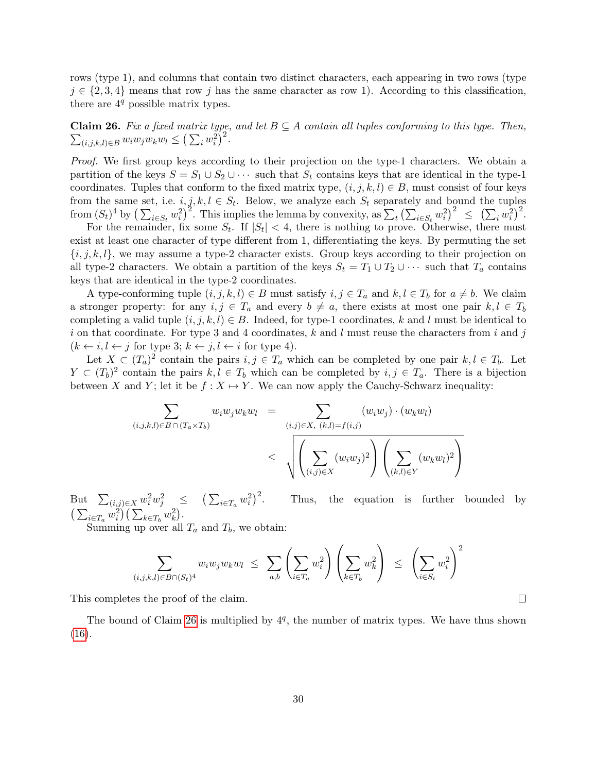rows (type 1), and columns that contain two distinct characters, each appearing in two rows (type  $j \in \{2,3,4\}$  means that row j has the same character as row 1). According to this classification, there are  $4<sup>q</sup>$  possible matrix types.

<span id="page-30-0"></span> $\sum_{(i,j,k,l)\in B} w_i w_j w_k w_l \leq \left(\sum_i w_i^2\right)^2.$ **Claim 26.** Fix a fixed matrix type, and let  $B \subseteq A$  contain all tuples conforming to this type. Then,

Proof. We first group keys according to their projection on the type-1 characters. We obtain a partition of the keys  $S = S_1 \cup S_2 \cup \cdots$  such that  $S_t$  contains keys that are identical in the type-1 coordinates. Tuples that conform to the fixed matrix type,  $(i, j, k, l) \in B$ , must consist of four keys from the same set, i.e.  $i, j, k, l \in S_t$ . Below, we analyze each  $S_t$  separately and bound the tuples from  $(S_t)^4$  by  $\left(\sum_{i\in S_t} w_i^2\right)^2$ . This implies the lemma by convexity, as  $\sum_t \left(\sum_{i\in S_t} w_i^2\right)^2 \leq \left(\sum_i w_i^2\right)^2$ .

For the remainder, fix some  $S_t$ . If  $|S_t| < 4$ , there is nothing to prove. Otherwise, there must exist at least one character of type different from 1, differentiating the keys. By permuting the set  $\{i, j, k, l\}$ , we may assume a type-2 character exists. Group keys according to their projection on all type-2 characters. We obtain a partition of the keys  $S_t = T_1 \cup T_2 \cup \cdots$  such that  $T_a$  contains keys that are identical in the type-2 coordinates.

A type-conforming tuple  $(i, j, k, l) \in B$  must satisfy  $i, j \in T_a$  and  $k, l \in T_b$  for  $a \neq b$ . We claim a stronger property: for any  $i, j \in T_a$  and every  $b \neq a$ , there exists at most one pair  $k, l \in T_b$ completing a valid tuple  $(i, j, k, l) \in B$ . Indeed, for type-1 coordinates, k and l must be identical to i on that coordinate. For type 3 and 4 coordinates, k and l must reuse the characters from i and j  $(k \leftarrow i, l \leftarrow j$  for type 3;  $k \leftarrow j, l \leftarrow i$  for type 4).

Let  $X \subset (T_a)^2$  contain the pairs  $i, j \in T_a$  which can be completed by one pair  $k, l \in T_b$ . Let  $Y \subset (T_b)^2$  contain the pairs  $k, l \in T_b$  which can be completed by  $i, j \in T_a$ . There is a bijection between X and Y; let it be  $f : X \mapsto Y$ . We can now apply the Cauchy-Schwarz inequality:

$$
\sum_{(i,j,k,l)\in B\cap (T_a\times T_b)} w_i w_j w_k w_l = \sum_{(i,j)\in X, (k,l)=f(i,j)} (w_i w_j) \cdot (w_k w_l)
$$

$$
\leq \sqrt{\left(\sum_{(i,j)\in X} (w_i w_j)^2\right) \left(\sum_{(k,l)\in Y} (w_k w_l)^2\right)}
$$

But  $\sum_{(i,j)\in X} w_i^2 w_j^2 \leq (\sum_{i\in T_a} w_i^2)^2$ . Thus, the equation is further bounded by  $\left(\sum_{i\in T_a} w_i^2\right)\left(\sum_{k\in T_b} w_k^2\right).$ 

Summing up over all  $T_a$  and  $T_b$ , we obtain:

$$
\sum_{(i,j,k,l)\in B\cap (S_t)^4} w_i w_j w_k w_l \leq \sum_{a,b} \left( \sum_{i\in T_a} w_i^2 \right) \left( \sum_{k\in T_b} w_k^2 \right) \leq \left( \sum_{i\in S_t} w_i^2 \right)^2
$$

This completes the proof of the claim.

The bound of Claim [26](#page-30-0) is multiplied by  $4<sup>q</sup>$ , the number of matrix types. We have thus shown [\(16\)](#page-29-1).

 $\Box$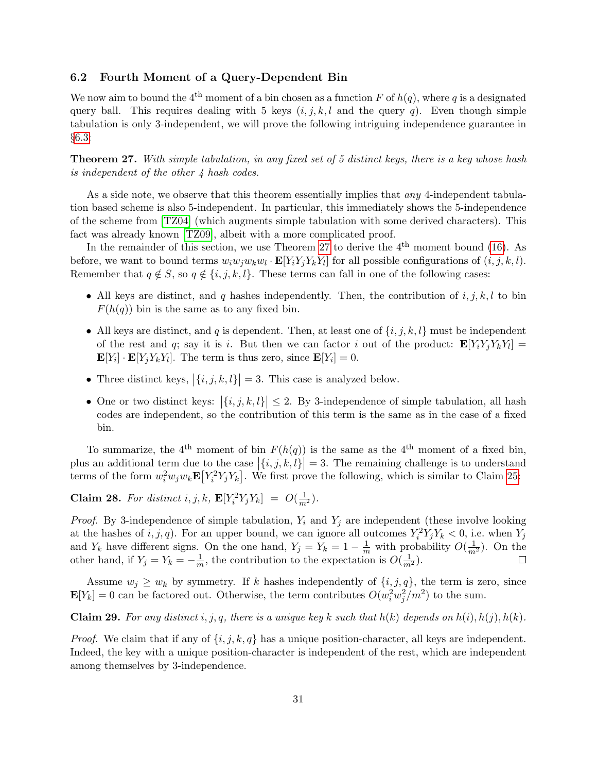### <span id="page-31-0"></span>6.2 Fourth Moment of a Query-Dependent Bin

We now aim to bound the 4<sup>th</sup> moment of a bin chosen as a function F of  $h(q)$ , where q is a designated query ball. This requires dealing with 5 keys  $(i, j, k, l$  and the query q). Even though simple tabulation is only 3-independent, we will prove the following intriguing independence guarantee in §[6.3:](#page-32-0)

<span id="page-31-1"></span>Theorem 27. With simple tabulation, in any fixed set of 5 distinct keys, there is a key whose hash is independent of the other 4 hash codes.

As a side note, we observe that this theorem essentially implies that *any* 4-independent tabulation based scheme is also 5-independent. In particular, this immediately shows the 5-independence of the scheme from [\[TZ04\]](#page-44-4) (which augments simple tabulation with some derived characters). This fact was already known [\[TZ09\]](#page-44-2), albeit with a more complicated proof.

In the remainder of this section, we use Theorem [27](#page-31-1) to derive the  $4<sup>th</sup>$  moment bound [\(16\)](#page-29-1). As before, we want to bound terms  $w_i w_j w_k w_l \cdot \mathbf{E}[Y_i Y_j Y_k Y_l]$  for all possible configurations of  $(i, j, k, l)$ . Remember that  $q \notin S$ , so  $q \notin \{i, j, k, l\}$ . These terms can fall in one of the following cases:

- All keys are distinct, and q hashes independently. Then, the contribution of  $i, j, k, l$  to bin  $F(h(q))$  bin is the same as to any fixed bin.
- All keys are distinct, and q is dependent. Then, at least one of  $\{i, j, k, l\}$  must be independent of the rest and q; say it is i. But then we can factor i out of the product:  $\mathbf{E}[Y_i Y_j Y_k Y_l] =$  $\mathbf{E}[Y_i] \cdot \mathbf{E}[Y_j Y_k Y_l]$ . The term is thus zero, since  $\mathbf{E}[Y_i] = 0$ .
- Three distinct keys,  $|\{i, j, k, l\}| = 3$ . This case is analyzed below.
- One or two distinct keys:  $|\{i, j, k, l\}| \leq 2$ . By 3-independence of simple tabulation, all hash codes are independent, so the contribution of this term is the same as in the case of a fixed bin.

To summarize, the 4<sup>th</sup> moment of bin  $F(h(q))$  is the same as the 4<sup>th</sup> moment of a fixed bin. plus an additional term due to the case  $|\{i, j, k, l\}| = 3$ . The remaining challenge is to understand terms of the form  $w_i^2 w_j w_k \mathbf{E}[Y_i^2 Y_j Y_k]$ . We first prove the following, which is similar to Claim [25:](#page-29-2)

**Claim 28.** For distinct i, j, k,  $\mathbf{E}[Y_i^2 Y_j Y_k] = O(\frac{1}{m^2})$ .

*Proof.* By 3-independence of simple tabulation,  $Y_i$  and  $Y_j$  are independent (these involve looking at the hashes of  $i, j, q$ ). For an upper bound, we can ignore all outcomes  $Y_i^2 Y_j Y_k < 0$ , i.e. when  $Y_j$ and  $Y_k$  have different signs. On the one hand,  $Y_j = Y_k = 1 - \frac{1}{m}$  with probability  $O(\frac{1}{m^2})$ . On the other hand, if  $Y_j = Y_k = -\frac{1}{m}$  $\frac{1}{m}$ , the contribution to the expectation is  $O(\frac{1}{m^2})$ .

Assume  $w_j \geq w_k$  by symmetry. If k hashes independently of  $\{i, j, q\}$ , the term is zero, since  $\mathbf{E}[Y_k] = 0$  can be factored out. Otherwise, the term contributes  $O(w_i^2 w_j^2/m^2)$  to the sum.

**Claim 29.** For any distinct i, j, q, there is a unique key k such that  $h(k)$  depends on  $h(i), h(j), h(k)$ .

*Proof.* We claim that if any of  $\{i, j, k, q\}$  has a unique position-character, all keys are independent. Indeed, the key with a unique position-character is independent of the rest, which are independent among themselves by 3-independence.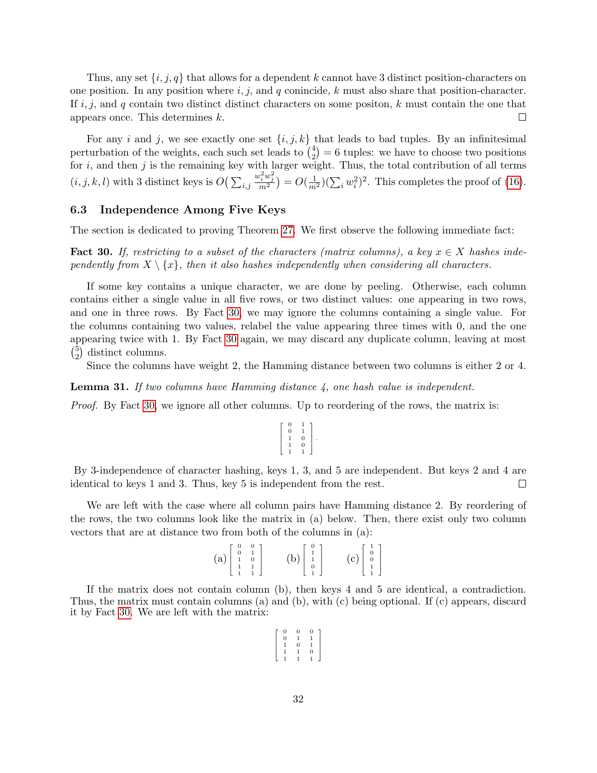Thus, any set  $\{i, j, q\}$  that allows for a dependent k cannot have 3 distinct position-characters on one position. In any position where  $i, j$ , and q conincide, k must also share that position-character. If  $i, j$ , and q contain two distinct distinct characters on some positon, k must contain the one that appears once. This determines k.  $\Box$ 

For any i and j, we see exactly one set  $\{i, j, k\}$  that leads to bad tuples. By an infinitesimal perturbation of the weights, each such set leads to  $\binom{4}{2}$  $\binom{4}{2} = 6$  tuples: we have to choose two positions for  $i$ , and then  $j$  is the remaining key with larger weight. Thus, the total contribution of all terms  $(i, j, k, l)$  with 3 distinct keys is  $O\left(\sum_{i,j}$  $\frac{w_i^2 w_j^2}{m^2}$ ) =  $O(\frac{1}{m^2}) (\sum_i w_i^2)^2$ . This completes the proof of [\(16\)](#page-29-1).

### <span id="page-32-0"></span>6.3 Independence Among Five Keys

The section is dedicated to proving Theorem [27.](#page-31-1) We first observe the following immediate fact:

<span id="page-32-1"></span>**Fact 30.** If, restricting to a subset of the characters (matrix columns), a key  $x \in X$  hashes independently from  $X \setminus \{x\}$ , then it also hashes independently when considering all characters.

If some key contains a unique character, we are done by peeling. Otherwise, each column contains either a single value in all five rows, or two distinct values: one appearing in two rows, and one in three rows. By Fact [30,](#page-32-1) we may ignore the columns containing a single value. For the columns containing two values, relabel the value appearing three times with 0, and the one appearing twice with 1. By Fact [30](#page-32-1) again, we may discard any duplicate column, leaving at most  $\binom{5}{2}$  $_{2}^{5}$ ) distinct columns.

Since the columns have weight 2, the Hamming distance between two columns is either 2 or 4.

**Lemma 31.** If two columns have Hamming distance  $\lambda$ , one hash value is independent.

Proof. By Fact [30,](#page-32-1) we ignore all other columns. Up to reordering of the rows, the matrix is:

$$
\left[\begin{array}{cc} 0 & 1 \\ 0 & 1 \\ 1 & 0 \\ 1 & 0 \\ 1 & 1 \end{array}\right].
$$

By 3-independence of character hashing, keys 1, 3, and 5 are independent. But keys 2 and 4 are identical to keys 1 and 3. Thus, key 5 is independent from the rest.  $\Box$ 

We are left with the case where all column pairs have Hamming distance 2. By reordering of the rows, the two columns look like the matrix in (a) below. Then, there exist only two column vectors that are at distance two from both of the columns in (a):

| $\left( {\bf a}\right) \left[ \begin{array}{ccc} 0 & 0 \\ 0 & 1 \\ 1 & 0 \\ 1 & 1 \\ 1 & 1 \end{array} \right]$ |  |  | (b) $\begin{bmatrix} 0 \\ 1 \\ 1 \\ 0 \\ 1 \end{bmatrix}$ | $(c)\left[\begin{array}{c}1\\0\\0\\1\\1\end{array}\right]$ |
|-----------------------------------------------------------------------------------------------------------------|--|--|-----------------------------------------------------------|------------------------------------------------------------|
|-----------------------------------------------------------------------------------------------------------------|--|--|-----------------------------------------------------------|------------------------------------------------------------|

If the matrix does not contain column (b), then keys 4 and 5 are identical, a contradiction. Thus, the matrix must contain columns (a) and (b), with (c) being optional. If (c) appears, discard it by Fact [30.](#page-32-1) We are left with the matrix:

| 0 | 0        |
|---|----------|
| ı |          |
| 0 |          |
| ι | $\Omega$ |
|   |          |
|   |          |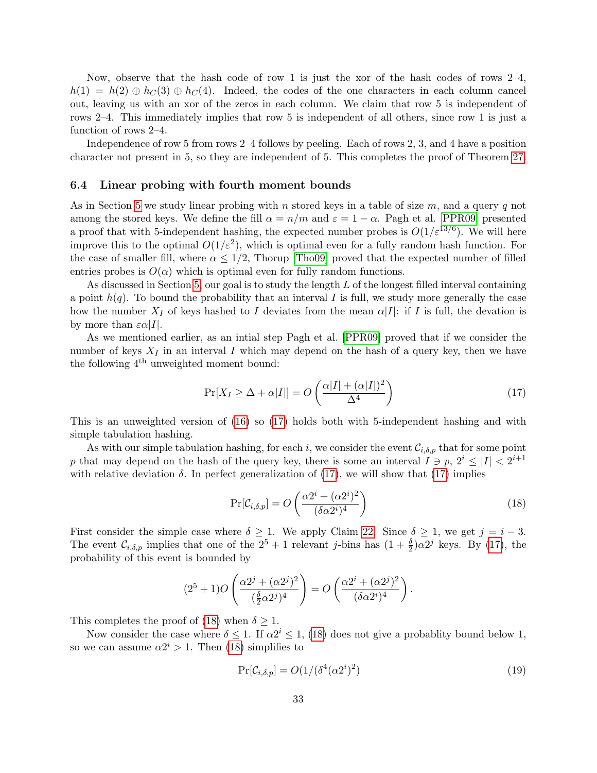Now, observe that the hash code of row 1 is just the xor of the hash codes of rows 2–4,  $h(1) = h(2) \oplus h<sub>C</sub>(3) \oplus h<sub>C</sub>(4)$ . Indeed, the codes of the one characters in each column cancel out, leaving us with an xor of the zeros in each column. We claim that row 5 is independent of rows 2–4. This immediately implies that row 5 is independent of all others, since row 1 is just a function of rows 2–4.

Independence of row 5 from rows 2–4 follows by peeling. Each of rows 2, 3, and 4 have a position character not present in 5, so they are independent of 5. This completes the proof of Theorem [27.](#page-31-1)

#### <span id="page-33-0"></span>6.4 Linear probing with fourth moment bounds

As in Section [5](#page-23-0) we study linear probing with n stored keys in a table of size  $m$ , and a query q not among the stored keys. We define the fill  $\alpha = n/m$  and  $\varepsilon = 1 - \alpha$ . Pagh et al. [\[PPR09\]](#page-44-0) presented a proof that with 5-independent hashing, the expected number probes is  $O(1/\varepsilon^{13/6})$ . We will here improve this to the optimal  $O(1/\varepsilon^2)$ , which is optimal even for a fully random hash function. For the case of smaller fill, where  $\alpha \leq 1/2$ , Thorup [\[Tho09\]](#page-44-7) proved that the expected number of filled entries probes is  $O(\alpha)$  which is optimal even for fully random functions.

As discussed in Section [5,](#page-23-0) our goal is to study the length  $L$  of the longest filled interval containing a point  $h(q)$ . To bound the probability that an interval I is full, we study more generally the case how the number  $X_I$  of keys hashed to I deviates from the mean  $\alpha|I|$ : if I is full, the devation is by more than  $\varepsilon \alpha |I|$ .

As we mentioned earlier, as an intial step Pagh et al. [\[PPR09\]](#page-44-0) proved that if we consider the number of keys  $X_I$  in an interval I which may depend on the hash of a query key, then we have the following  $4<sup>th</sup>$  unweighted moment bound:

<span id="page-33-1"></span>
$$
\Pr[X_I \ge \Delta + \alpha |I|] = O\left(\frac{\alpha |I| + (\alpha |I|)^2}{\Delta^4}\right) \tag{17}
$$

This is an unweighted version of [\(16\)](#page-29-1) so [\(17\)](#page-33-1) holds both with 5-independent hashing and with simple tabulation hashing.

As with our simple tabulation hashing, for each i, we consider the event  $\mathcal{C}_{i,\delta,p}$  that for some point p that may depend on the hash of the query key, there is some an interval  $I \ni p, 2^i \leq |I| < 2^{i+1}$ with relative deviation  $\delta$ . In perfect generalization of [\(17\)](#page-33-1), we will show that (17) implies

<span id="page-33-2"></span>
$$
\Pr[\mathcal{C}_{i,\delta,p}] = O\left(\frac{\alpha 2^i + (\alpha 2^i)^2}{(\delta \alpha 2^i)^4}\right) \tag{18}
$$

First consider the simple case where  $\delta \geq 1$ . We apply Claim [22.](#page-24-1) Since  $\delta \geq 1$ , we get  $j = i - 3$ . The event  $C_{i,\delta,p}$  implies that one of the  $2^5 + 1$  relevant j-bins has  $(1 + \frac{\delta}{2})\alpha 2^j$  keys. By [\(17\)](#page-33-1), the probability of this event is bounded by

$$
(2^5 + 1)O\left(\frac{\alpha 2^j + (\alpha 2^j)^2}{(\frac{\delta}{2}\alpha 2^j)^4}\right) = O\left(\frac{\alpha 2^i + (\alpha 2^j)^2}{(\delta \alpha 2^i)^4}\right).
$$

This completes the proof of [\(18\)](#page-33-2) when  $\delta \geq 1$ .

Now consider the case where  $\delta \leq 1$ . If  $\alpha 2^{i} \leq 1$ , [\(18\)](#page-33-2) does not give a probablity bound below 1, so we can assume  $\alpha 2^i > 1$ . Then [\(18\)](#page-33-2) simplifies to

<span id="page-33-3"></span>
$$
\Pr[\mathcal{C}_{i,\delta,p}] = O(1/(\delta^4(\alpha 2^i)^2) \tag{19}
$$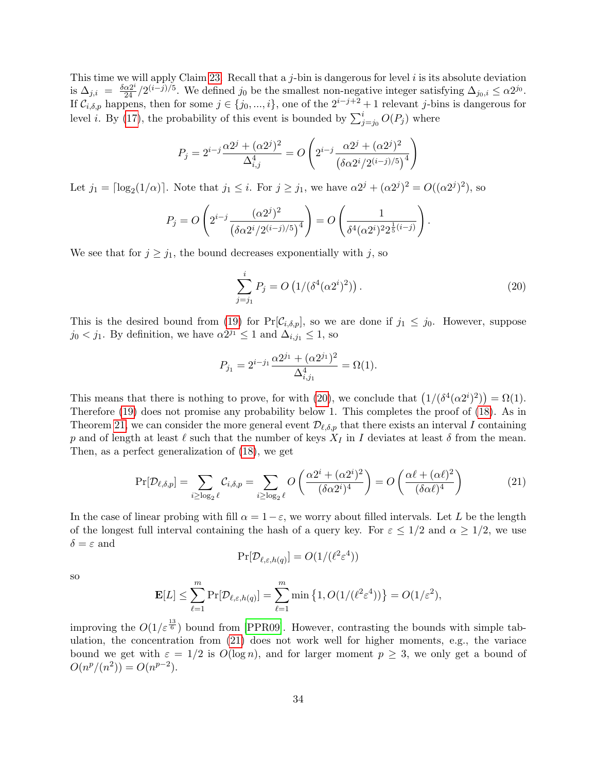This time we will apply Claim [23.](#page-25-0) Recall that a  $j$ -bin is dangerous for level  $i$  is its absolute deviation is  $\Delta_{j,i} = \frac{\delta \alpha 2^{i}}{24} / 2^{(i-j)/5}$ . We defined  $j_0$  be the smallest non-negative integer satisfying  $\Delta_{j_0,i} \leq \alpha 2^{j_0}$ . If  $\mathcal{C}_{i,\delta,p}$  happens, then for some  $j \in \{j_0, ..., i\}$ , one of the  $2^{i-j+2}+1$  relevant j-bins is dangerous for level *i*. By [\(17\)](#page-33-1), the probability of this event is bounded by  $\sum_{j=j_0}^{i} O(P_j)$  where

$$
P_j = 2^{i-j} \frac{\alpha 2^j + (\alpha 2^j)^2}{\Delta_{i,j}^4} = O\left(2^{i-j} \frac{\alpha 2^j + (\alpha 2^j)^2}{(\delta \alpha 2^i / 2^{(i-j)/5})^4}\right)
$$

Let  $j_1 = \lceil \log_2(1/\alpha) \rceil$ . Note that  $j_1 \leq i$ . For  $j \geq j_1$ , we have  $\alpha 2^j + (\alpha 2^j)^2 = O((\alpha 2^j)^2)$ , so

$$
P_j = O\left(2^{i-j} \frac{(\alpha 2^j)^2}{(\delta \alpha 2^i / 2^{(i-j)/5})^4}\right) = O\left(\frac{1}{\delta^4 (\alpha 2^i)^2 2^{\frac{1}{5}(i-j)}}\right).
$$

We see that for  $j \geq j_1$ , the bound decreases exponentially with j, so

<span id="page-34-1"></span>
$$
\sum_{j=j_1}^{i} P_j = O\left(1/(\delta^4(\alpha 2^i)^2)\right).
$$
\n(20)

This is the desired bound from [\(19\)](#page-33-3) for  $Pr[\mathcal{C}_{i,\delta,p}]$ , so we are done if  $j_1 \leq j_0$ . However, suppose  $j_0 < j_1$ . By definition, we have  $\alpha 2^{j_1} \leq 1$  and  $\Delta_{i,j_1} \leq 1$ , so

$$
P_{j_1} = 2^{i-j_1} \frac{\alpha 2^{j_1} + (\alpha 2^{j_1})^2}{\Delta_{i,j_1}^4} = \Omega(1).
$$

This means that there is nothing to prove, for with [\(20\)](#page-34-1), we conclude that  $(1/(\delta^4(\alpha 2^i)^2)) = \Omega(1)$ . Therefore [\(19\)](#page-33-3) does not promise any probability below 1. This completes the proof of [\(18\)](#page-33-2). As in Theorem [21,](#page-23-1) we can consider the more general event  $\mathcal{D}_{\ell,\delta,p}$  that there exists an interval I containing p and of length at least  $\ell$  such that the number of keys  $X_I$  in I deviates at least  $\delta$  from the mean. Then, as a perfect generalization of [\(18\)](#page-33-2), we get

<span id="page-34-0"></span>
$$
\Pr[\mathcal{D}_{\ell,\delta,p}] = \sum_{i \ge \log_2 \ell} C_{i,\delta,p} = \sum_{i \ge \log_2 \ell} O\left(\frac{\alpha 2^i + (\alpha 2^i)^2}{(\delta \alpha 2^i)^4}\right) = O\left(\frac{\alpha \ell + (\alpha \ell)^2}{(\delta \alpha \ell)^4}\right)
$$
(21)

In the case of linear probing with fill  $\alpha = 1-\varepsilon$ , we worry about filled intervals. Let L be the length of the longest full interval containing the hash of a query key. For  $\varepsilon \leq 1/2$  and  $\alpha \geq 1/2$ , we use  $\delta = \varepsilon$  and

$$
\Pr[\mathcal{D}_{\ell,\varepsilon,h(q)}] = O(1/(\ell^2 \varepsilon^4))
$$

so

$$
\mathbf{E}[L] \leq \sum_{\ell=1}^m \Pr[\mathcal{D}_{\ell,\varepsilon,h(q)}] = \sum_{\ell=1}^m \min\left\{1, O(1/(\ell^2 \varepsilon^4))\right\} = O(1/\varepsilon^2),
$$

improving the  $O(1/\varepsilon^{\frac{13}{6}})$  bound from [\[PPR09\]](#page-44-0). However, contrasting the bounds with simple tabulation, the concentration from [\(21\)](#page-34-0) does not work well for higher moments, e.g., the variace bound we get with  $\varepsilon = 1/2$  is  $O(\log n)$ , and for larger moment  $p \geq 3$ , we only get a bound of  $O(n^p/(n^2)) = O(n^{p-2}).$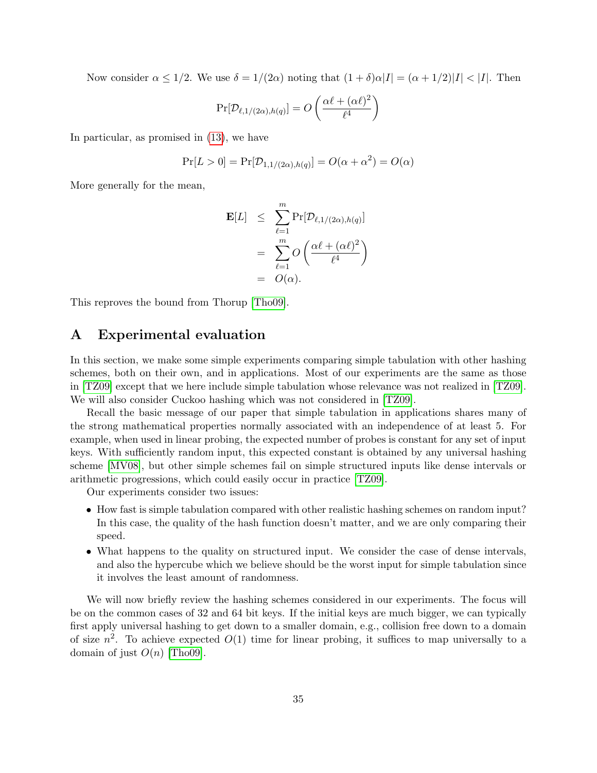Now consider  $\alpha \leq 1/2$ . We use  $\delta = 1/(2\alpha)$  noting that  $(1+\delta)\alpha|I| = (\alpha+1/2)|I| < |I|$ . Then

$$
Pr[\mathcal{D}_{\ell,1/(2\alpha),h(q)}] = O\left(\frac{\alpha\ell + (\alpha\ell)^2}{\ell^4}\right)
$$

In particular, as promised in [\(13\)](#page-27-1), we have

$$
Pr[L > 0] = Pr[D_{1,1/(2\alpha),h(q)}] = O(\alpha + \alpha^2) = O(\alpha)
$$

More generally for the mean,

$$
\mathbf{E}[L] \leq \sum_{\ell=1}^{m} \Pr[\mathcal{D}_{\ell,1/(2\alpha),h(q)}]
$$
  
= 
$$
\sum_{\ell=1}^{m} O\left(\frac{\alpha \ell + (\alpha \ell)^2}{\ell^4}\right)
$$
  
= 
$$
O(\alpha).
$$

This reproves the bound from Thorup [\[Tho09\]](#page-44-7).

### <span id="page-35-0"></span>A Experimental evaluation

In this section, we make some simple experiments comparing simple tabulation with other hashing schemes, both on their own, and in applications. Most of our experiments are the same as those in [\[TZ09\]](#page-44-2) except that we here include simple tabulation whose relevance was not realized in [\[TZ09\]](#page-44-2). We will also consider Cuckoo hashing which was not considered in [\[TZ09\]](#page-44-2).

Recall the basic message of our paper that simple tabulation in applications shares many of the strong mathematical properties normally associated with an independence of at least 5. For example, when used in linear probing, the expected number of probes is constant for any set of input keys. With sufficiently random input, this expected constant is obtained by any universal hashing scheme [\[MV08\]](#page-43-1), but other simple schemes fail on simple structured inputs like dense intervals or arithmetic progressions, which could easily occur in practice [\[TZ09\]](#page-44-2).

Our experiments consider two issues:

- How fast is simple tabulation compared with other realistic hashing schemes on random input? In this case, the quality of the hash function doesn't matter, and we are only comparing their speed.
- What happens to the quality on structured input. We consider the case of dense intervals, and also the hypercube which we believe should be the worst input for simple tabulation since it involves the least amount of randomness.

We will now briefly review the hashing schemes considered in our experiments. The focus will be on the common cases of 32 and 64 bit keys. If the initial keys are much bigger, we can typically first apply universal hashing to get down to a smaller domain, e.g., collision free down to a domain of size  $n^2$ . To achieve expected  $O(1)$  time for linear probing, it suffices to map universally to a domain of just  $O(n)$  [\[Tho09\]](#page-44-7).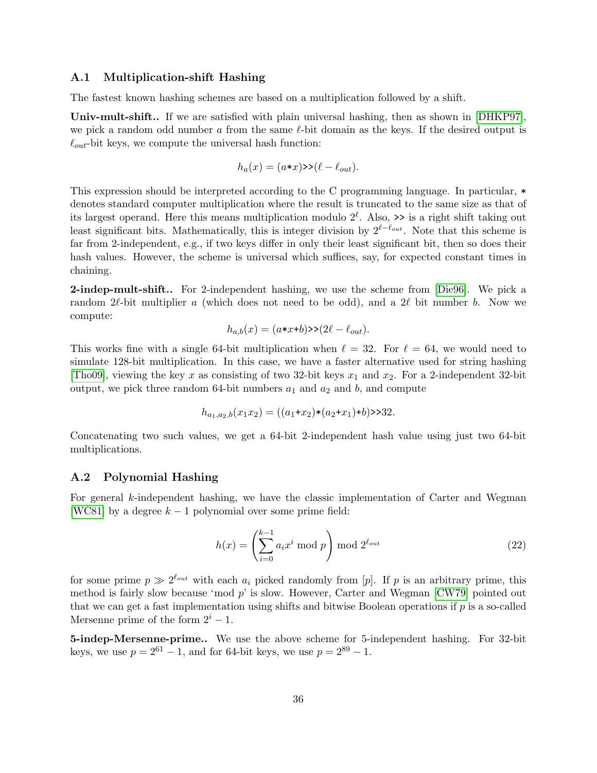### A.1 Multiplication-shift Hashing

The fastest known hashing schemes are based on a multiplication followed by a shift.

Univ-mult-shift.. If we are satisfied with plain universal hashing, then as shown in [\[DHKP97\]](#page-43-10), we pick a random odd number a from the same  $\ell$ -bit domain as the keys. If the desired output is  $\ell_{out}$ -bit keys, we compute the universal hash function:

$$
h_a(x) = (a \cdot x) \rightarrow (\ell - \ell_{out}).
$$

This expression should be interpreted according to the C programming language. In particular, \* denotes standard computer multiplication where the result is truncated to the same size as that of its largest operand. Here this means multiplication modulo  $2^{\ell}$ . Also,  $\geq$  is a right shift taking out least significant bits. Mathematically, this is integer division by  $2^{\ell-\ell_{out}}$ . Note that this scheme is far from 2-independent, e.g., if two keys differ in only their least significant bit, then so does their hash values. However, the scheme is universal which suffices, say, for expected constant times in chaining.

2-indep-mult-shift.. For 2-independent hashing, we use the scheme from [\[Die96\]](#page-43-11). We pick a random 2 $\ell$ -bit multiplier a (which does not need to be odd), and a 2 $\ell$  bit number b. Now we compute:

$$
h_{a,b}(x) = (a \cdot x + b) \cdot (2\ell - \ell_{out}).
$$

This works fine with a single 64-bit multiplication when  $\ell = 32$ . For  $\ell = 64$ , we would need to simulate 128-bit multiplication. In this case, we have a faster alternative used for string hashing [\[Tho09\]](#page-44-7), viewing the key x as consisting of two 32-bit keys  $x_1$  and  $x_2$ . For a 2-independent 32-bit output, we pick three random 64-bit numbers  $a_1$  and  $a_2$  and b, and compute

$$
h_{a_1,a_2,b}(x_1x_2) = ((a_1+x_2)*(a_2+x_1)+b) > 32.
$$

Concatenating two such values, we get a 64-bit 2-independent hash value using just two 64-bit multiplications.

### A.2 Polynomial Hashing

For general k-independent hashing, we have the classic implementation of Carter and Wegman [\[WC81\]](#page-44-3) by a degree  $k-1$  polynomial over some prime field:

$$
h(x) = \left(\sum_{i=0}^{k-1} a_i x^i \bmod p\right) \bmod 2^{\ell_{out}} \tag{22}
$$

for some prime  $p \gg 2^{\ell_{out}}$  with each  $a_i$  picked randomly from [p]. If p is an arbitrary prime, this method is fairly slow because 'mod p' is slow. However, Carter and Wegman [\[CW79\]](#page-43-12) pointed out that we can get a fast implementation using shifts and bitwise Boolean operations if p is a so-called Mersenne prime of the form  $2^{i} - 1$ .

5-indep-Mersenne-prime.. We use the above scheme for 5-independent hashing. For 32-bit keys, we use  $p = 2^{61} - 1$ , and for 64-bit keys, we use  $p = 2^{89} - 1$ .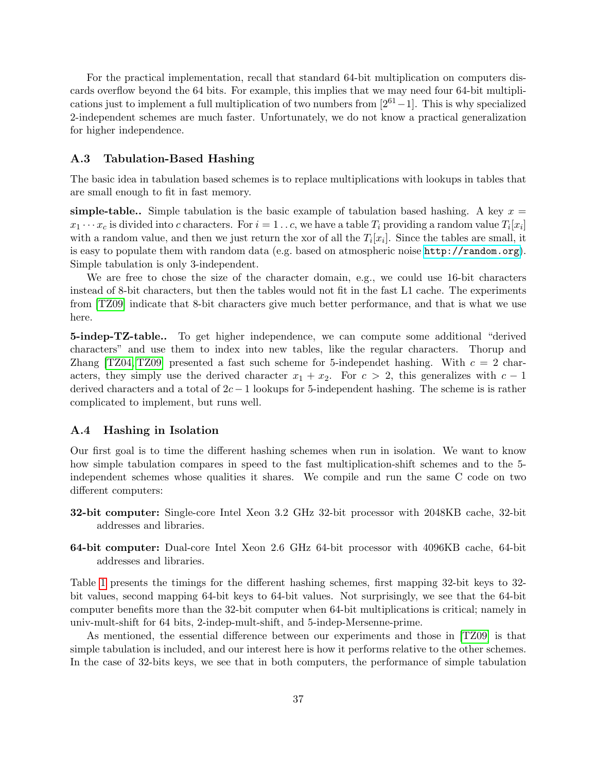For the practical implementation, recall that standard 64-bit multiplication on computers discards overflow beyond the 64 bits. For example, this implies that we may need four 64-bit multiplications just to implement a full multiplication of two numbers from  $[2^{61}-1]$ . This is why specialized 2-independent schemes are much faster. Unfortunately, we do not know a practical generalization for higher independence.

#### A.3 Tabulation-Based Hashing

The basic idea in tabulation based schemes is to replace multiplications with lookups in tables that are small enough to fit in fast memory.

simple-table.. Simple tabulation is the basic example of tabulation based hashing. A key  $x =$  $x_1 \cdots x_c$  is divided into c characters. For  $i = 1 \ldots c$ , we have a table  $T_i$  providing a random value  $T_i[x_i]$ with a random value, and then we just return the xor of all the  $T_i[x_i]$ . Since the tables are small, it is easy to populate them with random data (e.g. based on atmospheric noise <http://random.org>). Simple tabulation is only 3-independent.

We are free to chose the size of the character domain, e.g., we could use 16-bit characters instead of 8-bit characters, but then the tables would not fit in the fast L1 cache. The experiments from [\[TZ09\]](#page-44-2) indicate that 8-bit characters give much better performance, and that is what we use here.

5-indep-TZ-table.. To get higher independence, we can compute some additional "derived characters" and use them to index into new tables, like the regular characters. Thorup and Zhang [\[TZ04,](#page-44-4) [TZ09\]](#page-44-2) presented a fast such scheme for 5-independet hashing. With  $c = 2$  characters, they simply use the derived character  $x_1 + x_2$ . For  $c > 2$ , this generalizes with  $c - 1$ derived characters and a total of  $2c - 1$  lookups for 5-independent hashing. The scheme is is rather complicated to implement, but runs well.

### A.4 Hashing in Isolation

Our first goal is to time the different hashing schemes when run in isolation. We want to know how simple tabulation compares in speed to the fast multiplication-shift schemes and to the 5 independent schemes whose qualities it shares. We compile and run the same C code on two different computers:

- 32-bit computer: Single-core Intel Xeon 3.2 GHz 32-bit processor with 2048KB cache, 32-bit addresses and libraries.
- 64-bit computer: Dual-core Intel Xeon 2.6 GHz 64-bit processor with 4096KB cache, 64-bit addresses and libraries.

Table [1](#page-38-0) presents the timings for the different hashing schemes, first mapping 32-bit keys to 32 bit values, second mapping 64-bit keys to 64-bit values. Not surprisingly, we see that the 64-bit computer benefits more than the 32-bit computer when 64-bit multiplications is critical; namely in univ-mult-shift for 64 bits, 2-indep-mult-shift, and 5-indep-Mersenne-prime.

As mentioned, the essential difference between our experiments and those in [\[TZ09\]](#page-44-2) is that simple tabulation is included, and our interest here is how it performs relative to the other schemes. In the case of 32-bits keys, we see that in both computers, the performance of simple tabulation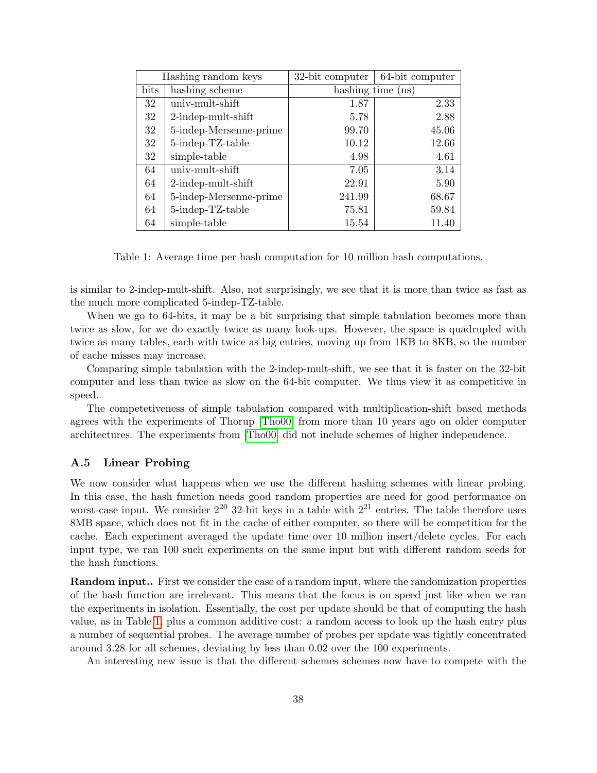|      | Hashing random keys    | 32-bit computer   | 64-bit computer |
|------|------------------------|-------------------|-----------------|
| bits | hashing scheme         | hashing time (ns) |                 |
| 32   | univ-mult-shift        | 1.87              | 2.33            |
| 32   | $2$ -indep-mult-shift  | 5.78              | 2.88            |
| 32   | 5-indep-Mersenne-prime | 99.70             | 45.06           |
| 32   | 5-indep-TZ-table       | 10.12             | 12.66           |
| 32   | simple-table           | 4.98              | 4.61            |
| 64   | univ-mult-shift        | 7.05              | 3.14            |
| 64   | $2$ -indep-mult-shift  | 22.91             | 5.90            |
| 64   | 5-indep-Mersenne-prime | 241.99            | 68.67           |
| 64   | 5-indep-TZ-table       | 75.81             | 59.84           |
| 64   | simple-table           | 15.54             | 11.40           |

<span id="page-38-0"></span>Table 1: Average time per hash computation for 10 million hash computations.

is similar to 2-indep-mult-shift. Also, not surprisingly, we see that it is more than twice as fast as the much more complicated 5-indep-TZ-table.

When we go to 64-bits, it may be a bit surprising that simple tabulation becomes more than twice as slow, for we do exactly twice as many look-ups. However, the space is quadrupled with twice as many tables, each with twice as big entries, moving up from 1KB to 8KB, so the number of cache misses may increase.

Comparing simple tabulation with the 2-indep-mult-shift, we see that it is faster on the 32-bit computer and less than twice as slow on the 64-bit computer. We thus view it as competitive in speed.

The competetiveness of simple tabulation compared with multiplication-shift based methods agrees with the experiments of Thorup [\[Tho00\]](#page-44-8) from more than 10 years ago on older computer architectures. The experiments from [\[Tho00\]](#page-44-8) did not include schemes of higher independence.

### A.5 Linear Probing

We now consider what happens when we use the different hashing schemes with linear probing. In this case, the hash function needs good random properties are need for good performance on worst-case input. We consider  $2^{20}$  32-bit keys in a table with  $2^{21}$  entries. The table therefore uses 8MB space, which does not fit in the cache of either computer, so there will be competition for the cache. Each experiment averaged the update time over 10 million insert/delete cycles. For each input type, we ran 100 such experiments on the same input but with different random seeds for the hash functions.

**Random input..** First we consider the case of a random input, where the randomization properties of the hash function are irrelevant. This means that the focus is on speed just like when we ran the experiments in isolation. Essentially, the cost per update should be that of computing the hash value, as in Table [1,](#page-38-0) plus a common additive cost: a random access to look up the hash entry plus a number of sequential probes. The average number of probes per update was tightly concentrated around 3.28 for all schemes, deviating by less than 0.02 over the 100 experiments.

An interesting new issue is that the different schemes schemes now have to compete with the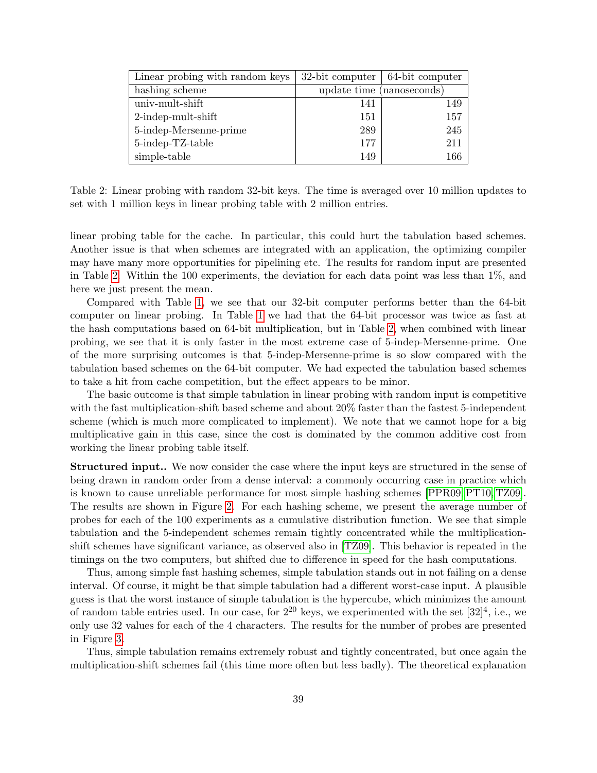| Linear probing with random keys |                           | $32$ -bit computer   64-bit computer |
|---------------------------------|---------------------------|--------------------------------------|
| hashing scheme                  | update time (nanoseconds) |                                      |
| univ-mult-shift                 | 141                       | 149                                  |
| $2$ -indep-mult-shift           | 151                       | 157                                  |
| 5-indep-Mersenne-prime          | 289                       | 245                                  |
| 5-indep-TZ-table                | 177                       | 211                                  |
| simple-table                    | 149                       | 166                                  |

<span id="page-39-0"></span>Table 2: Linear probing with random 32-bit keys. The time is averaged over 10 million updates to set with 1 million keys in linear probing table with 2 million entries.

linear probing table for the cache. In particular, this could hurt the tabulation based schemes. Another issue is that when schemes are integrated with an application, the optimizing compiler may have many more opportunities for pipelining etc. The results for random input are presented in Table [2.](#page-39-0) Within the 100 experiments, the deviation for each data point was less than 1%, and here we just present the mean.

Compared with Table [1,](#page-38-0) we see that our 32-bit computer performs better than the 64-bit computer on linear probing. In Table [1](#page-38-0) we had that the 64-bit processor was twice as fast at the hash computations based on 64-bit multiplication, but in Table [2,](#page-39-0) when combined with linear probing, we see that it is only faster in the most extreme case of 5-indep-Mersenne-prime. One of the more surprising outcomes is that 5-indep-Mersenne-prime is so slow compared with the tabulation based schemes on the 64-bit computer. We had expected the tabulation based schemes to take a hit from cache competition, but the effect appears to be minor.

The basic outcome is that simple tabulation in linear probing with random input is competitive with the fast multiplication-shift based scheme and about 20% faster than the fastest 5-independent scheme (which is much more complicated to implement). We note that we cannot hope for a big multiplicative gain in this case, since the cost is dominated by the common additive cost from working the linear probing table itself.

Structured input.. We now consider the case where the input keys are structured in the sense of being drawn in random order from a dense interval: a commonly occurring case in practice which is known to cause unreliable performance for most simple hashing schemes [\[PPR09,](#page-44-0) [PT10,](#page-44-1) [TZ09\]](#page-44-2). The results are shown in Figure [2.](#page-40-0) For each hashing scheme, we present the average number of probes for each of the 100 experiments as a cumulative distribution function. We see that simple tabulation and the 5-independent schemes remain tightly concentrated while the multiplicationshift schemes have significant variance, as observed also in [\[TZ09\]](#page-44-2). This behavior is repeated in the timings on the two computers, but shifted due to difference in speed for the hash computations.

Thus, among simple fast hashing schemes, simple tabulation stands out in not failing on a dense interval. Of course, it might be that simple tabulation had a different worst-case input. A plausible guess is that the worst instance of simple tabulation is the hypercube, which minimizes the amount of random table entries used. In our case, for  $2^{20}$  keys, we experimented with the set  $[32]^4$ , i.e., we only use 32 values for each of the 4 characters. The results for the number of probes are presented in Figure [3.](#page-40-1)

Thus, simple tabulation remains extremely robust and tightly concentrated, but once again the multiplication-shift schemes fail (this time more often but less badly). The theoretical explanation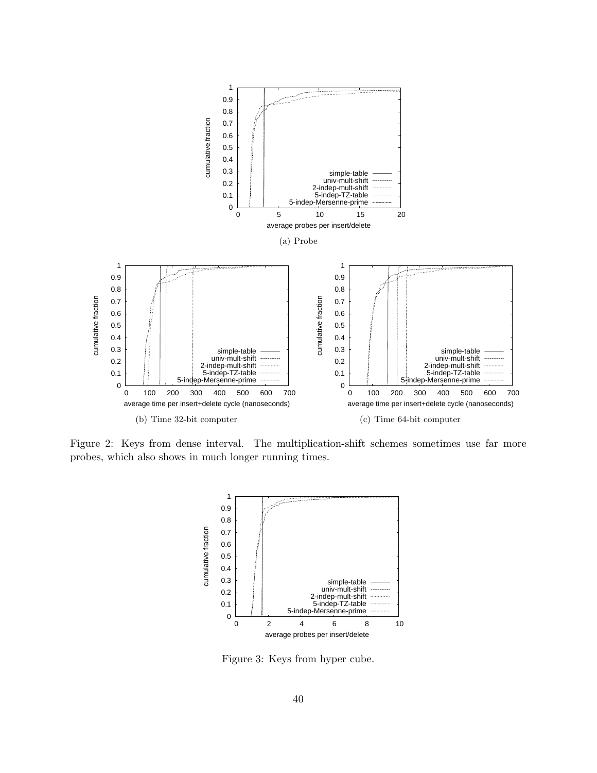

<span id="page-40-0"></span>Figure 2: Keys from dense interval. The multiplication-shift schemes sometimes use far more probes, which also shows in much longer running times.



<span id="page-40-1"></span>Figure 3: Keys from hyper cube.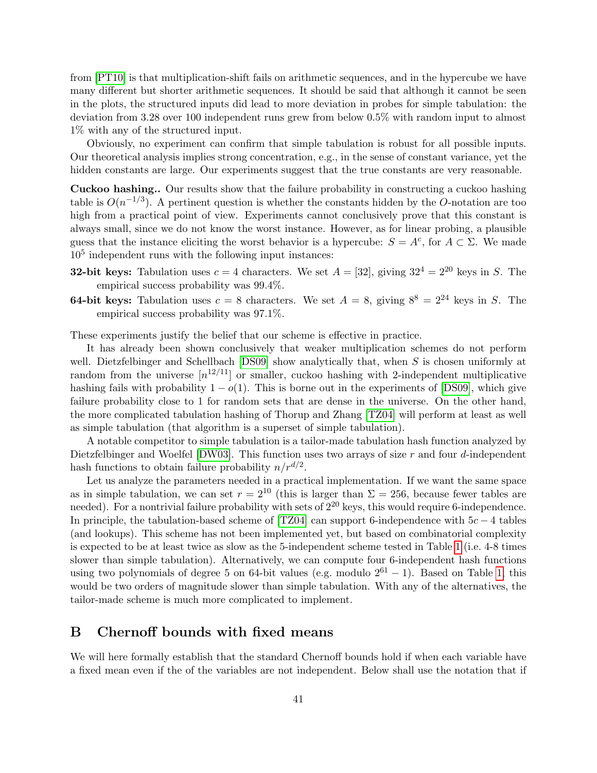from [\[PT10\]](#page-44-1) is that multiplication-shift fails on arithmetic sequences, and in the hypercube we have many different but shorter arithmetic sequences. It should be said that although it cannot be seen in the plots, the structured inputs did lead to more deviation in probes for simple tabulation: the deviation from 3.28 over 100 independent runs grew from below 0.5% with random input to almost 1% with any of the structured input.

Obviously, no experiment can confirm that simple tabulation is robust for all possible inputs. Our theoretical analysis implies strong concentration, e.g., in the sense of constant variance, yet the hidden constants are large. Our experiments suggest that the true constants are very reasonable.

Cuckoo hashing.. Our results show that the failure probability in constructing a cuckoo hashing table is  $O(n^{-1/3})$ . A pertinent question is whether the constants hidden by the O-notation are too high from a practical point of view. Experiments cannot conclusively prove that this constant is always small, since we do not know the worst instance. However, as for linear probing, a plausible guess that the instance eliciting the worst behavior is a hypercube:  $S = A^c$ , for  $A \subset \Sigma$ . We made 10<sup>5</sup> independent runs with the following input instances:

- **32-bit keys:** Tabulation uses  $c = 4$  characters. We set  $A = \begin{bmatrix} 32 \end{bmatrix}$ , giving  $32^4 = 2^{20}$  keys in S. The empirical success probability was 99.4%.
- **64-bit keys:** Tabulation uses  $c = 8$  characters. We set  $A = 8$ , giving  $8^8 = 2^{24}$  keys in S. The empirical success probability was 97.1%.

These experiments justify the belief that our scheme is effective in practice.

It has already been shown conclusively that weaker multiplication schemes do not perform well. Dietzfelbinger and Schellbach  $[DS09]$  show analytically that, when S is chosen uniformly at random from the universe  $[n^{12/11}]$  or smaller, cuckoo hashing with 2-independent multiplicative hashing fails with probability  $1 - o(1)$ . This is borne out in the experiments of [\[DS09\]](#page-43-13), which give failure probability close to 1 for random sets that are dense in the universe. On the other hand, the more complicated tabulation hashing of Thorup and Zhang [\[TZ04\]](#page-44-4) will perform at least as well as simple tabulation (that algorithm is a superset of simple tabulation).

A notable competitor to simple tabulation is a tailor-made tabulation hash function analyzed by Dietzfelbinger and Woelfel  $[DW03]$ . This function uses two arrays of size r and four d-independent hash functions to obtain failure probability  $n/r^{d/2}$ .

Let us analyze the parameters needed in a practical implementation. If we want the same space as in simple tabulation, we can set  $r = 2^{10}$  (this is larger than  $\Sigma = 256$ , because fewer tables are needed). For a nontrivial failure probability with sets of  $2^{20}$  keys, this would require 6-independence. In principle, the tabulation-based scheme of [\[TZ04\]](#page-44-4) can support 6-independence with  $5c - 4$  tables (and lookups). This scheme has not been implemented yet, but based on combinatorial complexity is expected to be at least twice as slow as the 5-independent scheme tested in Table [1](#page-38-0) (i.e. 4-8 times slower than simple tabulation). Alternatively, we can compute four 6-independent hash functions using two polynomials of degree 5 on 64-bit values (e.g. modulo  $2^{61} - 1$ ). Based on Table [1,](#page-38-0) this would be two orders of magnitude slower than simple tabulation. With any of the alternatives, the tailor-made scheme is much more complicated to implement.

### <span id="page-41-0"></span>B Chernoff bounds with fixed means

We will here formally establish that the standard Chernoff bounds hold if when each variable have a fixed mean even if the of the variables are not independent. Below shall use the notation that if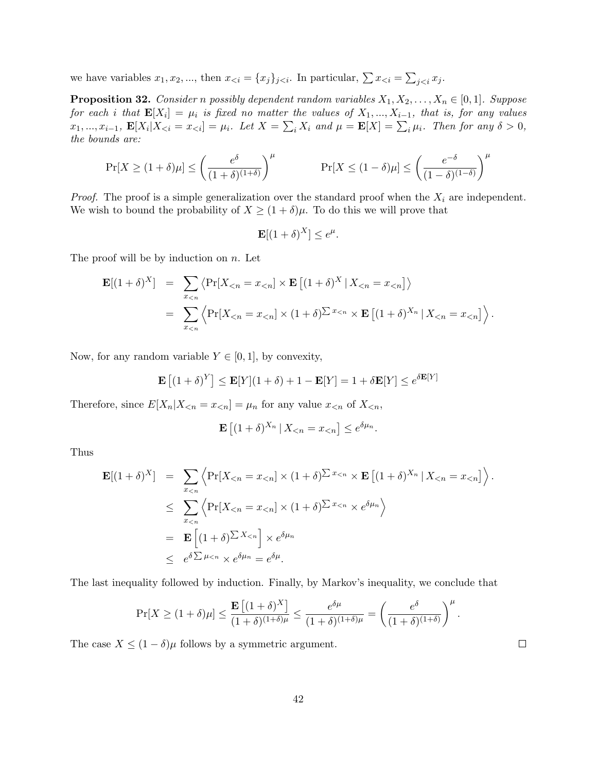we have variables  $x_1, x_2, ...,$  then  $x_{\leq i} = \{x_j\}_{j \leq i}$ . In particular,  $\sum x_{\leq i} = \sum_{j \leq i} x_j$ .

**Proposition 32.** Consider n possibly dependent random variables  $X_1, X_2, \ldots, X_n \in [0,1]$ . Suppose for each i that  $\mathbf{E}[X_i] = \mu_i$  is fixed no matter the values of  $X_1, ..., X_{i-1}$ , that is, for any values  $x_1, ..., x_{i-1}$ ,  $\mathbf{E}[X_i | X_{\leq i} = x_{\leq i}] = \mu_i$ . Let  $X = \sum_i X_i$  and  $\mu = \mathbf{E}[X] = \sum_i \mu_i$ . Then for any  $\delta > 0$ , the bounds are:

$$
\Pr[X \ge (1+\delta)\mu] \le \left(\frac{e^{\delta}}{(1+\delta)^{(1+\delta)}}\right)^{\mu} \qquad \Pr[X \le (1-\delta)\mu] \le \left(\frac{e^{-\delta}}{(1-\delta)^{(1-\delta)}}\right)^{\mu}
$$

*Proof.* The proof is a simple generalization over the standard proof when the  $X_i$  are independent. We wish to bound the probability of  $X \geq (1 + \delta)\mu$ . To do this we will prove that

$$
\mathbf{E}[(1+\delta)^X] \le e^{\mu}.
$$

The proof will be by induction on  $n$ . Let

$$
\mathbf{E}[(1+\delta)^X] = \sum_{x_{\le n}} \langle \Pr[X_{\le n} = x_{\le n}] \times \mathbf{E} [(1+\delta)^X | X_{\le n} = x_{\le n}] \rangle
$$
  
= 
$$
\sum_{x_{\le n}} \langle \Pr[X_{\le n} = x_{\le n}] \times (1+\delta)^{\sum x_{\le n}} \times \mathbf{E} [(1+\delta)^{X_n} | X_{\le n} = x_{\le n}] \rangle.
$$

Now, for any random variable  $Y \in [0,1]$ , by convexity,

$$
\mathbf{E}\left[ (1+\delta)^Y \right] \le \mathbf{E}[Y](1+\delta) + 1 - \mathbf{E}[Y] = 1 + \delta \mathbf{E}[Y] \le e^{\delta \mathbf{E}[Y]}
$$

Therefore, since  $E[X_n|X_{\leq n} = x_{\leq n}] = \mu_n$  for any value  $x_{\leq n}$  of  $X_{\leq n}$ ,

$$
\mathbf{E}\left[ (1+\delta)^{X_n} \,|\, X_{<} n = x_{<} n \right] \leq e^{\delta \mu_n}.
$$

Thus

$$
\mathbf{E}[(1+\delta)^{X}] = \sum_{x_{\leq n}} \left\langle \Pr[X_{\leq n} = x_{\leq n}] \times (1+\delta)^{\sum x_{\leq n}} \times \mathbf{E} \left[ (1+\delta)^{X_{n}} | X_{\leq n} = x_{\leq n} \right] \right\rangle.
$$
  
\n
$$
\leq \sum_{x_{\leq n}} \left\langle \Pr[X_{\leq n} = x_{\leq n}] \times (1+\delta)^{\sum x_{\leq n}} \times e^{\delta \mu_{n}} \right\rangle
$$
  
\n
$$
= \mathbf{E} \left[ (1+\delta)^{\sum X_{\leq n}} \right] \times e^{\delta \mu_{n}}
$$
  
\n
$$
\leq e^{\delta \sum \mu_{\leq n}} \times e^{\delta \mu_{n}} = e^{\delta \mu}.
$$

The last inequality followed by induction. Finally, by Markov's inequality, we conclude that

$$
\Pr[X \geq (1+\delta)\mu] \leq \frac{\mathbf{E}\left[(1+\delta)^X\right]}{(1+\delta)^{(1+\delta)\mu}} \leq \frac{e^{\delta\mu}}{(1+\delta)^{(1+\delta)\mu}} = \left(\frac{e^{\delta}}{(1+\delta)^{(1+\delta)}}\right)^{\mu}
$$

The case  $X \leq (1 - \delta)\mu$  follows by a symmetric argument.

 $\Box$ 

.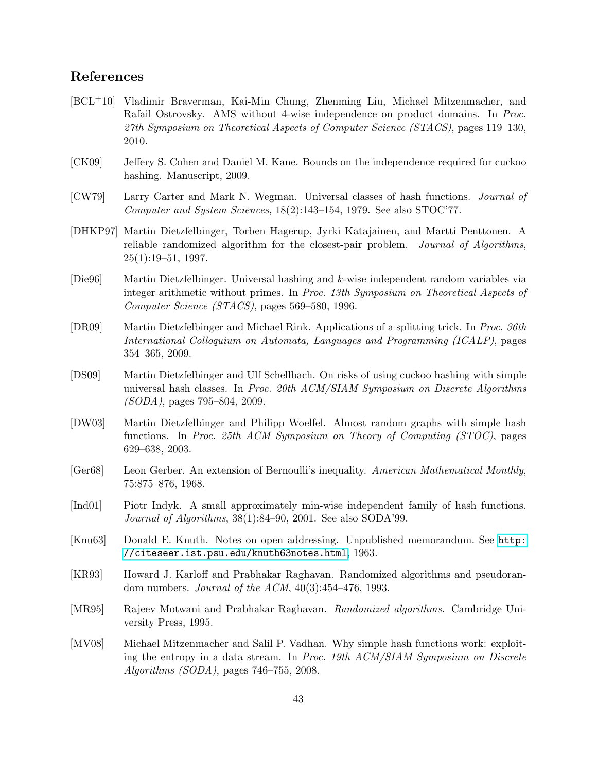# References

- <span id="page-43-7"></span>[BCL+10] Vladimir Braverman, Kai-Min Chung, Zhenming Liu, Michael Mitzenmacher, and Rafail Ostrovsky. AMS without 4-wise independence on product domains. In Proc. 27th Symposium on Theoretical Aspects of Computer Science (STACS), pages 119–130, 2010.
- <span id="page-43-2"></span>[CK09] Jeffery S. Cohen and Daniel M. Kane. Bounds on the independence required for cuckoo hashing. Manuscript, 2009.
- <span id="page-43-12"></span>[CW79] Larry Carter and Mark N. Wegman. Universal classes of hash functions. Journal of Computer and System Sciences, 18(2):143–154, 1979. See also STOC'77.
- <span id="page-43-10"></span>[DHKP97] Martin Dietzfelbinger, Torben Hagerup, Jyrki Katajainen, and Martti Penttonen. A reliable randomized algorithm for the closest-pair problem. Journal of Algorithms,  $25(1):19-51, 1997.$
- <span id="page-43-11"></span>[Die96] Martin Dietzfelbinger. Universal hashing and k-wise independent random variables via integer arithmetic without primes. In Proc. 13th Symposium on Theoretical Aspects of Computer Science (STACS), pages 569–580, 1996.
- <span id="page-43-4"></span>[DR09] Martin Dietzfelbinger and Michael Rink. Applications of a splitting trick. In Proc. 36th International Colloquium on Automata, Languages and Programming (ICALP), pages 354–365, 2009.
- <span id="page-43-13"></span>[DS09] Martin Dietzfelbinger and Ulf Schellbach. On risks of using cuckoo hashing with simple universal hash classes. In Proc. 20th ACM/SIAM Symposium on Discrete Algorithms (SODA), pages 795–804, 2009.
- <span id="page-43-5"></span>[DW03] Martin Dietzfelbinger and Philipp Woelfel. Almost random graphs with simple hash functions. In Proc. 25th ACM Symposium on Theory of Computing (STOC), pages 629–638, 2003.
- <span id="page-43-9"></span>[Ger68] Leon Gerber. An extension of Bernoulli's inequality. American Mathematical Monthly, 75:875–876, 1968.
- <span id="page-43-3"></span>[Ind01] Piotr Indyk. A small approximately min-wise independent family of hash functions. Journal of Algorithms, 38(1):84–90, 2001. See also SODA'99.
- <span id="page-43-0"></span>[Knu63] Donald E. Knuth. Notes on open addressing. Unpublished memorandum. See [http:](http://citeseer.ist.psu.edu/knuth63notes.html) [//citeseer.ist.psu.edu/knuth63notes.html](http://citeseer.ist.psu.edu/knuth63notes.html), 1963.
- <span id="page-43-8"></span>[KR93] Howard J. Karloff and Prabhakar Raghavan. Randomized algorithms and pseudorandom numbers. Journal of the ACM, 40(3):454–476, 1993.
- <span id="page-43-6"></span>[MR95] Rajeev Motwani and Prabhakar Raghavan. Randomized algorithms. Cambridge University Press, 1995.
- <span id="page-43-1"></span>[MV08] Michael Mitzenmacher and Salil P. Vadhan. Why simple hash functions work: exploiting the entropy in a data stream. In Proc. 19th ACM/SIAM Symposium on Discrete Algorithms (SODA), pages 746–755, 2008.